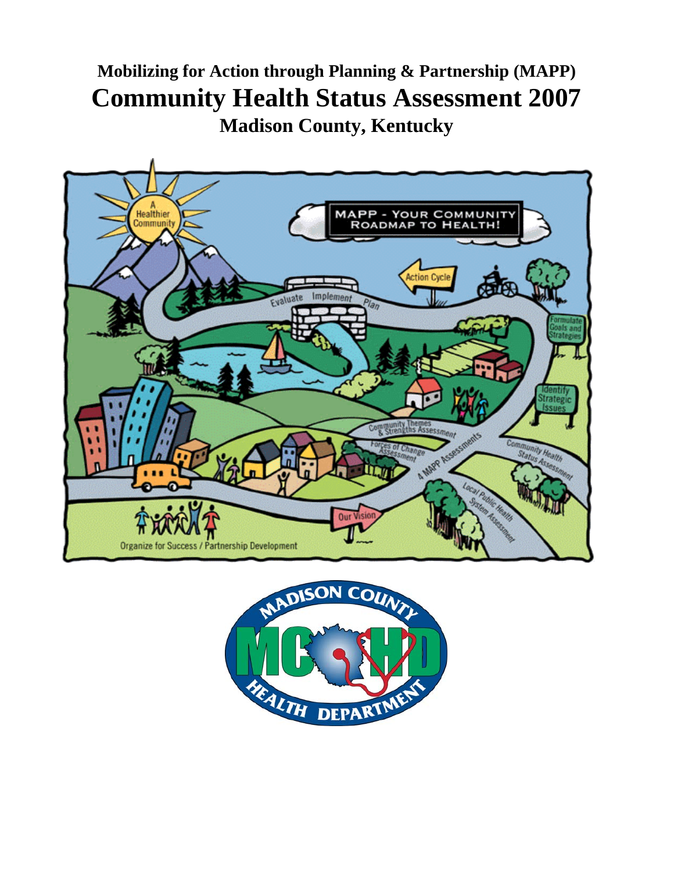# **Mobilizing for Action through Planning & Partnership (MAPP) Community Health Status Assessment 2007 Madison County, Kentucky**



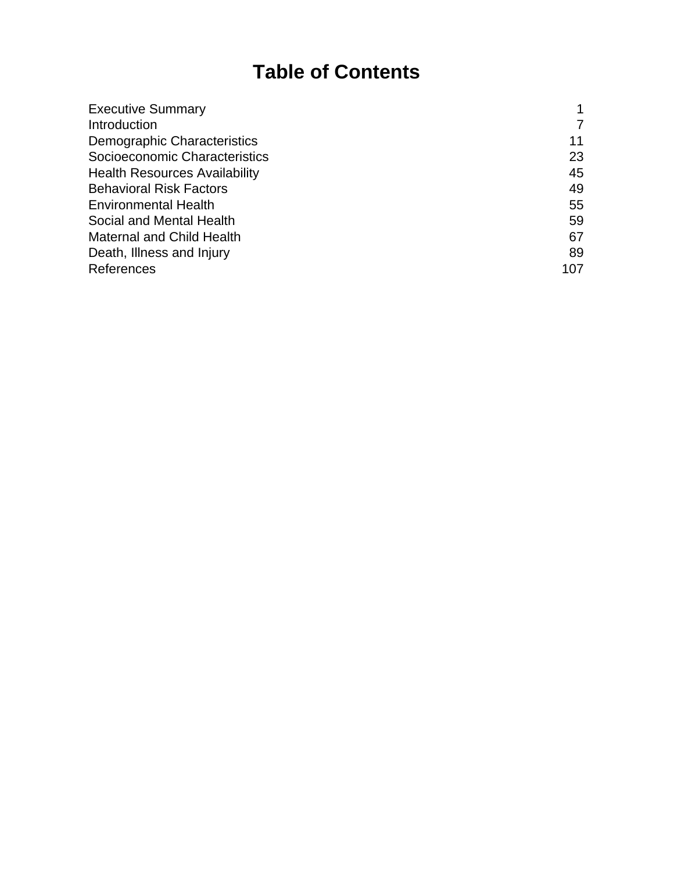# **Table of Contents**

| <b>Executive Summary</b>             |     |
|--------------------------------------|-----|
| Introduction                         | 7   |
| Demographic Characteristics          | 11  |
| Socioeconomic Characteristics        | 23  |
| <b>Health Resources Availability</b> | 45  |
| <b>Behavioral Risk Factors</b>       | 49  |
| <b>Environmental Health</b>          | 55  |
| Social and Mental Health             | 59  |
| <b>Maternal and Child Health</b>     | 67  |
| Death, Illness and Injury            | 89  |
| References                           | 107 |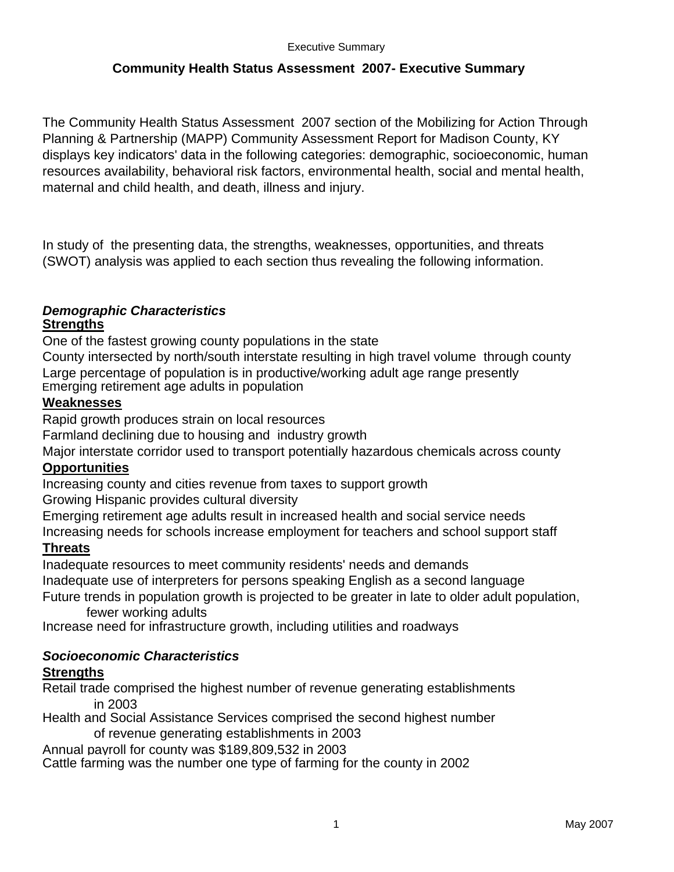## **Community Health Status Assessment 2007- Executive Summary**

The Community Health Status Assessment 2007 section of the Mobilizing for Action Through Planning & Partnership (MAPP) Community Assessment Report for Madison County, KY displays key indicators' data in the following categories: demographic, socioeconomic, human resources availability, behavioral risk factors, environmental health, social and mental health, maternal and child health, and death, illness and injury.

In study of the presenting data, the strengths, weaknesses, opportunities, and threats (SWOT) analysis was applied to each section thus revealing the following information.

# *Demographic Characteristics*

#### **Strengths**

One of the fastest growing county populations in the state

Emerging retirement age adults in population County intersected by north/south interstate resulting in high travel volume through county Large percentage of population is in productive/working adult age range presently

### **Weaknesses**

Rapid growth produces strain on local resources

Farmland declining due to housing and industry growth

Major interstate corridor used to transport potentially hazardous chemicals across county

### **Opportunities**

Increasing county and cities revenue from taxes to support growth

Growing Hispanic provides cultural diversity

Emerging retirement age adults result in increased health and social service needs Increasing needs for schools increase employment for teachers and school support staff

### **Threats**

Inadequate use of interpreters for persons speaking English as a second language Future trends in population growth is projected to be greater in late to older adult population, Inadequate resources to meet community residents' needs and demands

fewer working adults

Increase need for infrastructure growth, including utilities and roadways

### *Socioeconomic Characteristics*

### **Strengths**

Retail trade comprised the highest number of revenue generating establishments in 2003

 of revenue generating establishments in 2003 Health and Social Assistance Services comprised the second highest number

Annual payroll for county was \$189,809,532 in 2003

Cattle farming was the number one type of farming for the county in 2002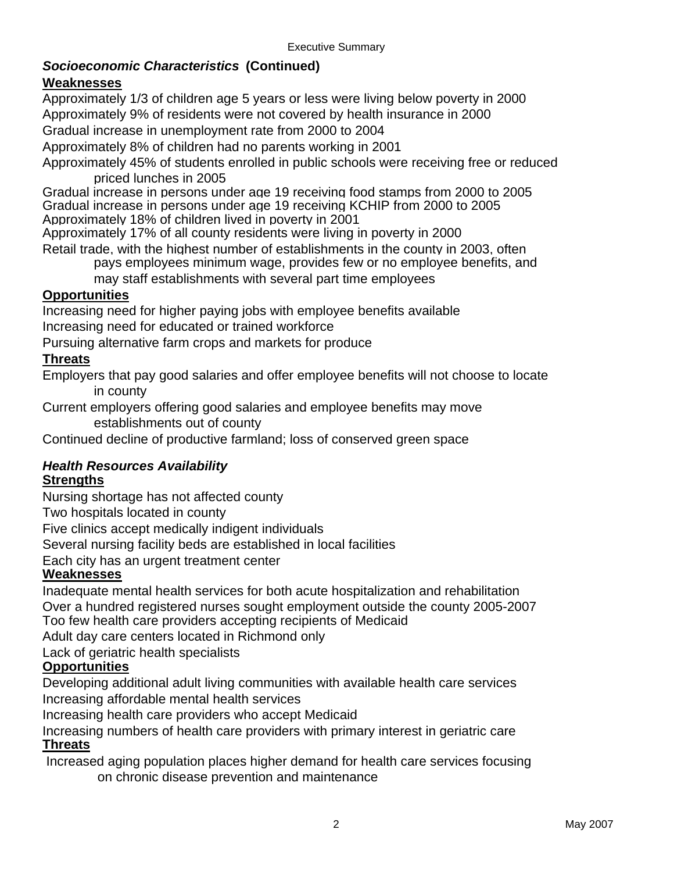# *Socioeconomic Characteristics* **(Continued)**

# **Weaknesses**

Approximately 8% of children had no parents working in 2001 Approximately 1/3 of children age 5 years or less were living below poverty in 2000 Approximately 9% of residents were not covered by health insurance in 2000 Gradual increase in unemployment rate from 2000 to 2004

Approximately 45% of students enrolled in public schools were receiving free or reduced priced lunches in 2005

Gradual increase in persons under age 19 receiving KCHIP from 2000 to 2005 Approximately 18% of children lived in poverty in 2001 Gradual increase in persons under age 19 receiving food stamps from 2000 to 2005

Approximately 17% of all county residents were living in poverty in 2000

Retail trade, with the highest number of establishments in the county in 2003, often

pays employees minimum wage, provides few or no employee benefits, and

may staff establishments with several part time employees

# **Opportunities**

Increasing need for higher paying jobs with employee benefits available

Increasing need for educated or trained workforce

Pursuing alternative farm crops and markets for produce

# **Threats**

Employers that pay good salaries and offer employee benefits will not choose to locate in county

Current employers offering good salaries and employee benefits may move establishments out of county

Continued decline of productive farmland; loss of conserved green space

#### **Strengths** *Health Resources Availability*

Nursing shortage has not affected county

Two hospitals located in county

Five clinics accept medically indigent individuals

Several nursing facility beds are established in local facilities

Each city has an urgent treatment center

# **Weaknesses**

Over a hundred registered nurses sought employment outside the county 2005-2007 Too few health care providers accepting recipients of Medicaid Inadequate mental health services for both acute hospitalization and rehabilitation

Adult day care centers located in Richmond only

Lack of geriatric health specialists

# **Opportunities**

Developing additional adult living communities with available health care services Increasing affordable mental health services

Increasing health care providers who accept Medicaid

Increasing numbers of health care providers with primary interest in geriatric care **Threats**

 Increased aging population places higher demand for health care services focusing on chronic disease prevention and maintenance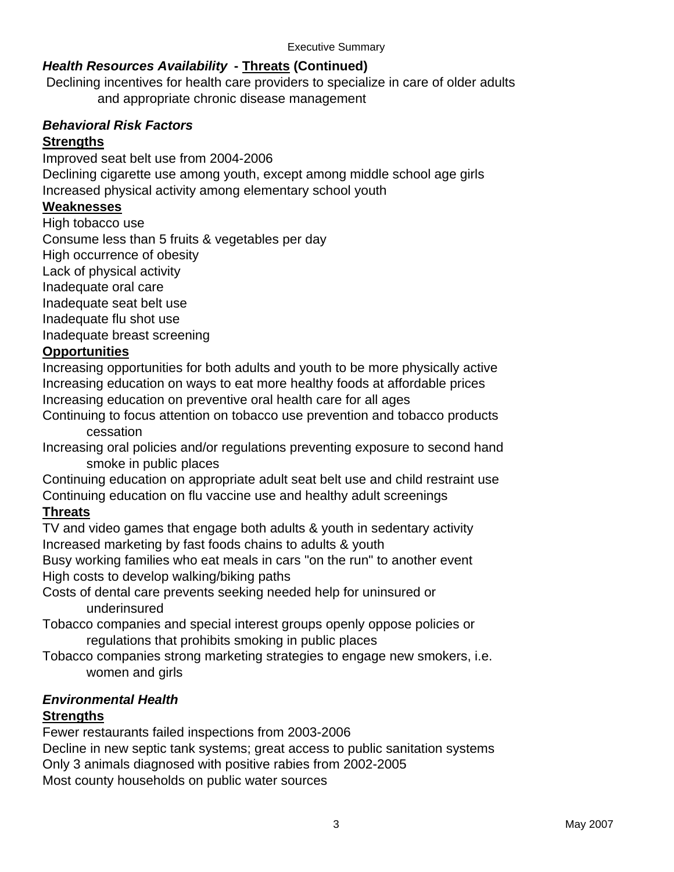## *Health Resources Availability* **- Threats (Continued)**

 Declining incentives for health care providers to specialize in care of older adults and appropriate chronic disease management

# *Behavioral Risk Factors*

### **Strengths**

Improved seat belt use from 2004-2006 Declining cigarette use among youth, except among middle school age girls Increased physical activity among elementary school youth

### **Weaknesses**

High tobacco use

Consume less than 5 fruits & vegetables per day

High occurrence of obesity

Lack of physical activity

Inadequate oral care

Inadequate seat belt use

Inadequate flu shot use

Inadequate breast screening

### **Opportunities**

Increasing education on preventive oral health care for all ages Increasing opportunities for both adults and youth to be more physically active Increasing education on ways to eat more healthy foods at affordable prices

Continuing to focus attention on tobacco use prevention and tobacco products cessation

 smoke in public places Increasing oral policies and/or regulations preventing exposure to second hand

Continuing education on appropriate adult seat belt use and child restraint use Continuing education on flu vaccine use and healthy adult screenings

### **Threats**

TV and video games that engage both adults & youth in sedentary activity Increased marketing by fast foods chains to adults & youth

Busy working families who eat meals in cars "on the run" to another event High costs to develop walking/biking paths

Costs of dental care prevents seeking needed help for uninsured or underinsured

Tobacco companies and special interest groups openly oppose policies or regulations that prohibits smoking in public places

Tobacco companies strong marketing strategies to engage new smokers, i.e. women and girls

# *Environmental Health*

# **Strengths**

Fewer restaurants failed inspections from 2003-2006

Decline in new septic tank systems; great access to public sanitation systems Only 3 animals diagnosed with positive rabies from 2002-2005 Most county households on public water sources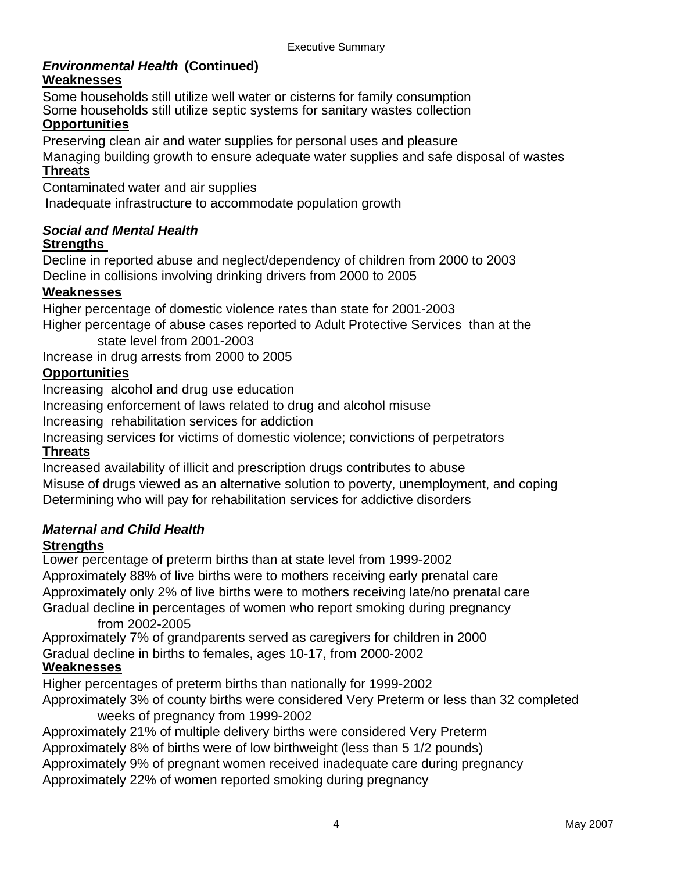## *Environmental Health* **(Continued) Weaknesses**

**Opportunities** Some households still utilize well water or cisterns for family consumption Some households still utilize septic systems for sanitary wastes collection

Preserving clean air and water supplies for personal uses and pleasure

Managing building growth to ensure adequate water supplies and safe disposal of wastes **Threats**

Contaminated water and air supplies

Inadequate infrastructure to accommodate population growth

#### *Social and Mental Health*  **Strengths**

Decline in reported abuse and neglect/dependency of children from 2000 to 2003 Decline in collisions involving drinking drivers from 2000 to 2005

### **Weaknesses**

Higher percentage of domestic violence rates than state for 2001-2003

Higher percentage of abuse cases reported to Adult Protective Services than at the state level from 2001-2003

Increase in drug arrests from 2000 to 2005

# **Opportunities**

Increasing alcohol and drug use education

Increasing enforcement of laws related to drug and alcohol misuse

Increasing rehabilitation services for addiction

Increasing services for victims of domestic violence; convictions of perpetrators **Threats**

Misuse of drugs viewed as an alternative solution to poverty, unemployment, and coping Determining who will pay for rehabilitation services for addictive disorders Increased availability of illicit and prescription drugs contributes to abuse

# *Maternal and Child Health*

# **Strengths**

Approximately 88% of live births were to mothers receiving early prenatal care Approximately only 2% of live births were to mothers receiving late/no prenatal care Gradual decline in percentages of women who report smoking during pregnancy from 2002-2005 Lower percentage of preterm births than at state level from 1999-2002

Gradual decline in births to females, ages 10-17, from 2000-2002 Approximately 7% of grandparents served as caregivers for children in 2000

# **Weaknesses**

Higher percentages of preterm births than nationally for 1999-2002

Approximately 3% of county births were considered Very Preterm or less than 32 completed weeks of pregnancy from 1999-2002

Approximately 21% of multiple delivery births were considered Very Preterm

Approximately 8% of births were of low birthweight (less than 5 1/2 pounds)

Approximately 9% of pregnant women received inadequate care during pregnancy

Approximately 22% of women reported smoking during pregnancy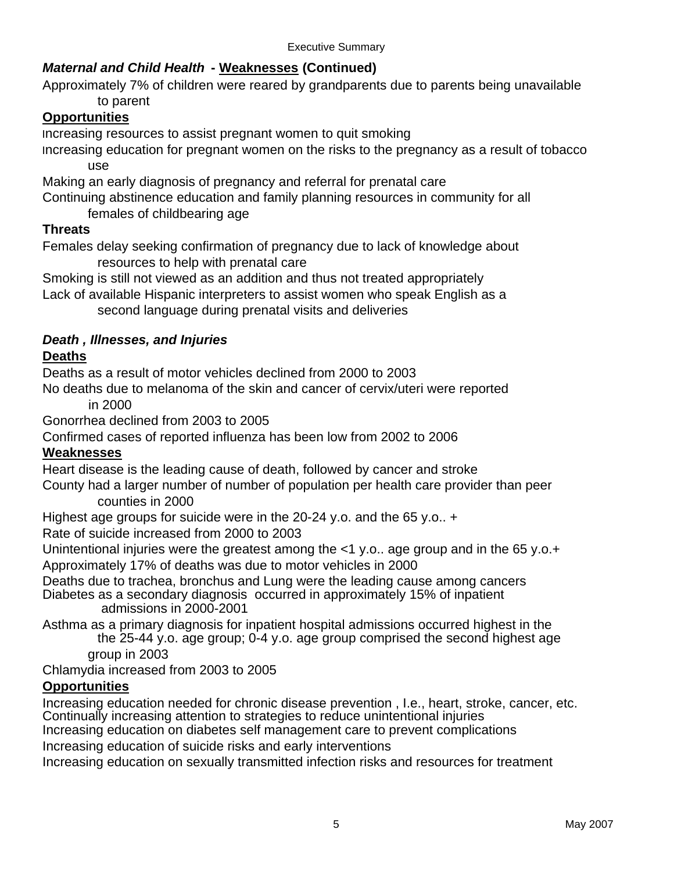# *Maternal and Child Health* **- Weaknesses (Continued)**

Approximately 7% of children were reared by grandparents due to parents being unavailable to parent

# **Opportunities**

Increasing resources to assist pregnant women to quit smoking

Increasing education for pregnant women on the risks to the pregnancy as a result of tobacco use

Making an early diagnosis of pregnancy and referral for prenatal care

Continuing abstinence education and family planning resources in community for all

females of childbearing age

## **Threats**

Females delay seeking confirmation of pregnancy due to lack of knowledge about resources to help with prenatal care

Smoking is still not viewed as an addition and thus not treated appropriately

Lack of available Hispanic interpreters to assist women who speak English as a

second language during prenatal visits and deliveries

# *Death , Illnesses, and Injuries*

# **Deaths**

Deaths as a result of motor vehicles declined from 2000 to 2003

No deaths due to melanoma of the skin and cancer of cervix/uteri were reported

in 2000

Gonorrhea declined from 2003 to 2005

Confirmed cases of reported influenza has been low from 2002 to 2006

# **Weaknesses**

Heart disease is the leading cause of death, followed by cancer and stroke

County had a larger number of number of population per health care provider than peer counties in 2000

Highest age groups for suicide were in the 20-24 y.o. and the 65 y.o.. +

Rate of suicide increased from 2000 to 2003

Unintentional injuries were the greatest among the <1 y.o.. age group and in the 65 y.o.+ Approximately 17% of deaths was due to motor vehicles in 2000

Deaths due to trachea, bronchus and Lung were the leading cause among cancers admissions in 2000-2001 Diabetes as a secondary diagnosis occurred in approximately 15% of inpatient

Asthma as a primary diagnosis for inpatient hospital admissions occurred highest in the group in 2003 the 25-44 y.o. age group; 0-4 y.o. age group comprised the second highest age

Chlamydia increased from 2003 to 2005

# **Opportunities**

Increasing education needed for chronic disease prevention , I.e., heart, stroke, cancer, etc. Continually increasing attention to strategies to reduce unintentional injuries

Increasing education on diabetes self management care to prevent complications

Increasing education of suicide risks and early interventions

Increasing education on sexually transmitted infection risks and resources for treatment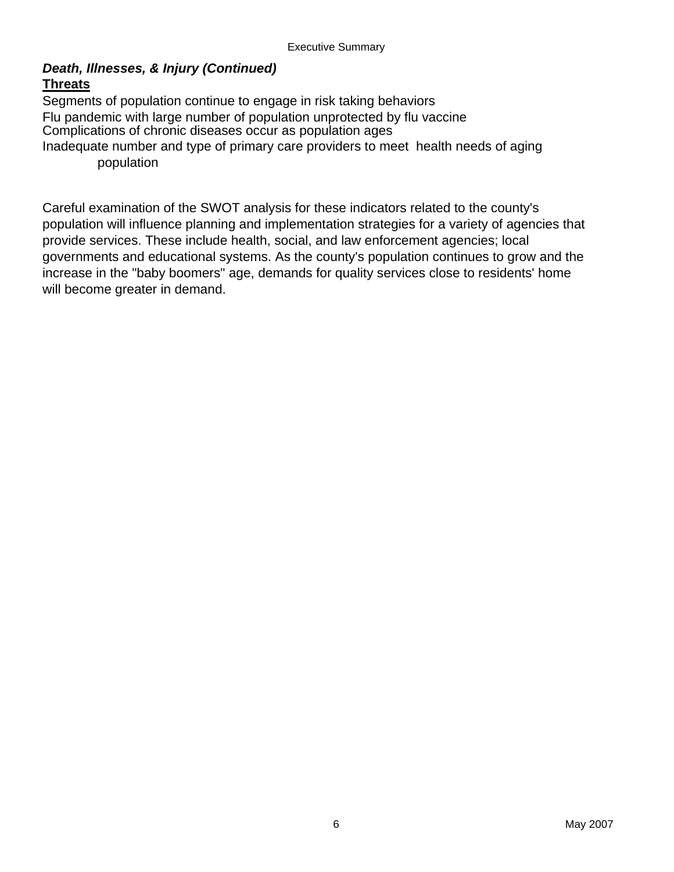## *Death, Illnesses, & Injury (Continued)* **Threats**

Segments of population continue to engage in risk taking behaviors Flu pandemic with large number of population unprotected by flu vaccine population Complications of chronic diseases occur as population ages Inadequate number and type of primary care providers to meet health needs of aging

Careful examination of the SWOT analysis for these indicators related to the county's population will influence planning and implementation strategies for a variety of agencies that provide services. These include health, social, and law enforcement agencies; local governments and educational systems. As the county's population continues to grow and the increase in the "baby boomers" age, demands for quality services close to residents' home will become greater in demand.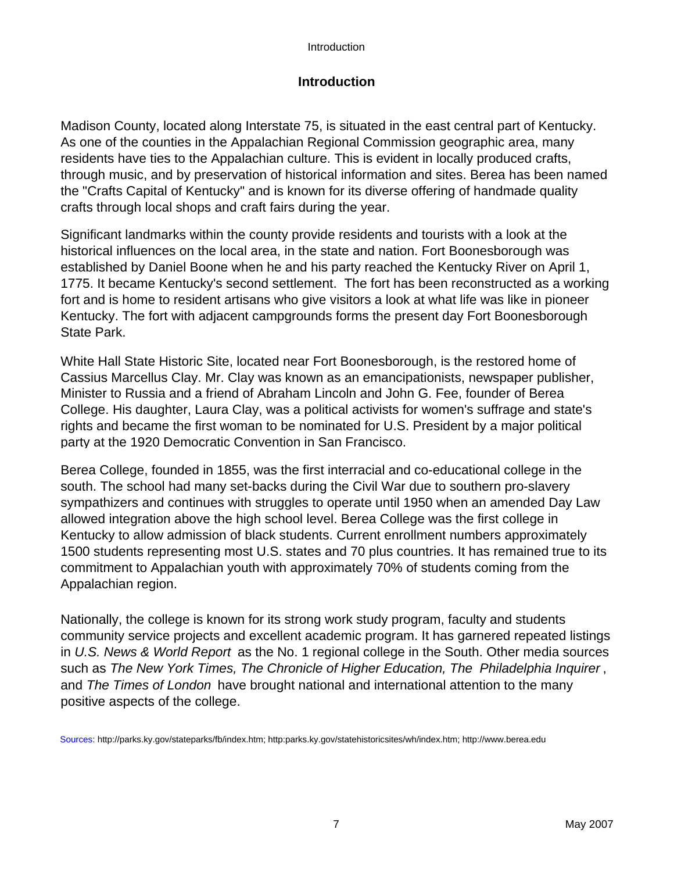#### Introduction

#### **Introduction**

Madison County, located along Interstate 75, is situated in the east central part of Kentucky. As one of the counties in the Appalachian Regional Commission geographic area, many residents have ties to the Appalachian culture. This is evident in locally produced crafts, through music, and by preservation of historical information and sites. Berea has been named the "Crafts Capital of Kentucky" and is known for its diverse offering of handmade quality crafts through local shops and craft fairs during the year.

Significant landmarks within the county provide residents and tourists with a look at the historical influences on the local area, in the state and nation. Fort Boonesborough was established by Daniel Boone when he and his party reached the Kentucky River on April 1, 1775. It became Kentucky's second settlement. The fort has been reconstructed as a working fort and is home to resident artisans who give visitors a look at what life was like in pioneer Kentucky. The fort with adjacent campgrounds forms the present day Fort Boonesborough State Park.

White Hall State Historic Site, located near Fort Boonesborough, is the restored home of Cassius Marcellus Clay. Mr. Clay was known as an emancipationists, newspaper publisher, Minister to Russia and a friend of Abraham Lincoln and John G. Fee, founder of Berea College. His daughter, Laura Clay, was a political activists for women's suffrage and state's rights and became the first woman to be nominated for U.S. President by a major political party at the 1920 Democratic Convention in San Francisco.

Berea College, founded in 1855, was the first interracial and co-educational college in the south. The school had many set-backs during the Civil War due to southern pro-slavery sympathizers and continues with struggles to operate until 1950 when an amended Day Law allowed integration above the high school level. Berea College was the first college in Kentucky to allow admission of black students. Current enrollment numbers approximately 1500 students representing most U.S. states and 70 plus countries. It has remained true to its commitment to Appalachian youth with approximately 70% of students coming from the Appalachian region.

Nationally, the college is known for its strong work study program, faculty and students community service projects and excellent academic program. It has garnered repeated listings in *U.S. News & World Report* as the No. 1 regional college in the South. Other media sources such as *The New York Times, The Chronicle of Higher Education, The Philadelphia Inquirer* , and *The Times of London* have brought national and international attention to the many positive aspects of the college.

Sources: http://parks.ky.gov/stateparks/fb/index.htm; http:parks.ky.gov/statehistoricsites/wh/index.htm; http://www.berea.edu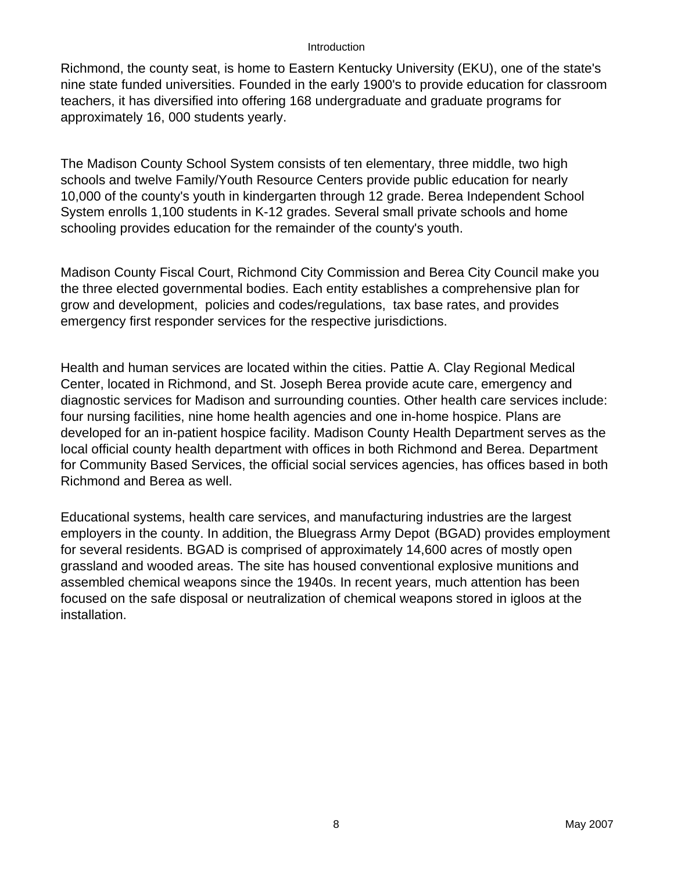#### Introduction

Richmond, the county seat, is home to Eastern Kentucky University (EKU), one of the state's nine state funded universities. Founded in the early 1900's to provide education for classroom teachers, it has diversified into offering 168 undergraduate and graduate programs for approximately 16, 000 students yearly.

The Madison County School System consists of ten elementary, three middle, two high schools and twelve Family/Youth Resource Centers provide public education for nearly 10,000 of the county's youth in kindergarten through 12 grade. Berea Independent School System enrolls 1,100 students in K-12 grades. Several small private schools and home schooling provides education for the remainder of the county's youth.

Madison County Fiscal Court, Richmond City Commission and Berea City Council make you the three elected governmental bodies. Each entity establishes a comprehensive plan for grow and development, policies and codes/regulations, tax base rates, and provides emergency first responder services for the respective jurisdictions.

Health and human services are located within the cities. Pattie A. Clay Regional Medical Center, located in Richmond, and St. Joseph Berea provide acute care, emergency and diagnostic services for Madison and surrounding counties. Other health care services include: four nursing facilities, nine home health agencies and one in-home hospice. Plans are developed for an in-patient hospice facility. Madison County Health Department serves as the local official county health department with offices in both Richmond and Berea. Department for Community Based Services, the official social services agencies, has offices based in both Richmond and Berea as well.

Educational systems, health care services, and manufacturing industries are the largest employers in the county. In addition, the Bluegrass Army Depot (BGAD) provides employment for several residents. BGAD is comprised of approximately 14,600 acres of mostly open grassland and wooded areas. The site has housed conventional explosive munitions and assembled chemical weapons since the 1940s. In recent years, much attention has been focused on the safe disposal or neutralization of chemical weapons stored in igloos at the installation.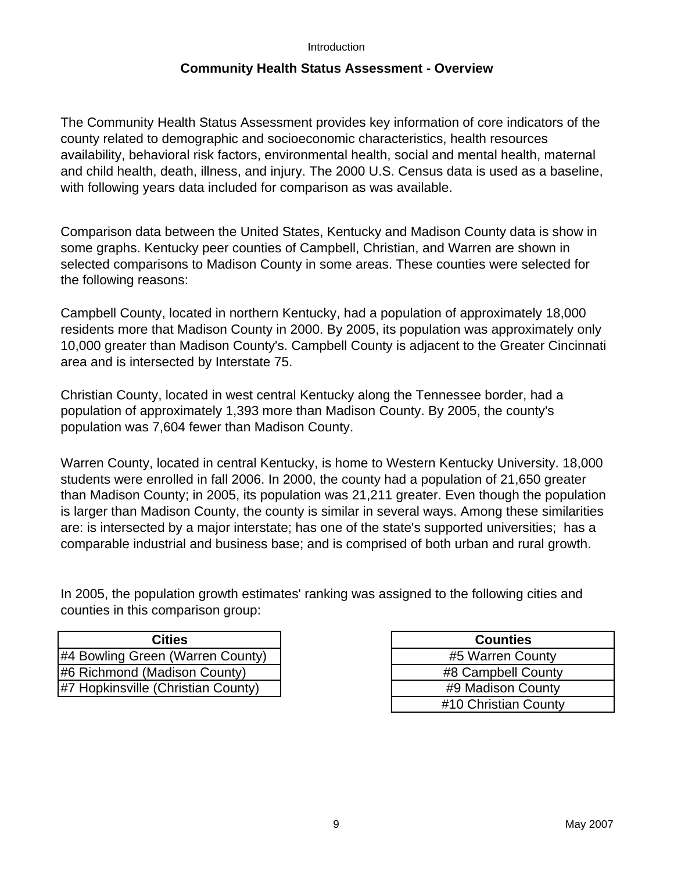#### **Community Health Status Assessment - Overview**

The Community Health Status Assessment provides key information of core indicators of the county related to demographic and socioeconomic characteristics, health resources availability, behavioral risk factors, environmental health, social and mental health, maternal and child health, death, illness, and injury. The 2000 U.S. Census data is used as a baseline, with following years data included for comparison as was available.

Comparison data between the United States, Kentucky and Madison County data is show in some graphs. Kentucky peer counties of Campbell, Christian, and Warren are shown in selected comparisons to Madison County in some areas. These counties were selected for the following reasons:

Campbell County, located in northern Kentucky, had a population of approximately 18,000 residents more that Madison County in 2000. By 2005, its population was approximately only 10,000 greater than Madison County's. Campbell County is adjacent to the Greater Cincinnati area and is intersected by Interstate 75.

Christian County, located in west central Kentucky along the Tennessee border, had a population of approximately 1,393 more than Madison County. By 2005, the county's population was 7,604 fewer than Madison County.

Warren County, located in central Kentucky, is home to Western Kentucky University. 18,000 students were enrolled in fall 2006. In 2000, the county had a population of 21,650 greater than Madison County; in 2005, its population was 21,211 greater. Even though the population is larger than Madison County, the county is similar in several ways. Among these similarities are: is intersected by a major interstate; has one of the state's supported universities; has a comparable industrial and business base; and is comprised of both urban and rural growth.

In 2005, the population growth estimates' ranking was assigned to the following cities and counties in this comparison group:

| <b>Cities</b>                      | <b>Counties</b>          |
|------------------------------------|--------------------------|
| #4 Bowling Green (Warren County)   | #5 Warren County         |
| #6 Richmond (Madison County)       | #8 Campbell Count        |
| #7 Hopkinsville (Christian County) | #9 Madison County        |
|                                    | $HAD$ Obstacles Original |

| <b>Cities</b>      | <b>Counties</b>      |
|--------------------|----------------------|
| en (Warren County) | #5 Warren County     |
| Aadison County)    | #8 Campbell County   |
| (Christian County) | #9 Madison County    |
|                    | #10 Christian County |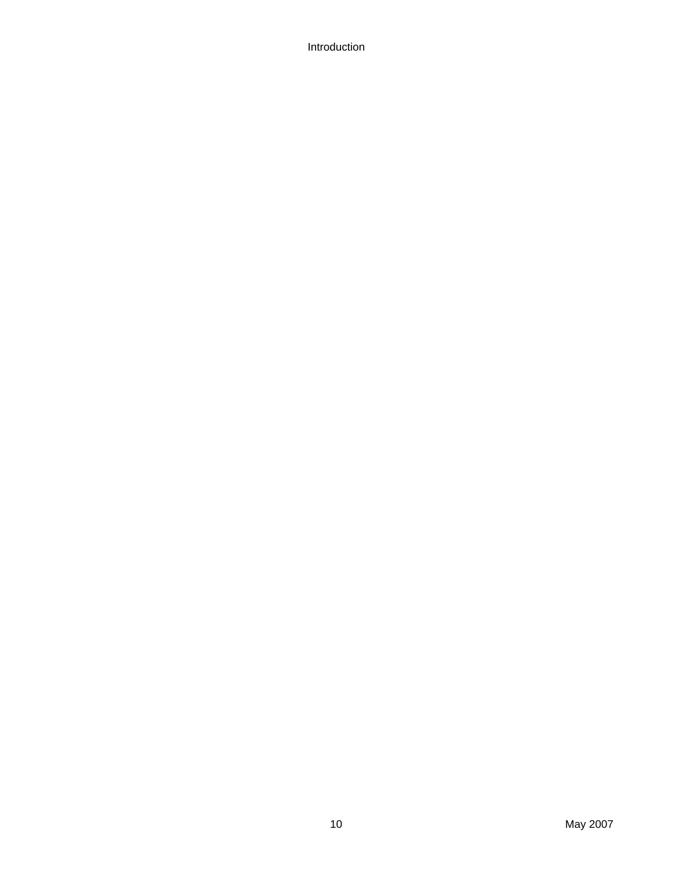Introduction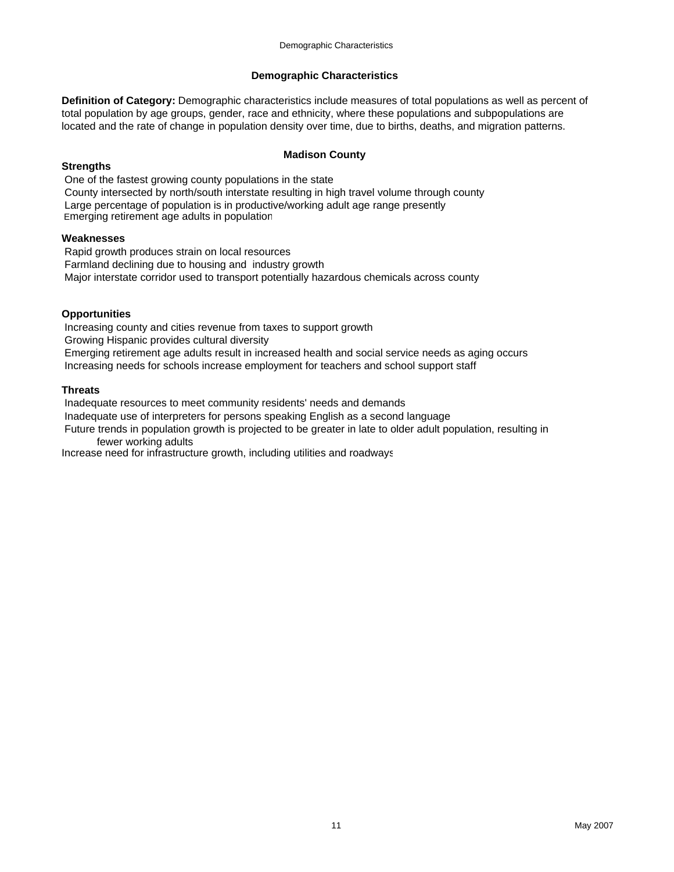#### **Demographic Characteristics**

**Definition of Category:** Demographic characteristics include measures of total populations as well as percent of total population by age groups, gender, race and ethnicity, where these populations and subpopulations are located and the rate of change in population density over time, due to births, deaths, and migration patterns.

#### **Madison County**

#### **Strengths**

 One of the fastest growing county populations in the state County intersected by north/south interstate resulting in high travel volume through county Large percentage of population is in productive/working adult age range presently Emerging retirement age adults in population

#### **Weaknesses**

 Rapid growth produces strain on local resources Farmland declining due to housing and industry growth Major interstate corridor used to transport potentially hazardous chemicals across county

#### **Opportunities**

 Increasing county and cities revenue from taxes to support growth Growing Hispanic provides cultural diversity Emerging retirement age adults result in increased health and social service needs as aging occurs Increasing needs for schools increase employment for teachers and school support staff

#### **Threats**

Inadequate resources to meet community residents' needs and demands

Inadequate use of interpreters for persons speaking English as a second language

 Future trends in population growth is projected to be greater in late to older adult population, resulting in fewer working adults

Increase need for infrastructure growth, including utilities and roadways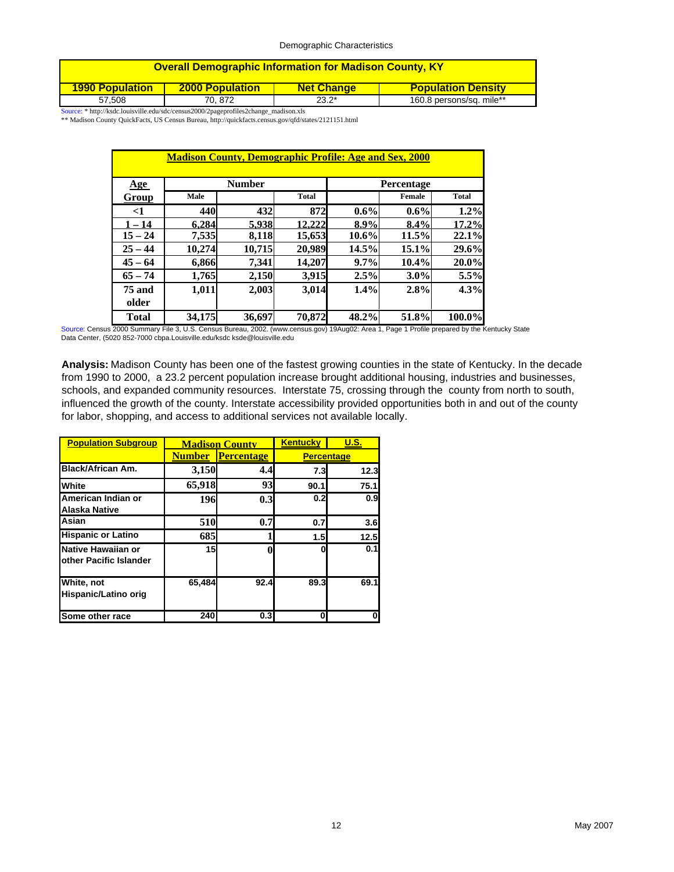#### Demographic Characteristics

| <b>Overall Demographic Information for Madison County, KY</b> |                        |                   |                           |  |
|---------------------------------------------------------------|------------------------|-------------------|---------------------------|--|
| <b>1990 Population</b>                                        | <b>2000 Population</b> | <b>Net Change</b> | <b>Population Density</b> |  |
| 57.508                                                        | 70.872                 | $23.2*$           | 160.8 persons/sq. mile**  |  |

Source: \* http://ksdc.louisville.edu/sdc/census2000/2pageprofiles2change\_madison.xls

\*\* Madison County QuickFacts, US Census Bureau, http://quickfacts.census.gov/qfd/states/2121151.html

| <b>Madison County, Demographic Profile: Age and Sex, 2000</b> |        |               |              |          |                   |              |
|---------------------------------------------------------------|--------|---------------|--------------|----------|-------------------|--------------|
| <u>Age</u>                                                    |        | <b>Number</b> |              |          | <b>Percentage</b> |              |
| Group                                                         | Male   |               | <b>Total</b> |          | Female            | <b>Total</b> |
| $\leq$ 1                                                      | 440    | 432           | 872          | $0.6\%$  | $0.6\%$           | 1.2%         |
| $-14$                                                         | 6.284  | 5.938         | 2.222        | 8.9%     | 8.4%              | $17.2\%$     |
| $15 - 24$                                                     | 7,535  | 8,118         | 15,653       | $10.6\%$ | 11.5%             | 22.1%        |
| $25 - 44$                                                     | 10,274 | 10,715        | 20,989       | 14.5%    | 15.1%             | 29.6%        |
| $45 - 64$                                                     | 6,866  | 7,341         | 14,207       | 9.7%     | $10.4\%$          | 20.0%        |
| $65 - 74$                                                     | 1,765  | 2,150         | 3,915        | 2.5%     | $3.0\%$           | 5.5%         |
| <b>75 and</b>                                                 | 1,011  | 2,003         | 3,014        | 1.4%     | 2.8%              | 4.3%         |
| older                                                         |        |               |              |          |                   |              |
| <b>Total</b>                                                  | 34,175 | 36,697        | 70,872       | 48.2%    | 51.8%             | 100.0%       |

Source: Census 2000 Summary File 3, U.S. Census Bureau, 2002. (www.census.gov) 19Aug02: Area 1, Page 1 Profile prepared by the Kentucky State Data Center, (5020 852-7000 cbpa.Louisville.edu/ksdc ksde@louisville.edu

**Analysis:** Madison County has been one of the fastest growing counties in the state of Kentucky. In the decade from 1990 to 2000, a 23.2 percent population increase brought additional housing, industries and businesses, schools, and expanded community resources. Interstate 75, crossing through the county from north to south, influenced the growth of the county. Interstate accessibility provided opportunities both in and out of the county for labor, shopping, and access to additional services not available locally.

| <b>Population Subgroup</b>                   | <b>Madison County</b> |            | <b>Kentucky</b>   | <b>U.S.</b> |
|----------------------------------------------|-----------------------|------------|-------------------|-------------|
|                                              | <b>Number</b>         | Percentage | <b>Percentage</b> |             |
| <b>Black/African Am.</b>                     | 3,150                 | 4.4        | 7.3               | 12.3        |
| White                                        | 65,918                | 93         | 90.1              | 75.1        |
| American Indian or<br>Alaska Native          | 196                   | 0.3        | 0.2               | 0.9         |
| Asian                                        | 510                   | 0.7        | 0.7               | 3.6         |
| <b>Hispanic or Latino</b>                    | 685                   |            | 1.5               | 12.5        |
| Native Hawaiian or<br>other Pacific Islander | 15                    |            | ŋ                 | 0.1         |
| White, not<br>Hispanic/Latino orig           | 65,484                | 92.4       | 89.3              | 69.1        |
| Some other race                              | 240                   | 0.3        | 0                 | 0           |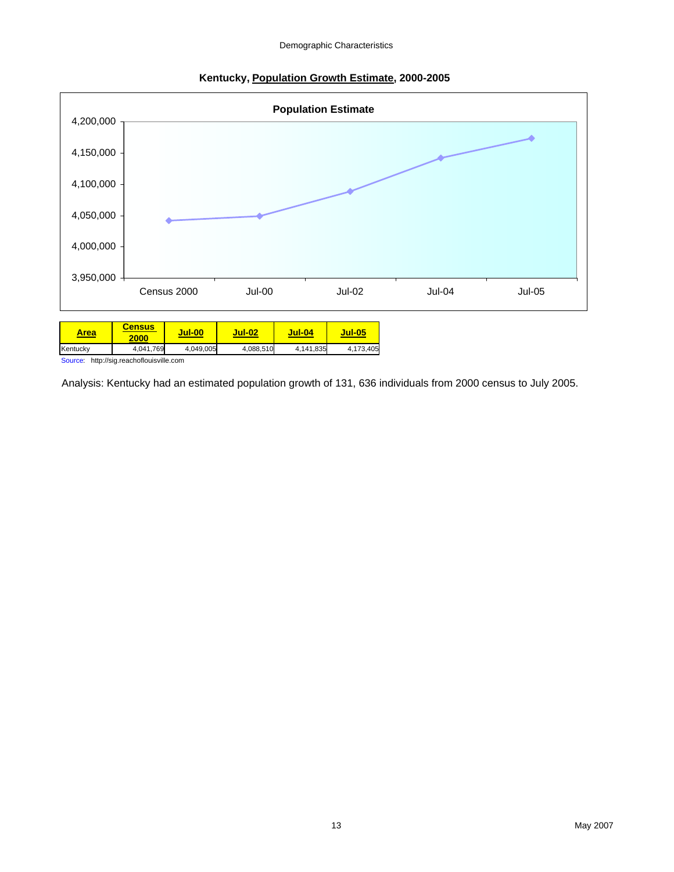



Source: http://sig.reachoflouisville.com

Analysis: Kentucky had an estimated population growth of 131, 636 individuals from 2000 census to July 2005.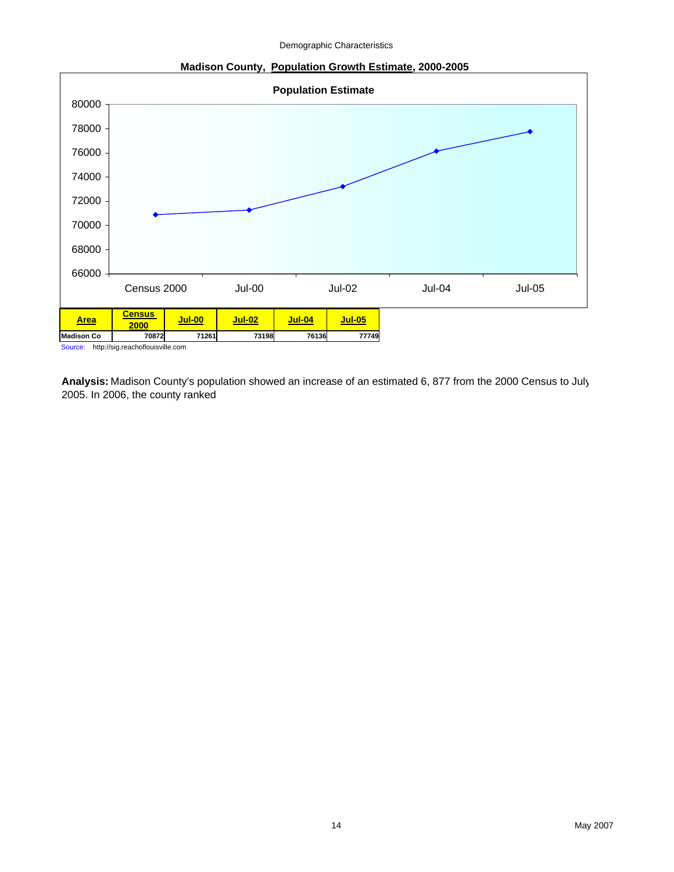#### Demographic Characteristics



#### **Madison County, Population Growth Estimate, 2000-2005**

Source: http://sig.reachoflouisville.com

**Analysis:** Madison County's population showed an increase of an estimated 6, 877 from the 2000 Census to July 2005. In 2006, the county ranked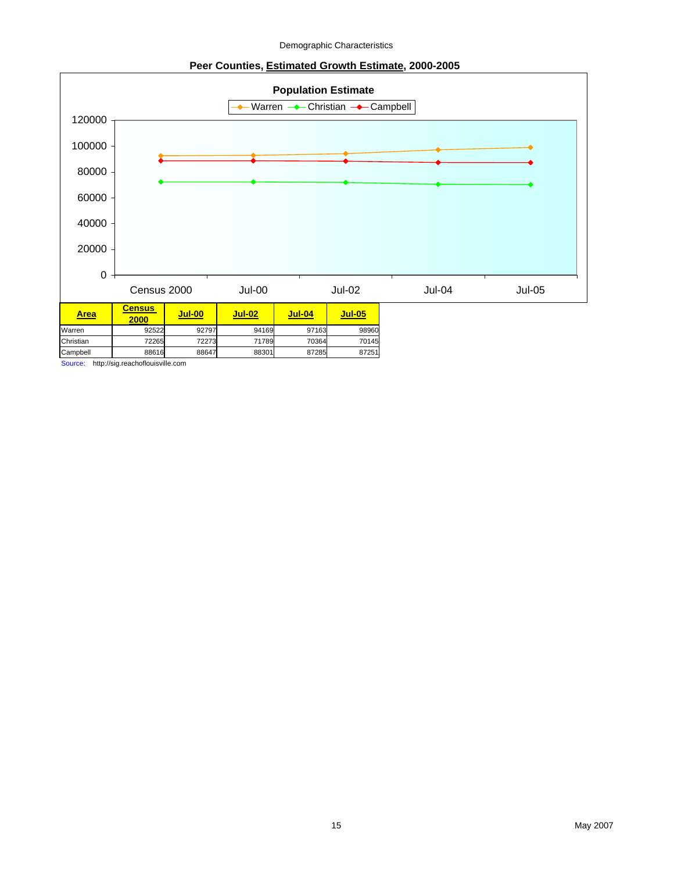Demographic Characteristics

**Area Census <sup>2000</sup> Jul-00 Jul-02 Jul-04 Jul-05** Warren 92522 92797 94169 97163 98960 Christian 72265 72273 71789 70364 70145 Campbell 88616 88647 88301 87285 87251 **Population Estimate**  $0 -$ 20000 40000 60000 80000 100000 120000 Census 2000 Jul-00 Jul-02 Jul-04 Jul-05 ◆ Warren → Christian → Campbell

**Peer Counties, Estimated Growth Estimate, 2000-2005**

Source: http://sig.reachoflouisville.com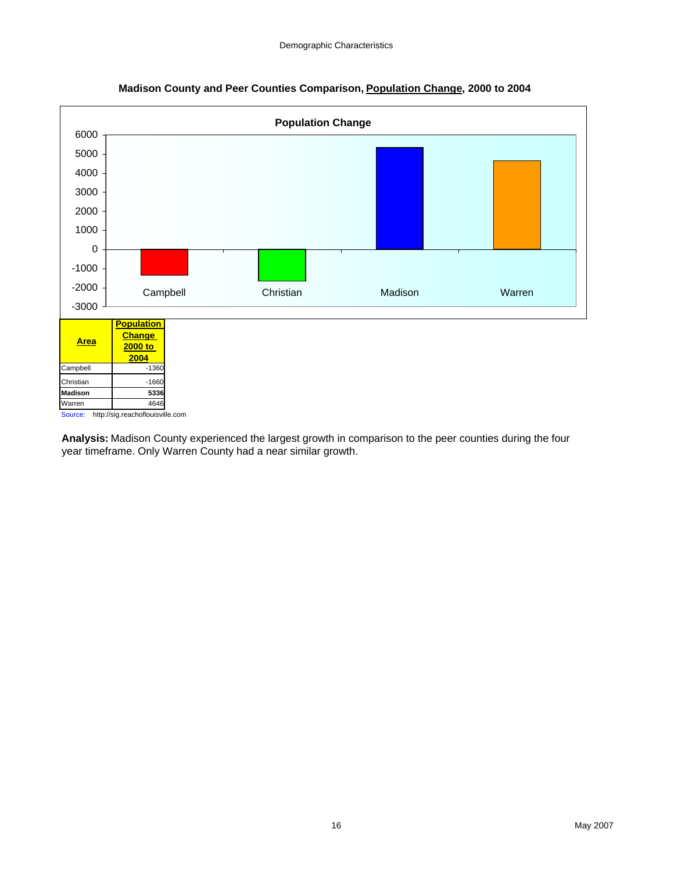

### **Madison County and Peer Counties Comparison, Population Change, 2000 to 2004**

**Analysis:** Madison County experienced the largest growth in comparison to the peer counties during the four year timeframe. Only Warren County had a near similar growth.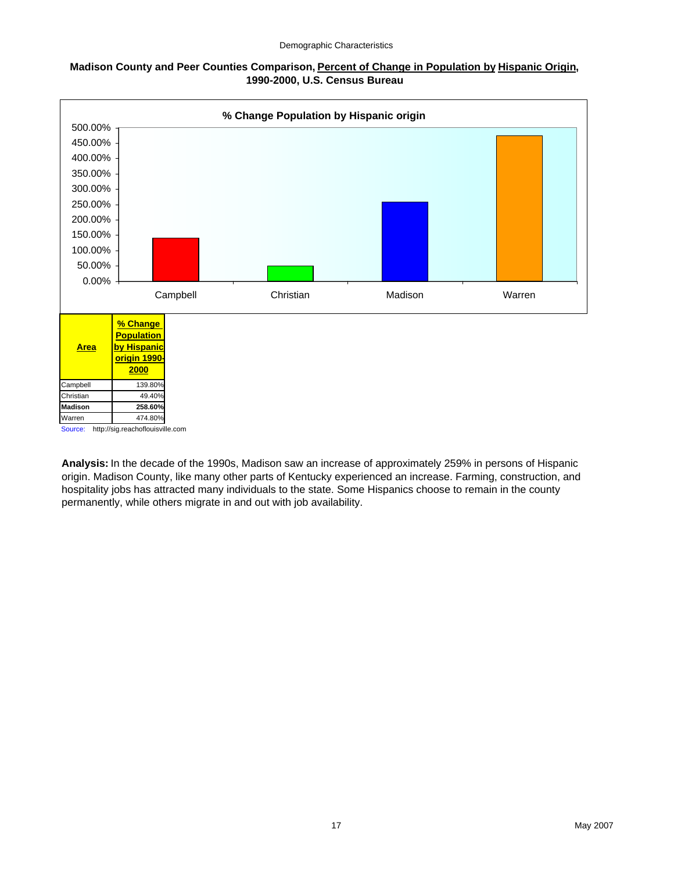



**Analysis:** In the decade of the 1990s, Madison saw an increase of approximately 259% in persons of Hispanic origin. Madison County, like many other parts of Kentucky experienced an increase. Farming, construction, and hospitality jobs has attracted many individuals to the state. Some Hispanics choose to remain in the county permanently, while others migrate in and out with job availability.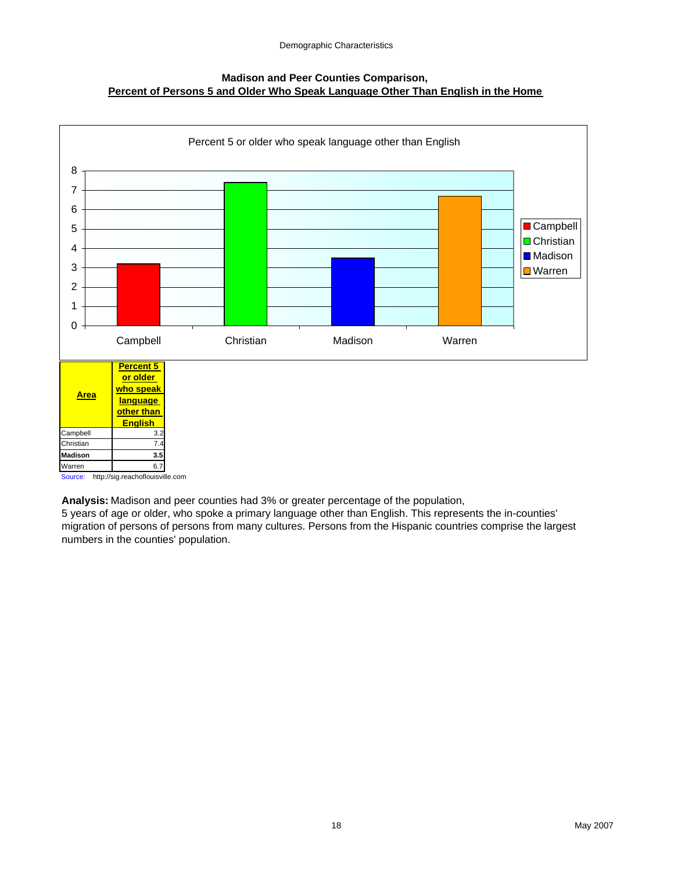**Madison and Peer Counties Comparison, Percent of Persons 5 and Older Who Speak Language Other Than English in the Home** 



Source: http://sig.reachoflouisville.com

**Analysis:** Madison and peer counties had 3% or greater percentage of the population,

5 years of age or older, who spoke a primary language other than English. This represents the in-counties' migration of persons of persons from many cultures. Persons from the Hispanic countries comprise the largest numbers in the counties' population.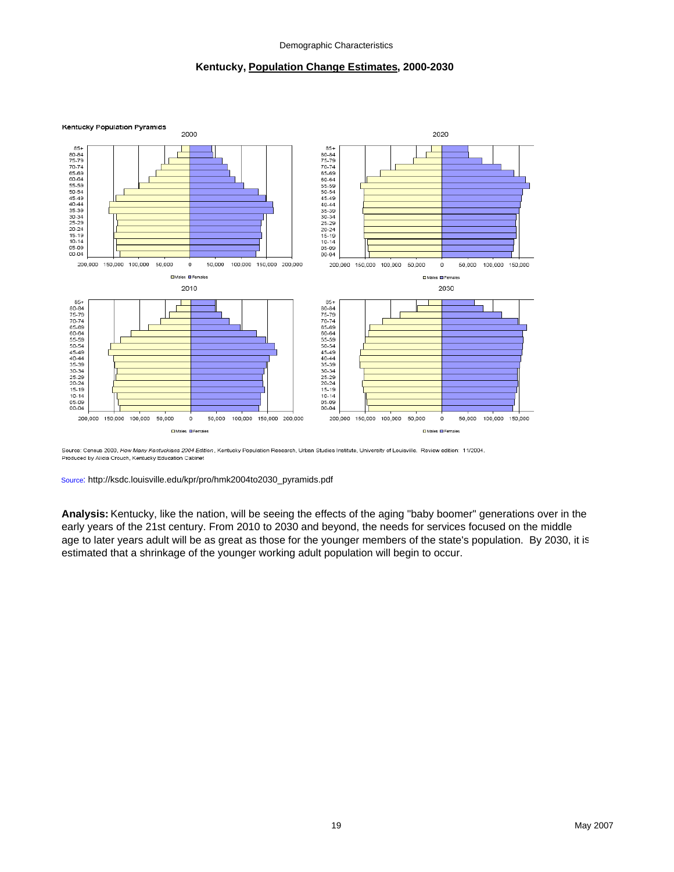#### Demographic Characteristics

#### **Kentucky, Population Change Estimates, 2000-2030**



Source: Census 2000, How Many Kentuckians 2004 Edition, Kentucky Population Research, Urban Studies Institute, University of Louisville. Review edition: 11/2004. Produced by Alicia Crouch, Kentucky Education Cabinet

Source: http://ksdc.louisville.edu/kpr/pro/hmk2004to2030\_pyramids.pdf

**Analysis:** Kentucky, like the nation, will be seeing the effects of the aging "baby boomer" generations over in the early years of the 21st century. From 2010 to 2030 and beyond, the needs for services focused on the middle age to later years adult will be as great as those for the younger members of the state's population. By 2030, it is estimated that a shrinkage of the younger working adult population will begin to occur.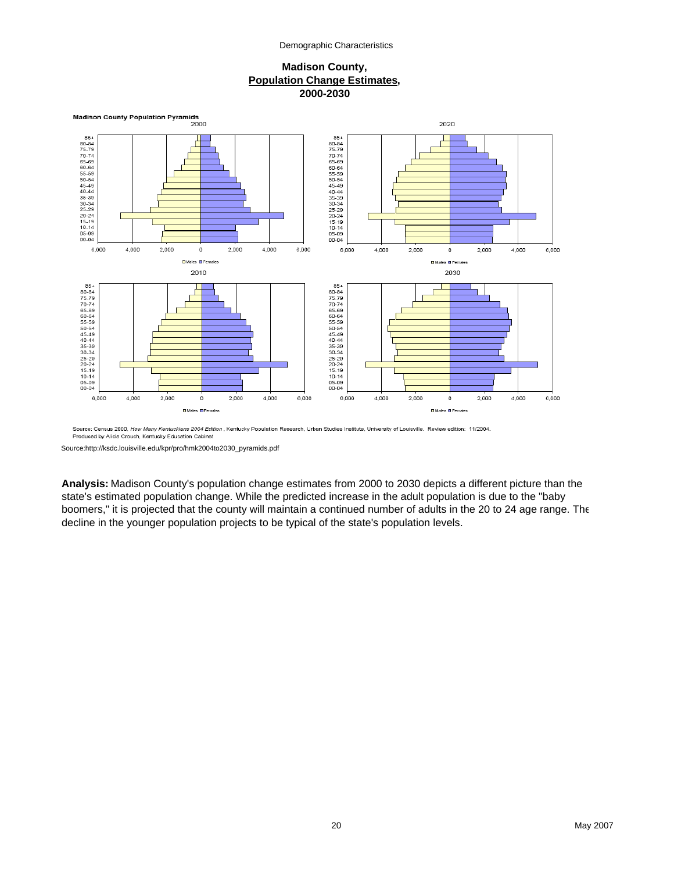#### **Madison County, Population Change Estimates, 2000-2030**



Source: Census 2000, How Many Kentuckians 2004 Edition, Kentucky Population Research, Urban Studies Institute, University of Louisville. Review edition: 11/2004. Produced by Alicia Crouch, Kentucky Education Cabinet

Source:http://ksdc.louisville.edu/kpr/pro/hmk2004to2030\_pyramids.pdf

**Analysis:** Madison County's population change estimates from 2000 to 2030 depicts a different picture than the state's estimated population change. While the predicted increase in the adult population is due to the "baby boomers," it is projected that the county will maintain a continued number of adults in the 20 to 24 age range. The decline in the younger population projects to be typical of the state's population levels.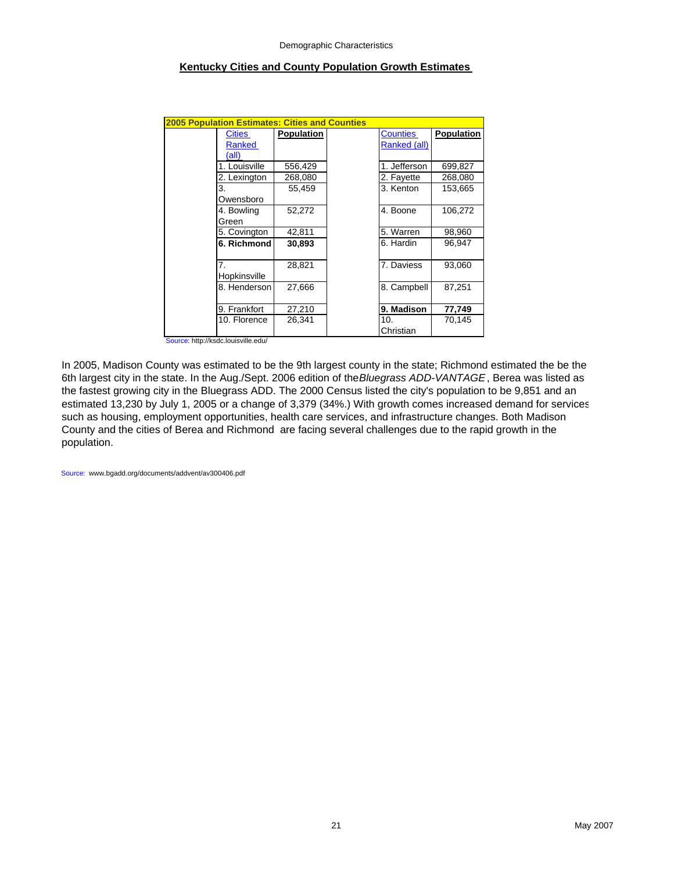#### **Kentucky Cities and County Population Growth Estimates**

| <b>2005 Population Estimates: Cities and Counties</b> |            |                 |                   |
|-------------------------------------------------------|------------|-----------------|-------------------|
| <b>Cities</b>                                         | Population | <b>Counties</b> | <b>Population</b> |
| Ranked                                                |            | Ranked (all)    |                   |
| all)                                                  |            |                 |                   |
| 1. Louisville                                         | 556,429    | Jefferson       | 699,827           |
| 2. Lexington                                          | 268,080    | 2. Fayette      | 268,080           |
| 3.                                                    | 55,459     | 3. Kenton       | 153,665           |
| Owensboro                                             |            |                 |                   |
| 4. Bowling                                            | 52,272     | 4. Boone        | 106,272           |
| Green                                                 |            |                 |                   |
| 5. Covington                                          | 42,811     | 5. Warren       | 98,960            |
| 6. Richmond                                           | 30,893     | 6. Hardin       | 96,947            |
|                                                       |            |                 |                   |
| 7.                                                    | 28,821     | 7. Daviess      | 93,060            |
| Hopkinsville                                          |            |                 |                   |
| 8. Henderson                                          | 27,666     | 8. Campbell     | 87,251            |
|                                                       |            |                 |                   |
| 9. Frankfort                                          | 27,210     | 9. Madison      | 77,749            |
| 10. Florence                                          | 26,341     | 10.             | 70,145            |
|                                                       |            | Christian       |                   |
| Source: http://ksdc.louisville.edu/                   |            |                 |                   |

In 2005, Madison County was estimated to be the 9th largest county in the state; Richmond estimated the be the 6th largest city in the state. In the Aug./Sept. 2006 edition of the *Bluegrass ADD-VANTAGE*, Berea was listed as the fastest growing city in the Bluegrass ADD. The 2000 Census listed the city's population to be 9,851 and an estimated 13,230 by July 1, 2005 or a change of 3,379 (34%.) With growth comes increased demand for services such as housing, employment opportunities, health care services, and infrastructure changes. Both Madison County and the cities of Berea and Richmond are facing several challenges due to the rapid growth in the population.

Source: www.bgadd.org/documents/addvent/av300406.pdf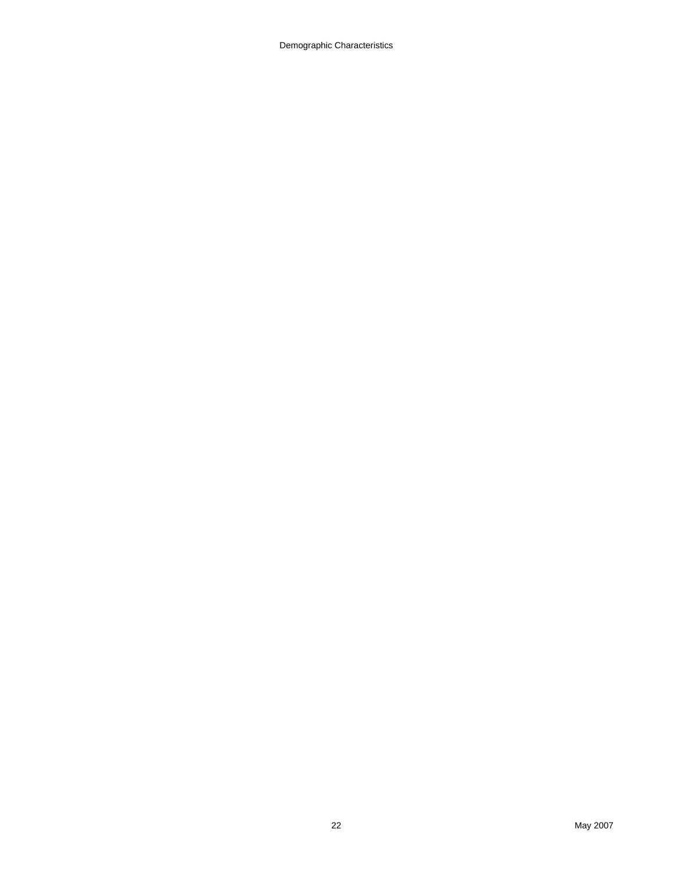Demographic Characteristics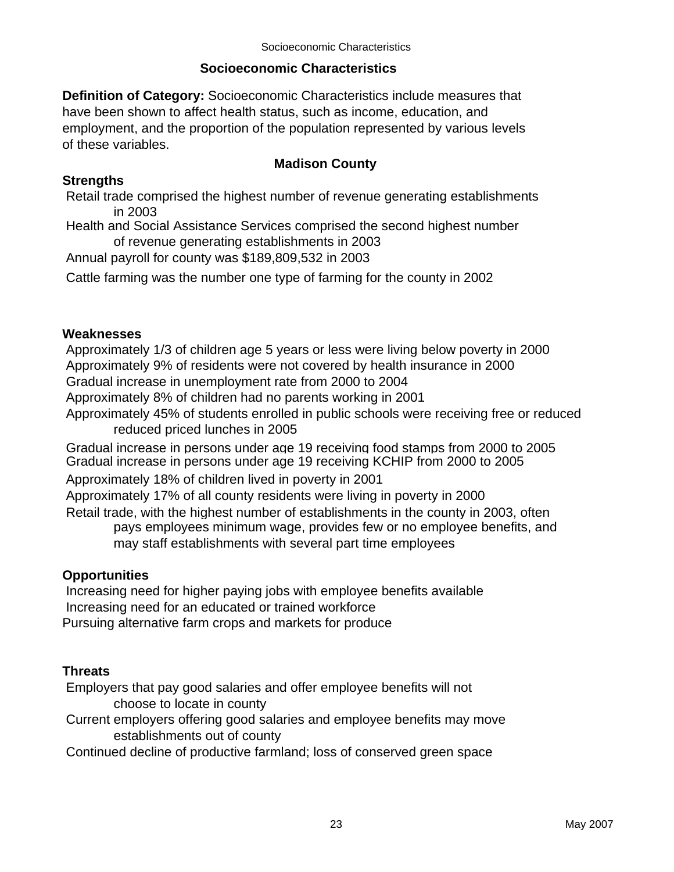#### **Socioeconomic Characteristics**

**Definition of Category:** Socioeconomic Characteristics include measures that have been shown to affect health status, such as income, education, and employment, and the proportion of the population represented by various levels of these variables.

### **Madison County**

#### **Strengths**

 Retail trade comprised the highest number of revenue generating establishments in 2003

 Health and Social Assistance Services comprised the second highest number of revenue generating establishments in 2003

Annual payroll for county was \$189,809,532 in 2003

Cattle farming was the number one type of farming for the county in 2002

#### **Weaknesses**

 Gradual increase in unemployment rate from 2000 to 2004 Approximately 8% of children had no parents working in 2001 Approximately 45% of students enrolled in public schools were receiving free or reduced reduced priced lunches in 2005 Gradual increase in persons under age 19 receiving food stamps from 2000 to 2005 Gradual increase in persons under age 19 receiving KCHIP from 2000 to 2005 Approximately 1/3 of children age 5 years or less were living below poverty in 2000 Approximately 9% of residents were not covered by health insurance in 2000

Approximately 18% of children lived in poverty in 2001

 Approximately 17% of all county residents were living in poverty in 2000 Retail trade, with the highest number of establishments in the county in 2003, often pays employees minimum wage, provides few or no employee benefits, and may staff establishments with several part time employees

#### **Opportunities**

 Increasing need for higher paying jobs with employee benefits available Increasing need for an educated or trained workforce Pursuing alternative farm crops and markets for produce

#### **Threats**

 Employers that pay good salaries and offer employee benefits will not choose to locate in county

 Current employers offering good salaries and employee benefits may move establishments out of county

Continued decline of productive farmland; loss of conserved green space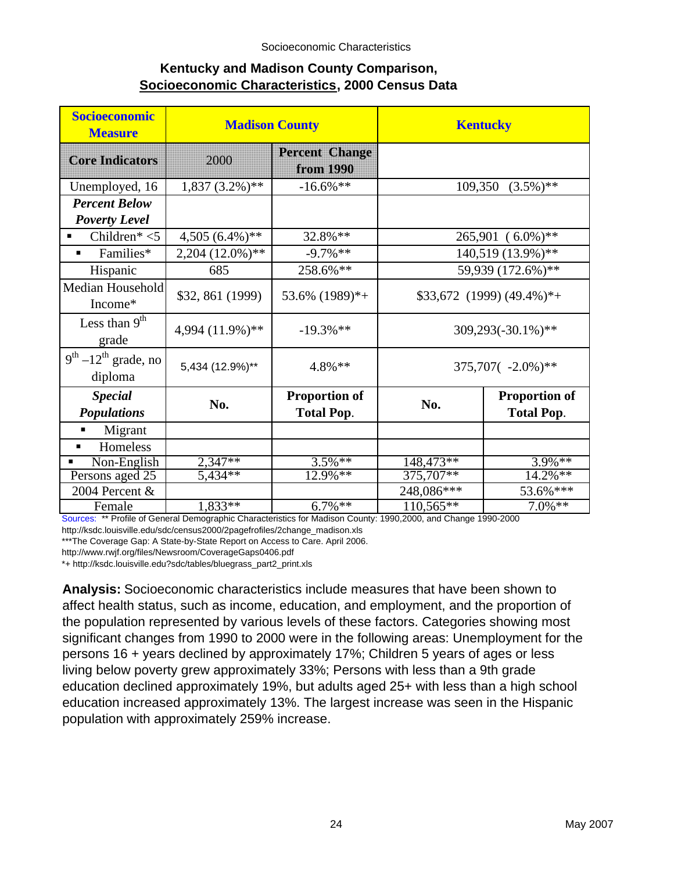### **Kentucky and Madison County Comparison, Socioeconomic Characteristics, 2000 Census Data**

| <b>Socioeconomic</b><br><b>Measure</b>                | <b>Madison County</b> |                                           | <b>Kentucky</b>             |                                           |
|-------------------------------------------------------|-----------------------|-------------------------------------------|-----------------------------|-------------------------------------------|
| <b>Core Indicators</b>                                | 2000                  | <b>Percent Change</b><br>from 1990        |                             |                                           |
| Unemployed, 16                                        | $1,837$ $(3.2\%)**$   | $-16.6\%$ **                              | 109,350                     | $(3.5\%)$ **                              |
| <b>Percent Below</b><br><b>Poverty Level</b>          |                       |                                           |                             |                                           |
| Children* $<$ 5                                       | 4,505 $(6.4\%)**$     | 32.8%**                                   |                             | 265,901 (6.0%)**                          |
| Families*<br>٠                                        | $2,204$ $(12.0\%)$ ** | $-9.7\%$ **                               | 140,519 (13.9%)**           |                                           |
| Hispanic                                              | 685                   | 258.6%**                                  | 59,939 (172.6%)**           |                                           |
| Median Household<br>Income*                           | \$32, 861 (1999)      | 53.6% (1989)*+                            | $$33,672$ (1999) (49.4%)*+  |                                           |
| Less than $9th$<br>grade                              | 4,994 (11.9%)**       | $-19.3\%$ **                              | $309,293(-30.1\%)$ **       |                                           |
| $9^{\text{th}} - 12^{\text{th}}$ grade, no<br>diploma | 5,434 (12.9%)**       | $4.8\%**$                                 | $375,707(-2.0\%)**$         |                                           |
| <b>Special</b><br><b>Populations</b>                  | No.                   | <b>Proportion of</b><br><b>Total Pop.</b> | No.                         | <b>Proportion of</b><br><b>Total Pop.</b> |
| Migrant<br>п                                          |                       |                                           |                             |                                           |
| Homeless<br>٠                                         |                       |                                           |                             |                                           |
| Non-English                                           | $2,347**$             | $3.5\%**$                                 | $148, 473**$                | $3.9\%**$                                 |
| Persons aged 25                                       | $5,434**$             | $12.9\overline{\%**}$                     | $375,707**$<br>$14.2\%**$   |                                           |
| 2004 Percent &                                        |                       |                                           | 248,086***                  | 53.6% ***                                 |
| Female                                                | $1,833**$             | $6.7\%**$                                 | 110,565**<br>$7.0\sqrt{**}$ |                                           |

Sources: \*\* Profile of General Demographic Characteristics for Madison County: 1990,2000, and Change 1990-2000 http://ksdc.louisville.edu/sdc/census2000/2pagefrofiles/2change\_madison.xls

\*\*\*The Coverage Gap: A State-by-State Report on Access to Care. April 2006.

http://www.rwjf.org/files/Newsroom/CoverageGaps0406.pdf

\*+ http://ksdc.louisville.edu?sdc/tables/bluegrass\_part2\_print.xls

**Analysis:** Socioeconomic characteristics include measures that have been shown to affect health status, such as income, education, and employment, and the proportion of the population represented by various levels of these factors. Categories showing most significant changes from 1990 to 2000 were in the following areas: Unemployment for the persons 16 + years declined by approximately 17%; Children 5 years of ages or less living below poverty grew approximately 33%; Persons with less than a 9th grade education declined approximately 19%, but adults aged 25+ with less than a high school education increased approximately 13%. The largest increase was seen in the Hispanic population with approximately 259% increase.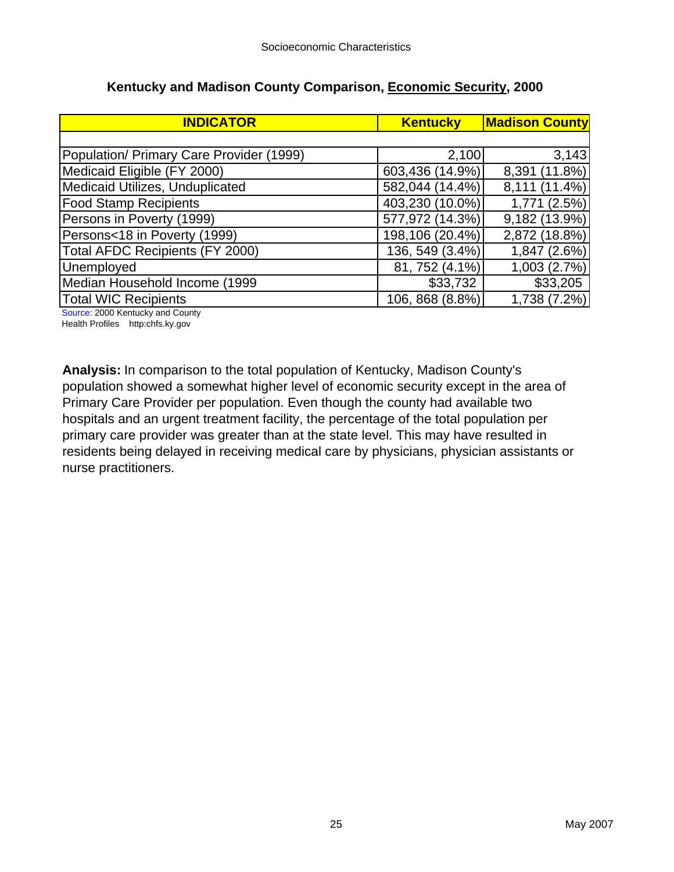| <b>INDICATOR</b>                         | <b>Kentucky</b> | <b>Madison County</b> |
|------------------------------------------|-----------------|-----------------------|
|                                          |                 |                       |
| Population/ Primary Care Provider (1999) | 2,100           | 3,143                 |
| Medicaid Eligible (FY 2000)              | 603,436 (14.9%) | 8,391 (11.8%)         |
| Medicaid Utilizes, Unduplicated          | 582,044 (14.4%) | 8,111 (11.4%)         |
| <b>Food Stamp Recipients</b>             | 403,230 (10.0%) | 1,771 (2.5%)          |
| Persons in Poverty (1999)                | 577,972 (14.3%) | 9,182 (13.9%)         |
| Persons<18 in Poverty (1999)             | 198,106 (20.4%) | 2,872 (18.8%)         |
| Total AFDC Recipients (FY 2000)          | 136, 549 (3.4%) | 1,847 (2.6%)          |
| Unemployed                               | 81, 752 (4.1%)  | 1,003 (2.7%)          |
| Median Household Income (1999            | \$33,732        | \$33,205              |
| <b>Total WIC Recipients</b>              | 106, 868 (8.8%) | 1,738 (7.2%)          |

# **Kentucky and Madison County Comparison, Economic Security, 2000**

Source: 2000 Kentucky and County

Health Profiles http:chfs.ky.gov

**Analysis:** In comparison to the total population of Kentucky, Madison County's population showed a somewhat higher level of economic security except in the area of Primary Care Provider per population. Even though the county had available two hospitals and an urgent treatment facility, the percentage of the total population per primary care provider was greater than at the state level. This may have resulted in residents being delayed in receiving medical care by physicians, physician assistants or nurse practitioners.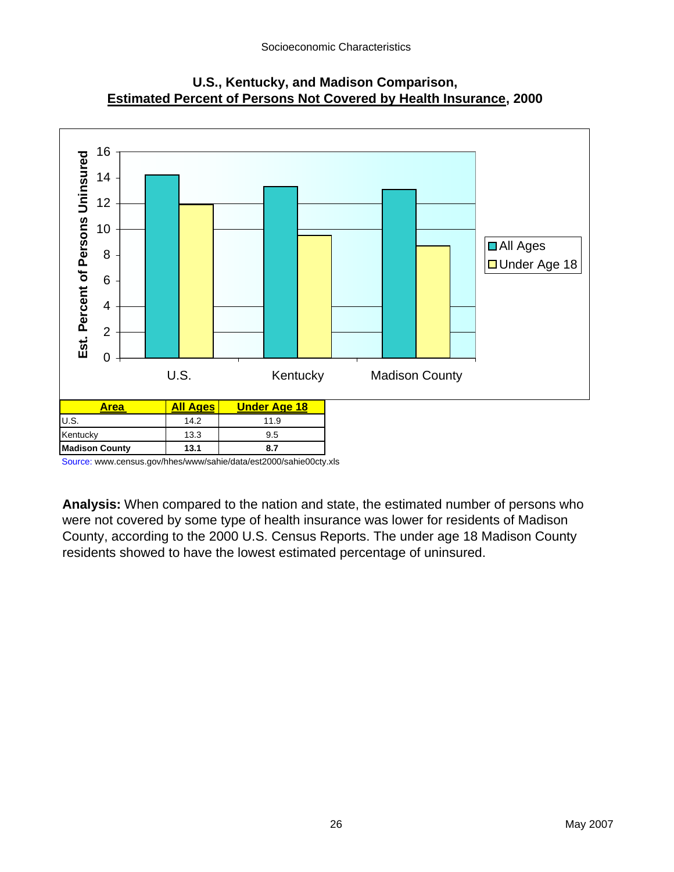



Source: www.census.gov/hhes/www/sahie/data/est2000/sahie00cty.xls

**Analysis:** When compared to the nation and state, the estimated number of persons who were not covered by some type of health insurance was lower for residents of Madison County, according to the 2000 U.S. Census Reports. The under age 18 Madison County residents showed to have the lowest estimated percentage of uninsured.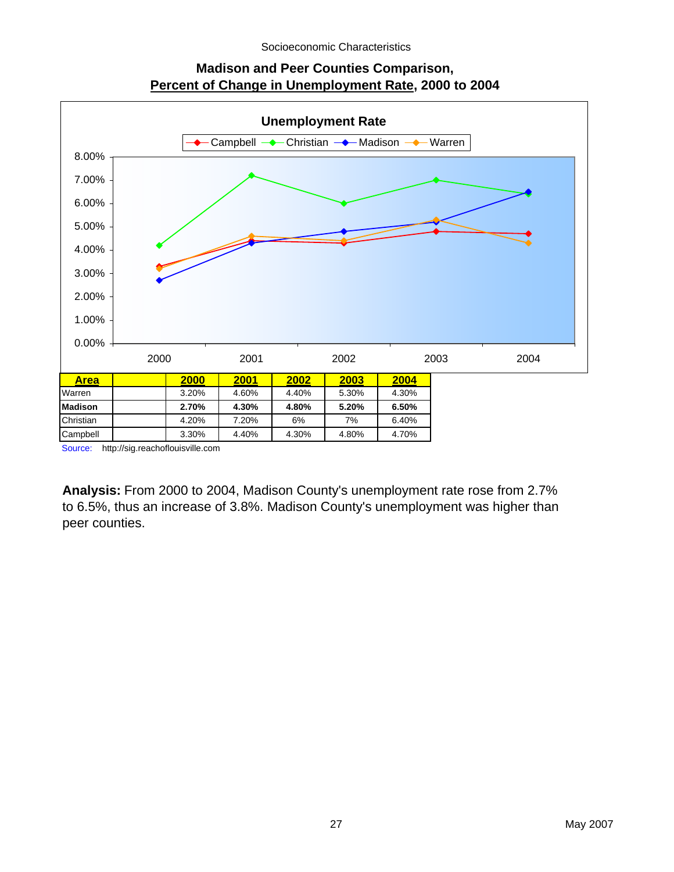## **Madison and Peer Counties Comparison, Percent of Change in Unemployment Rate, 2000 to 2004**



Source: http://sig.reachoflouisville.com

**Analysis:** From 2000 to 2004, Madison County's unemployment rate rose from 2.7% to 6.5%, thus an increase of 3.8%. Madison County's unemployment was higher than peer counties.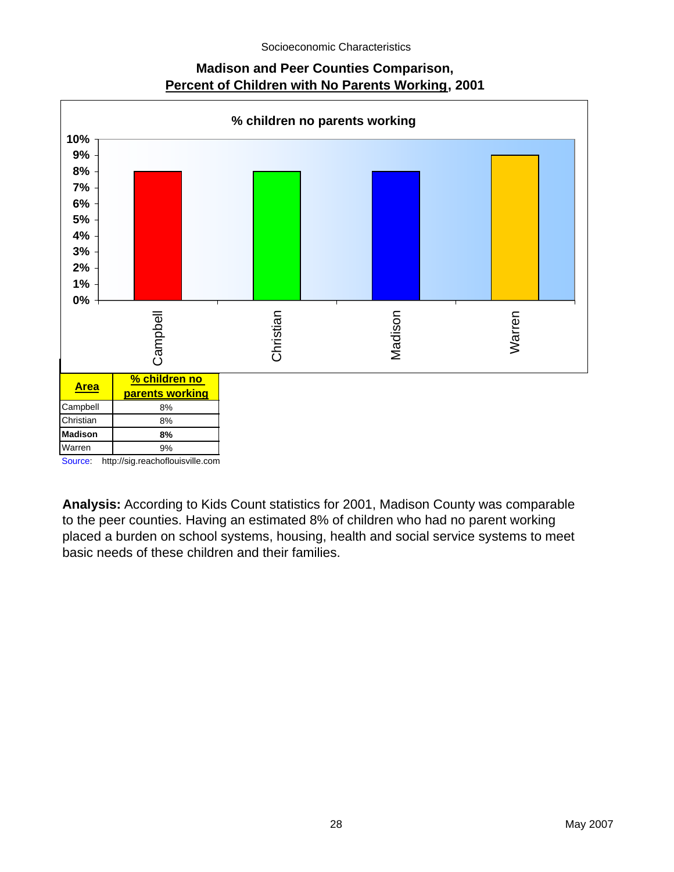



**Analysis:** According to Kids Count statistics for 2001, Madison County was comparable to the peer counties. Having an estimated 8% of children who had no parent working placed a burden on school systems, housing, health and social service systems to meet basic needs of these children and their families.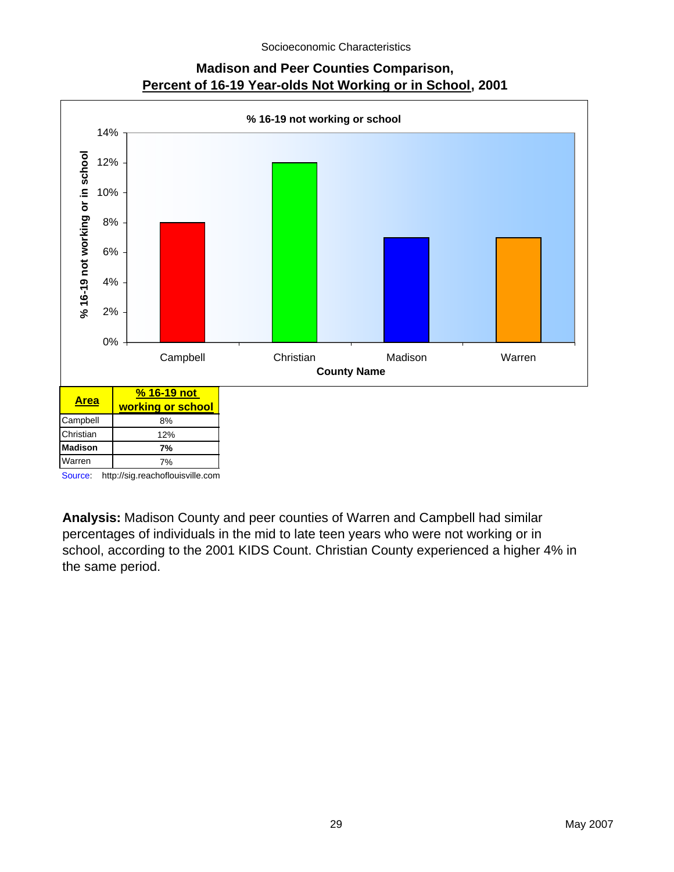



Source: http://sig.reachoflouisville.com

**Analysis:** Madison County and peer counties of Warren and Campbell had similar percentages of individuals in the mid to late teen years who were not working or in school, according to the 2001 KIDS Count. Christian County experienced a higher 4% in the same period.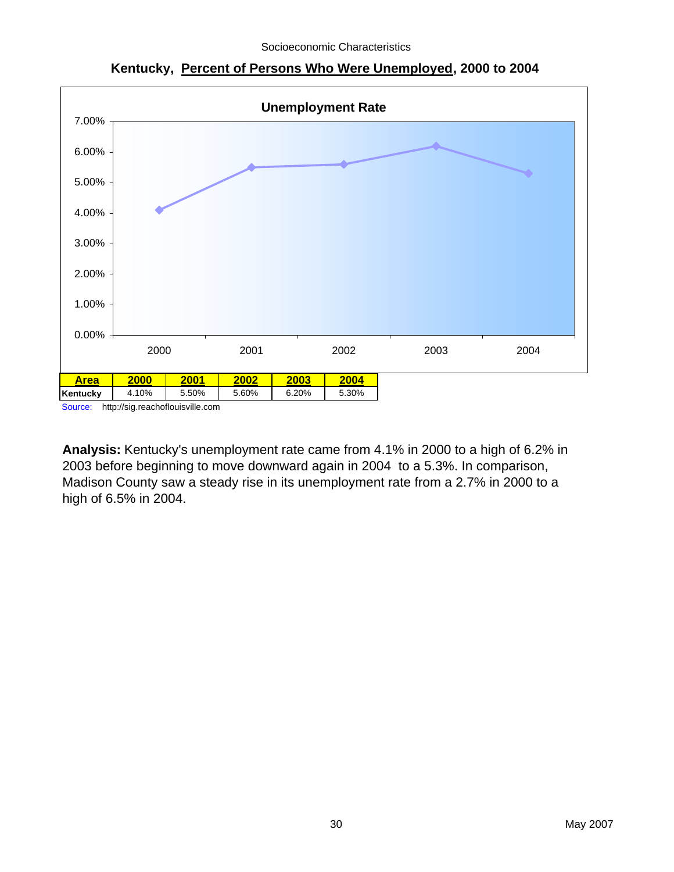

**Kentucky, Percent of Persons Who Were Unemployed, 2000 to 2004**

Source: http://sig.reachoflouisville.com

**Analysis:** Kentucky's unemployment rate came from 4.1% in 2000 to a high of 6.2% in 2003 before beginning to move downward again in 2004 to a 5.3%. In comparison, Madison County saw a steady rise in its unemployment rate from a 2.7% in 2000 to a high of 6.5% in 2004.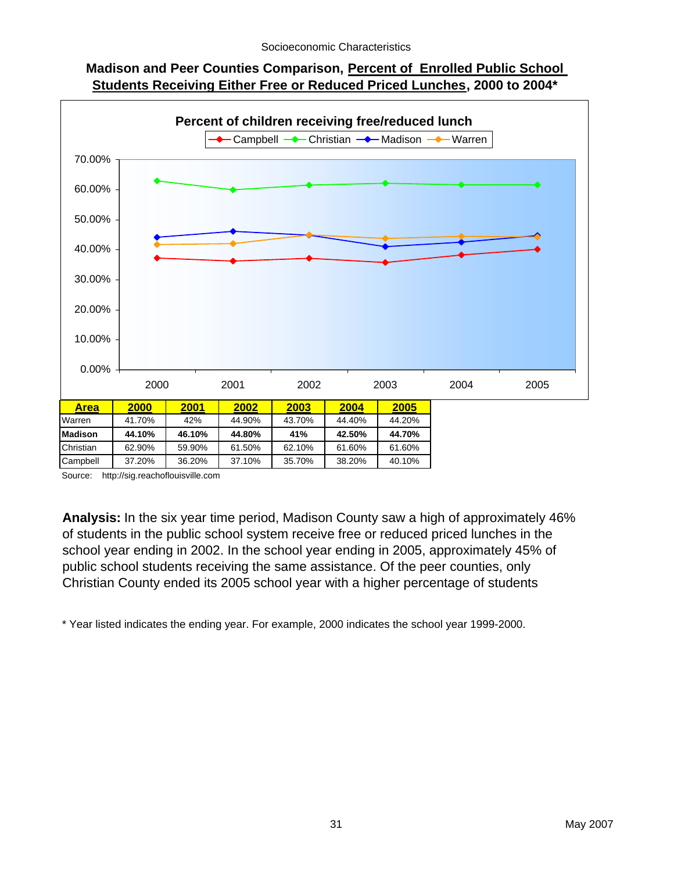

## **Madison and Peer Counties Comparison, Percent of Enrolled Public School Students Receiving Either Free or Reduced Priced Lunches, 2000 to 2004\***

Source: http://sig.reachoflouisville.com

**Analysis:** In the six year time period, Madison County saw a high of approximately 46% of students in the public school system receive free or reduced priced lunches in the school year ending in 2002. In the school year ending in 2005, approximately 45% of public school students receiving the same assistance. Of the peer counties, only Christian County ended its 2005 school year with a higher percentage of students

\* Year listed indicates the ending year. For example, 2000 indicates the school year 1999-2000.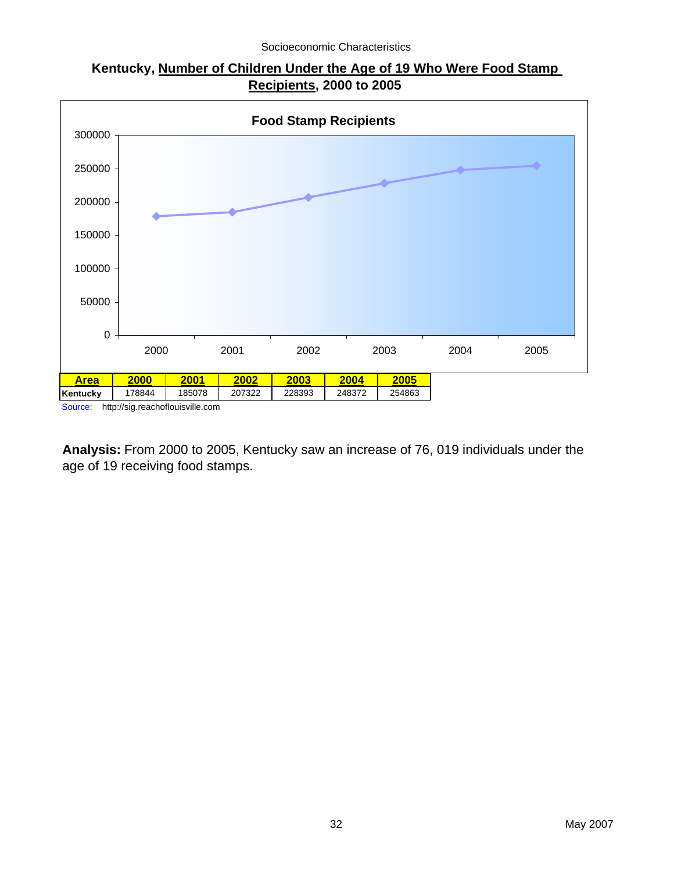![](_page_35_Figure_1.jpeg)

![](_page_35_Figure_2.jpeg)

**Analysis:** From 2000 to 2005, Kentucky saw an increase of 76, 019 individuals under the age of 19 receiving food stamps.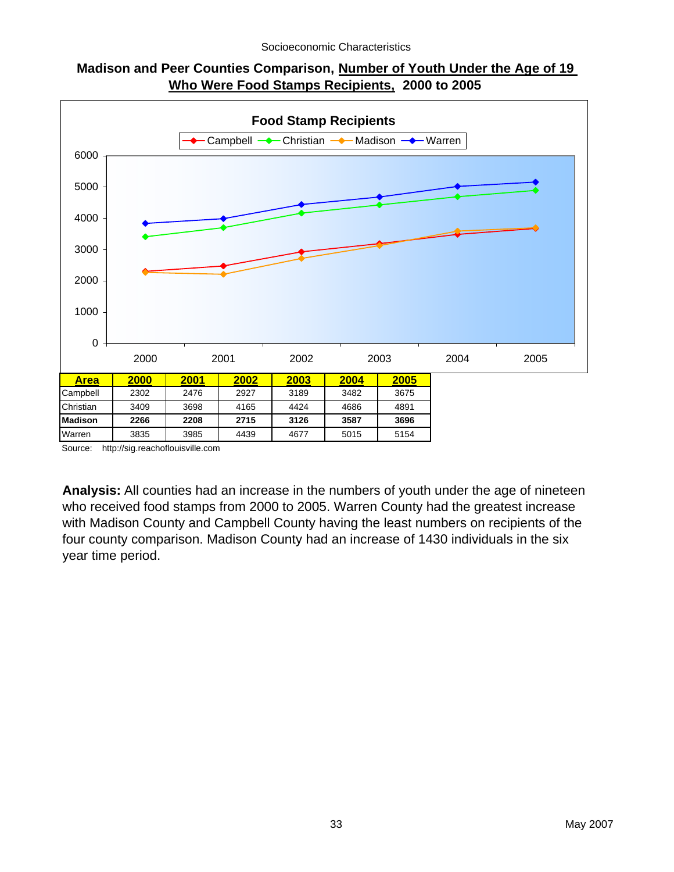

**Madison and Peer Counties Comparison, Number of Youth Under the Age of 19 Who Were Food Stamps Recipients, 2000 to 2005**

Source: http://sig.reachoflouisville.com

**Analysis:** All counties had an increase in the numbers of youth under the age of nineteen who received food stamps from 2000 to 2005. Warren County had the greatest increase with Madison County and Campbell County having the least numbers on recipients of the four county comparison. Madison County had an increase of 1430 individuals in the six year time period.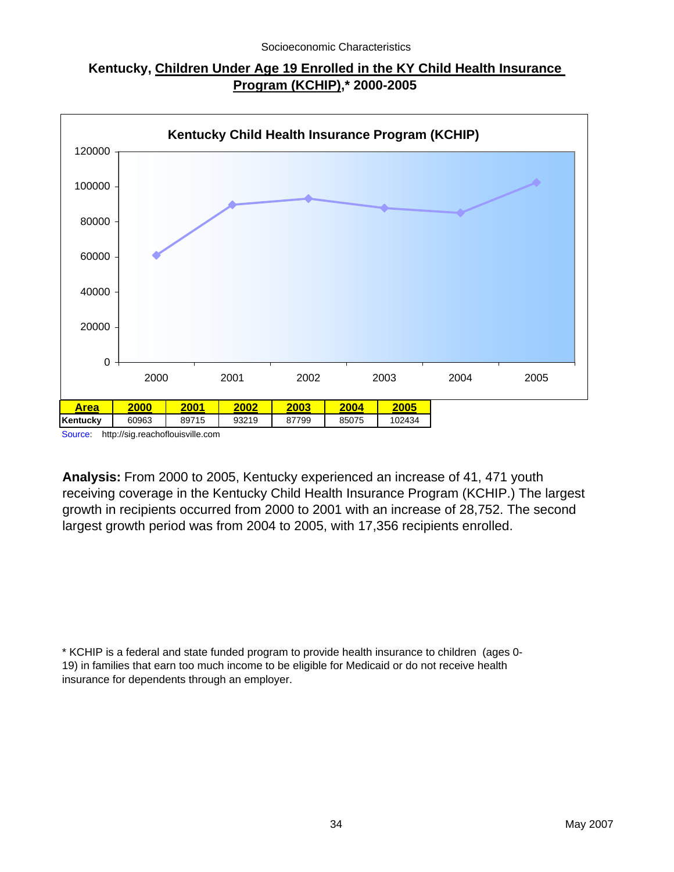



**Analysis:** From 2000 to 2005, Kentucky experienced an increase of 41, 471 youth receiving coverage in the Kentucky Child Health Insurance Program (KCHIP.) The largest growth in recipients occurred from 2000 to 2001 with an increase of 28,752. The second largest growth period was from 2004 to 2005, with 17,356 recipients enrolled.

\* KCHIP is a federal and state funded program to provide health insurance to children (ages 0- 19) in families that earn too much income to be eligible for Medicaid or do not receive health insurance for dependents through an employer.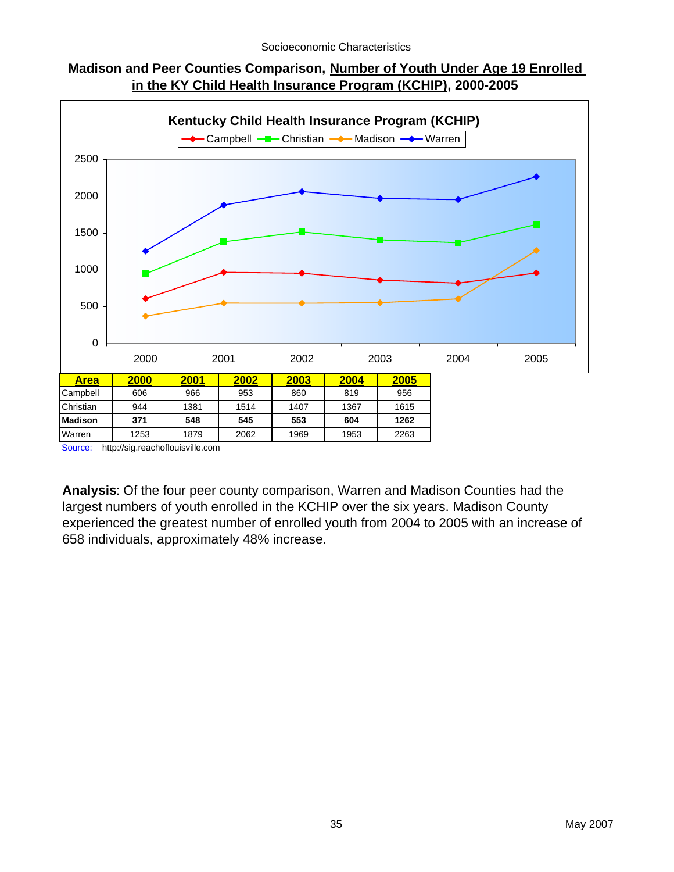

**Madison and Peer Counties Comparison, Number of Youth Under Age 19 Enrolled in the KY Child Health Insurance Program (KCHIP), 2000-2005**

**Analysis**: Of the four peer county comparison, Warren and Madison Counties had the largest numbers of youth enrolled in the KCHIP over the six years. Madison County experienced the greatest number of enrolled youth from 2004 to 2005 with an increase of 658 individuals, approximately 48% increase.

Source: http://sig.reachoflouisville.com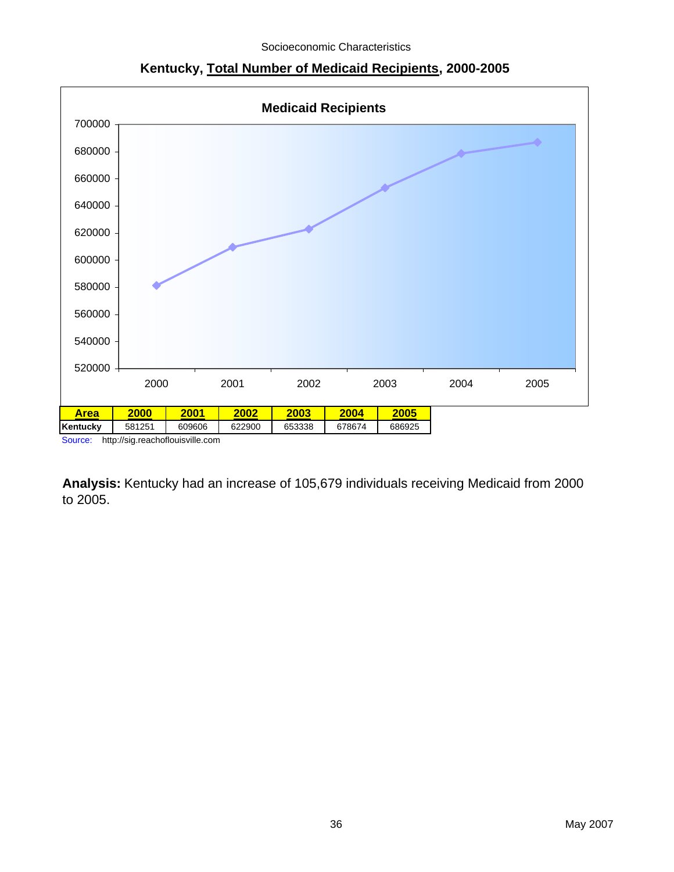



Source: http://sig.reachoflouisville.com

**Analysis:** Kentucky had an increase of 105,679 individuals receiving Medicaid from 2000 to 2005.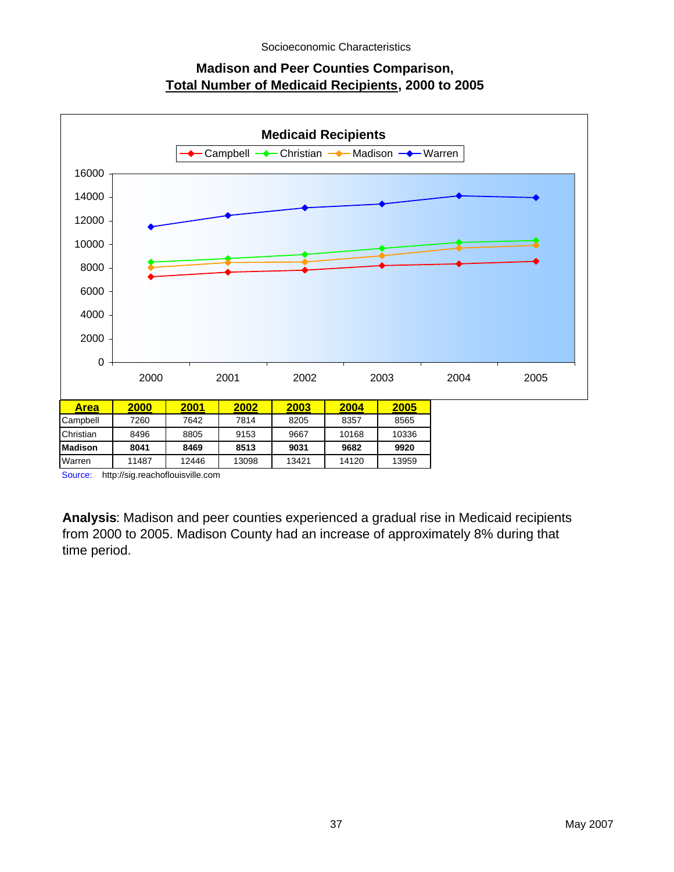



Source: http://sig.reachoflouisville.com

**Analysis**: Madison and peer counties experienced a gradual rise in Medicaid recipients from 2000 to 2005. Madison County had an increase of approximately 8% during that time period.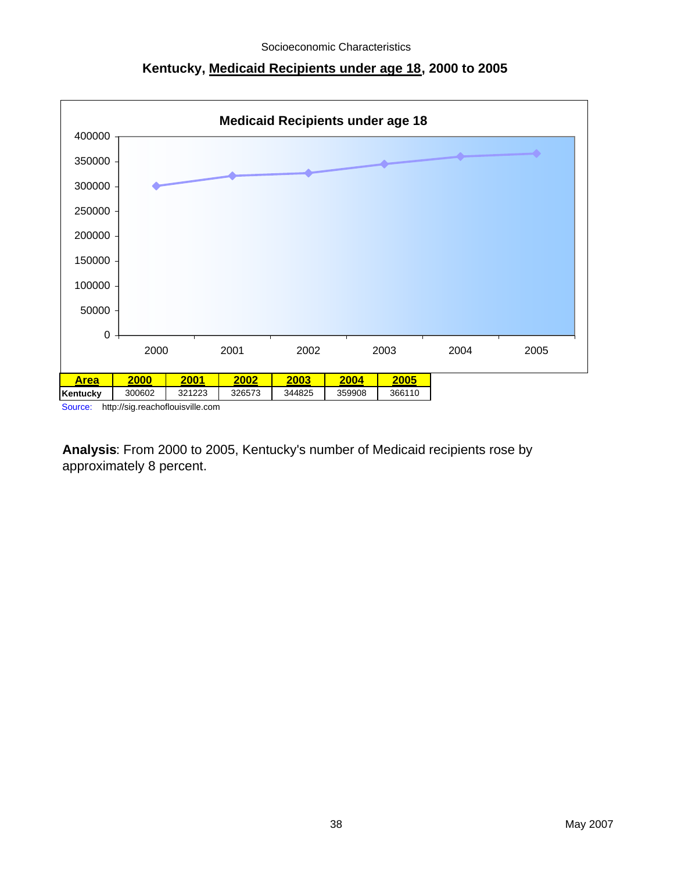

# **Kentucky, Medicaid Recipients under age 18, 2000 to 2005**

Source: http://sig.reachoflouisville.com

**Analysis**: From 2000 to 2005, Kentucky's number of Medicaid recipients rose by approximately 8 percent.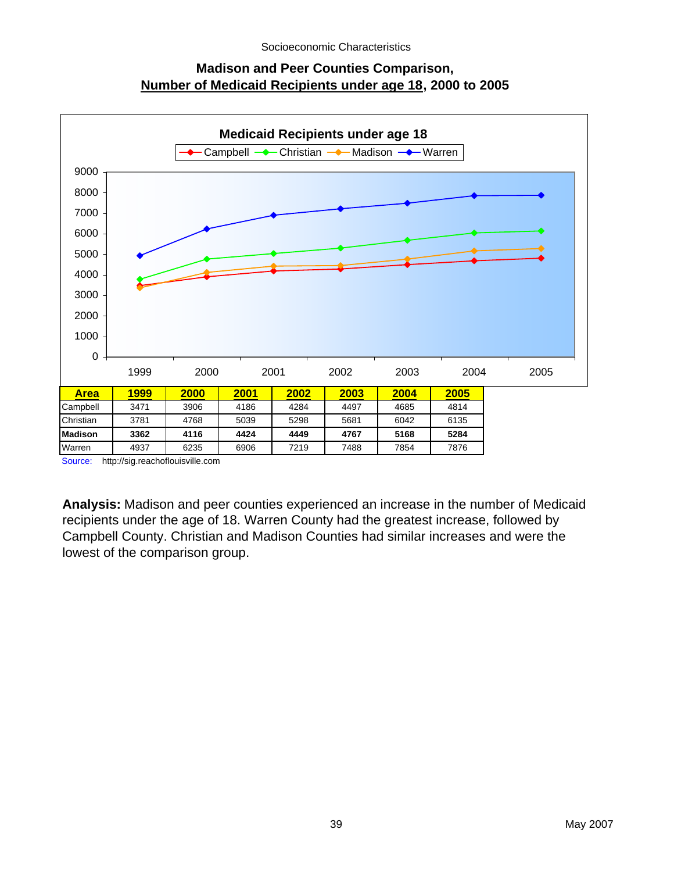### **Madison and Peer Counties Comparison, Number of Medicaid Recipients under age 18, 2000 to 2005**



Source: http://sig.reachoflouisville.com

**Analysis:** Madison and peer counties experienced an increase in the number of Medicaid recipients under the age of 18. Warren County had the greatest increase, followed by Campbell County. Christian and Madison Counties had similar increases and were the lowest of the comparison group.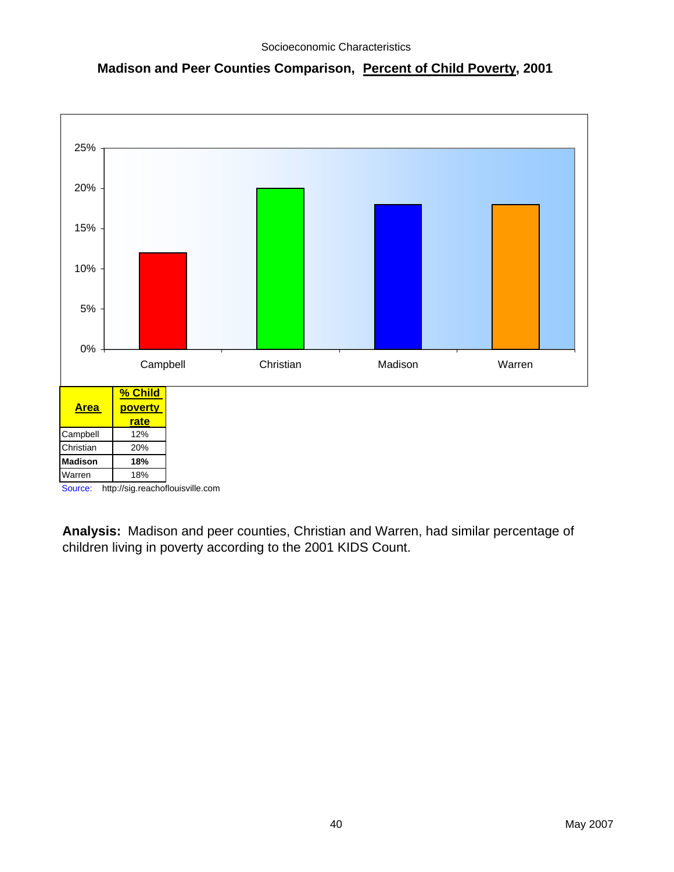



Source: http://sig.reachoflouisville.com

**Analysis:** Madison and peer counties, Christian and Warren, had similar percentage of children living in poverty according to the 2001 KIDS Count.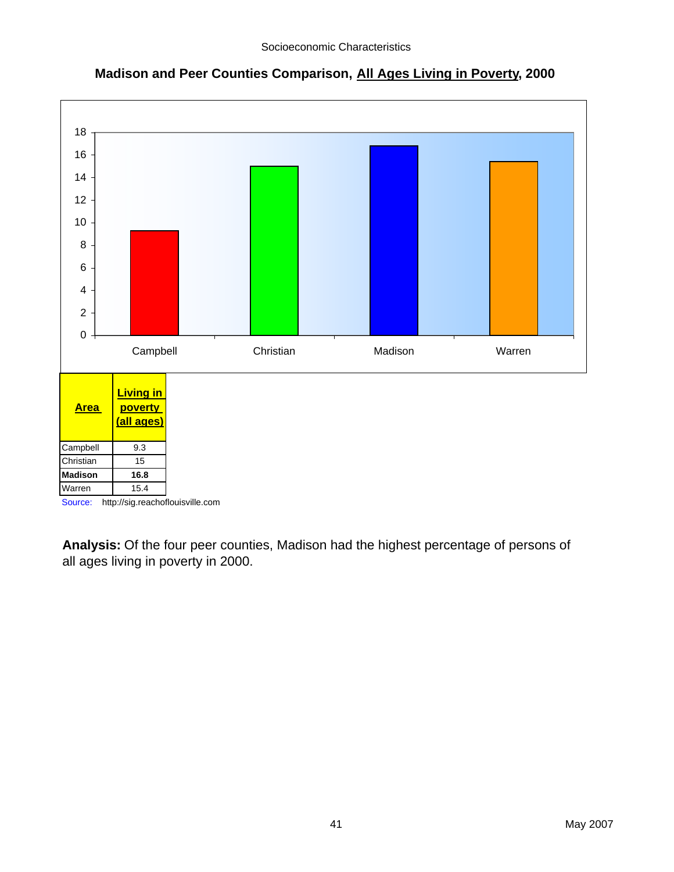



Source: http://sig.reachoflouisville.com

**Analysis:** Of the four peer counties, Madison had the highest percentage of persons of all ages living in poverty in 2000.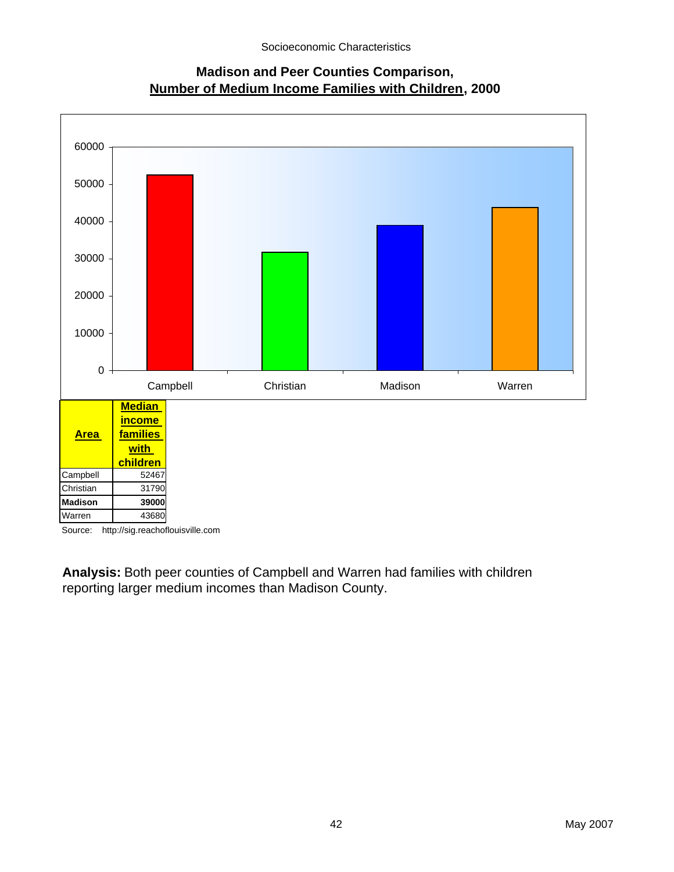

# **Madison and Peer Counties Comparison, Number of Medium Income Families with Children, 2000**

Source: http://sig.reachoflouisville.com

**Analysis:** Both peer counties of Campbell and Warren had families with children reporting larger medium incomes than Madison County.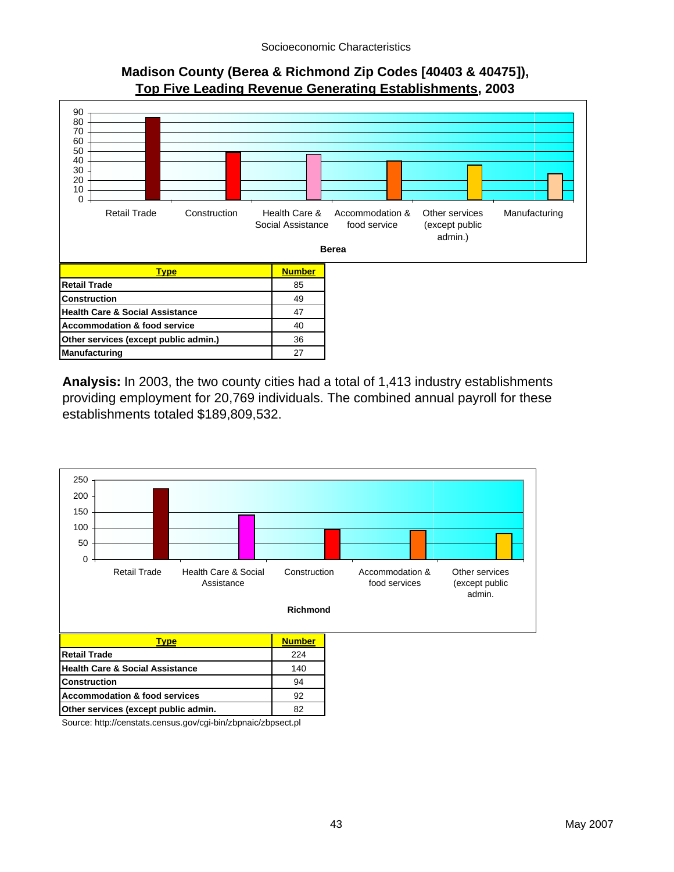# **Madison County (Berea & Richmond Zip Codes [40403 & 40475]), Top Five Leading Revenue Generating Establishments, 2003**



**Analysis:** In 2003, the two county cities had a total of 1,413 industry establishments providing employment for 20,769 individuals. The combined annual payroll for these establishments totaled \$189,809,532.



Source: http://censtats.census.gov/cgi-bin/zbpnaic/zbpsect.pl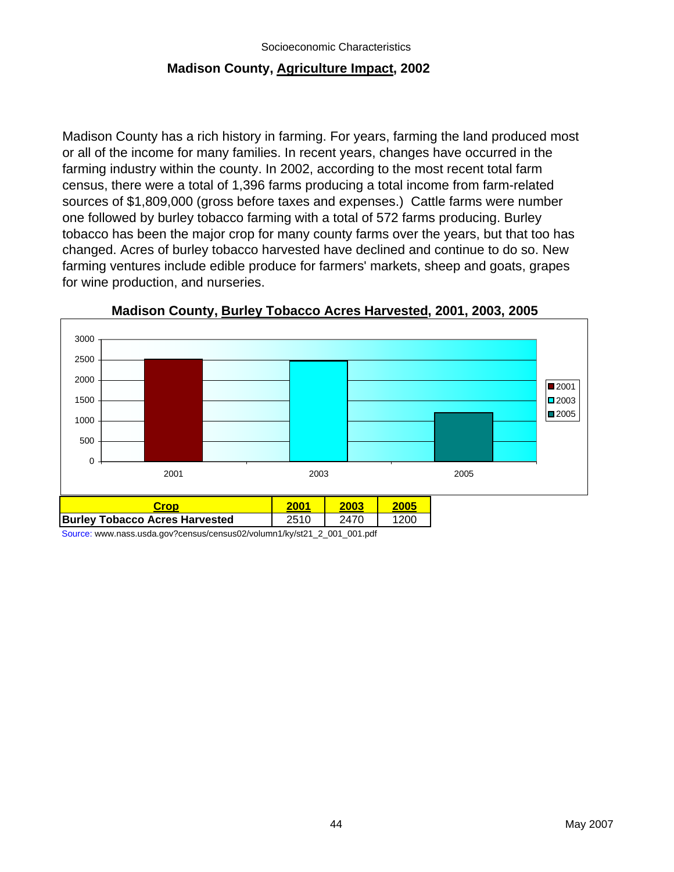### **Madison County, Agriculture Impact, 2002**

Madison County has a rich history in farming. For years, farming the land produced most or all of the income for many families. In recent years, changes have occurred in the farming industry within the county. In 2002, according to the most recent total farm census, there were a total of 1,396 farms producing a total income from farm-related sources of \$1,809,000 (gross before taxes and expenses.) Cattle farms were number one followed by burley tobacco farming with a total of 572 farms producing. Burley tobacco has been the major crop for many county farms over the years, but that too has changed. Acres of burley tobacco harvested have declined and continue to do so. New farming ventures include edible produce for farmers' markets, sheep and goats, grapes for wine production, and nurseries.



**Madison County, Burley Tobacco Acres Harvested, 2001, 2003, 2005**

Source: www.nass.usda.gov?census/census02/volumn1/ky/st21\_2\_001\_001.pdf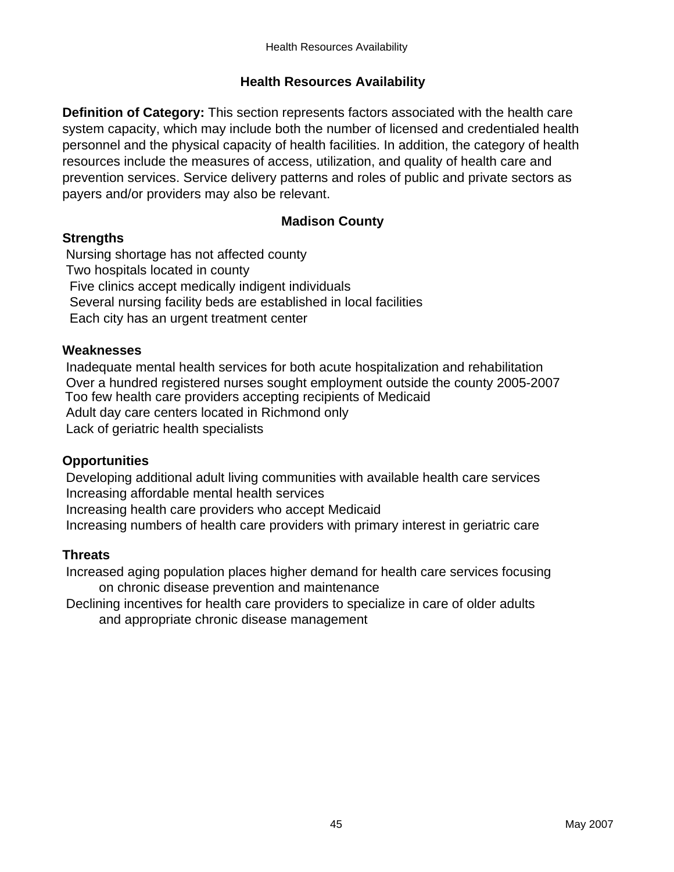**Definition of Category:** This section represents factors associated with the health care system capacity, which may include both the number of licensed and credentialed health personnel and the physical capacity of health facilities. In addition, the category of health resources include the measures of access, utilization, and quality of health care and prevention services. Service delivery patterns and roles of public and private sectors as payers and/or providers may also be relevant.

# **Madison County**

#### **Strengths**

 Two hospitals located in county Five clinics accept medically indigent individuals Several nursing facility beds are established in local facilities Each city has an urgent treatment center Nursing shortage has not affected county

#### **Weaknesses**

 Lack of geriatric health specialists Adult day care centers located in Richmond only Inadequate mental health services for both acute hospitalization and rehabilitation Over a hundred registered nurses sought employment outside the county 2005-2007 Too few health care providers accepting recipients of Medicaid

## **Opportunities**

 Increasing numbers of health care providers with primary interest in geriatric care Increasing affordable mental health services Increasing health care providers who accept Medicaid Developing additional adult living communities with available health care services

## **Threats**

 on chronic disease prevention and maintenance Increased aging population places higher demand for health care services focusing

 and appropriate chronic disease management Declining incentives for health care providers to specialize in care of older adults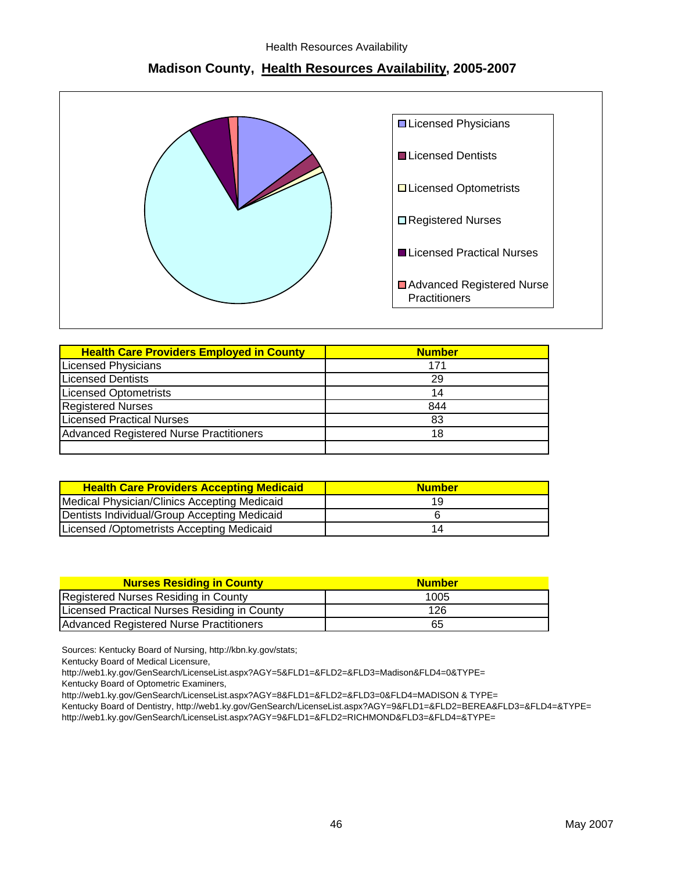### **Madison County, Health Resources Availability, 2005-2007**



| <b>Health Care Providers Employed in County</b> | <b>Number</b> |
|-------------------------------------------------|---------------|
| <b>Licensed Physicians</b>                      | 171           |
| Licensed Dentists                               | 29            |
| <b>Licensed Optometrists</b>                    | 14            |
| <b>Registered Nurses</b>                        | 844           |
| Licensed Practical Nurses                       | 83            |
| Advanced Registered Nurse Practitioners         | 18            |
|                                                 |               |

| <b>Health Care Providers Accepting Medicaid</b> | <b>Number</b> |
|-------------------------------------------------|---------------|
| Medical Physician/Clinics Accepting Medicaid    | 19            |
| Dentists Individual/Group Accepting Medicaid    |               |
| Licensed /Optometrists Accepting Medicaid       | 14            |

| <b>Nurses Residing in County</b>               | <b>Number</b> |
|------------------------------------------------|---------------|
| Registered Nurses Residing in County           | 1005          |
| Licensed Practical Nurses Residing in County   | 126           |
| <b>Advanced Registered Nurse Practitioners</b> | 65            |

Sources: Kentucky Board of Nursing, http://kbn.ky.gov/stats;

Kentucky Board of Medical Licensure,

http://web1.ky.gov/GenSearch/LicenseList.aspx?AGY=5&FLD1=&FLD2=&FLD3=Madison&FLD4=0&TYPE=

Kentucky Board of Optometric Examiners,

http://web1.ky.gov/GenSearch/LicenseList.aspx?AGY=8&FLD1=&FLD2=&FLD3=0&FLD4=MADISON & TYPE=

Kentucky Board of Dentistry, http://web1.ky.gov/GenSearch/LicenseList.aspx?AGY=9&FLD1=&FLD2=BEREA&FLD3=&FLD4=&TYPE= http://web1.ky.gov/GenSearch/LicenseList.aspx?AGY=9&FLD1=&FLD2=RICHMOND&FLD3=&FLD4=&TYPE=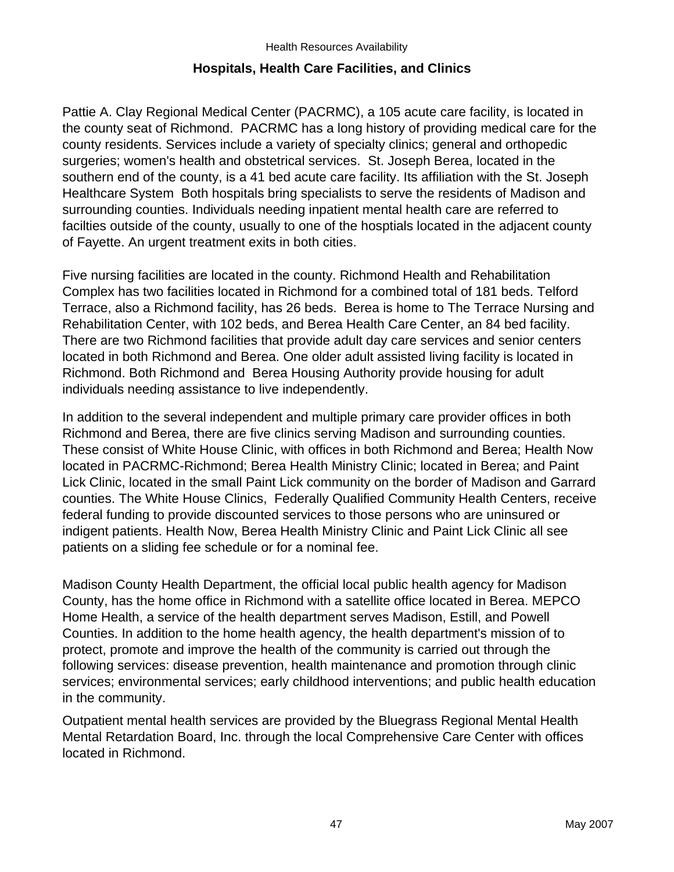### **Hospitals, Health Care Facilities, and Clinics**

Pattie A. Clay Regional Medical Center (PACRMC), a 105 acute care facility, is located in the county seat of Richmond. PACRMC has a long history of providing medical care for the county residents. Services include a variety of specialty clinics; general and orthopedic surgeries; women's health and obstetrical services. St. Joseph Berea, located in the southern end of the county, is a 41 bed acute care facility. Its affiliation with the St. Joseph Healthcare System Both hospitals bring specialists to serve the residents of Madison and surrounding counties. Individuals needing inpatient mental health care are referred to facilties outside of the county, usually to one of the hosptials located in the adjacent county of Fayette. An urgent treatment exits in both cities.

Five nursing facilities are located in the county. Richmond Health and Rehabilitation Complex has two facilities located in Richmond for a combined total of 181 beds. Telford Terrace, also a Richmond facility, has 26 beds. Berea is home to The Terrace Nursing and Rehabilitation Center, with 102 beds, and Berea Health Care Center, an 84 bed facility. There are two Richmond facilities that provide adult day care services and senior centers located in both Richmond and Berea. One older adult assisted living facility is located in Richmond. Both Richmond and Berea Housing Authority provide housing for adult individuals needing assistance to live independently.

In addition to the several independent and multiple primary care provider offices in both Richmond and Berea, there are five clinics serving Madison and surrounding counties. These consist of White House Clinic, with offices in both Richmond and Berea; Health Now located in PACRMC-Richmond; Berea Health Ministry Clinic; located in Berea; and Paint Lick Clinic, located in the small Paint Lick community on the border of Madison and Garrard counties. The White House Clinics, Federally Qualified Community Health Centers, receive federal funding to provide discounted services to those persons who are uninsured or indigent patients. Health Now, Berea Health Ministry Clinic and Paint Lick Clinic all see patients on a sliding fee schedule or for a nominal fee.

Madison County Health Department, the official local public health agency for Madison County, has the home office in Richmond with a satellite office located in Berea. MEPCO Home Health, a service of the health department serves Madison, Estill, and Powell Counties. In addition to the home health agency, the health department's mission of to protect, promote and improve the health of the community is carried out through the following services: disease prevention, health maintenance and promotion through clinic services; environmental services; early childhood interventions; and public health education in the community.

Outpatient mental health services are provided by the Bluegrass Regional Mental Health Mental Retardation Board, Inc. through the local Comprehensive Care Center with offices located in Richmond.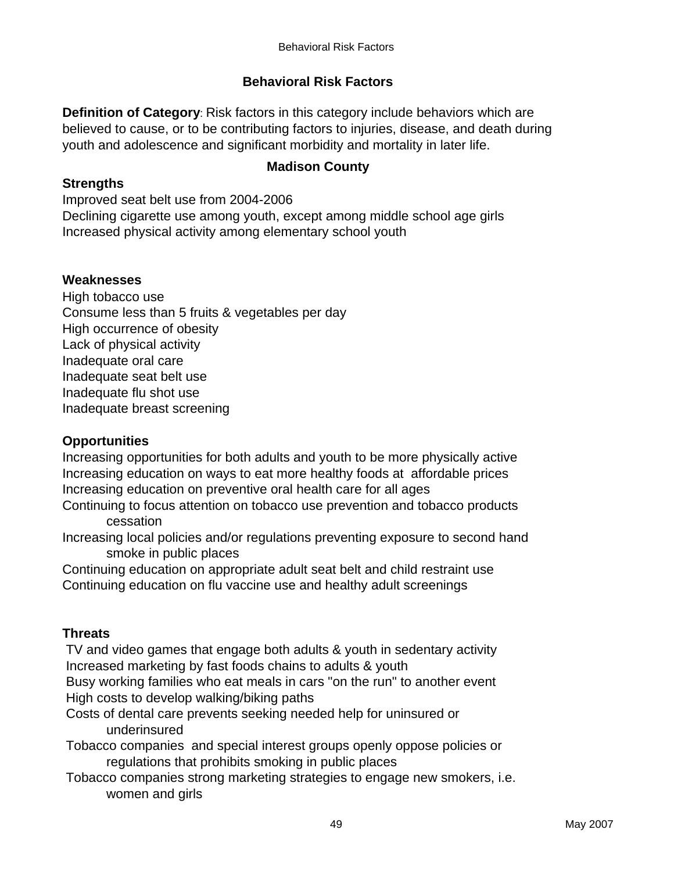# **Behavioral Risk Factors**

**Definition of Category**: Risk factors in this category include behaviors which are believed to cause, or to be contributing factors to injuries, disease, and death during youth and adolescence and significant morbidity and mortality in later life.

### **Strengths**

#### **Madison County**

Improved seat belt use from 2004-2006 Declining cigarette use among youth, except among middle school age girls Increased physical activity among elementary school youth

#### **Weaknesses**

Inadequate oral care Inadequate seat belt use Inadequate flu shot use Inadequate breast screening High tobacco use Consume less than 5 fruits & vegetables per day High occurrence of obesity Lack of physical activity

## **Opportunities**

Increasing opportunities for both adults and youth to be more physically active Increasing education on ways to eat more healthy foods at affordable prices Increasing education on preventive oral health care for all ages

Continuing to focus attention on tobacco use prevention and tobacco products cessation

Increasing local policies and/or regulations preventing exposure to second hand smoke in public places

Continuing education on appropriate adult seat belt and child restraint use Continuing education on flu vaccine use and healthy adult screenings

## **Threats**

 Increased marketing by fast foods chains to adults & youth TV and video games that engage both adults & youth in sedentary activity

 Busy working families who eat meals in cars "on the run" to another event High costs to develop walking/biking paths

 Costs of dental care prevents seeking needed help for uninsured or underinsured

 Tobacco companies and special interest groups openly oppose policies or regulations that prohibits smoking in public places

 Tobacco companies strong marketing strategies to engage new smokers, i.e. women and girls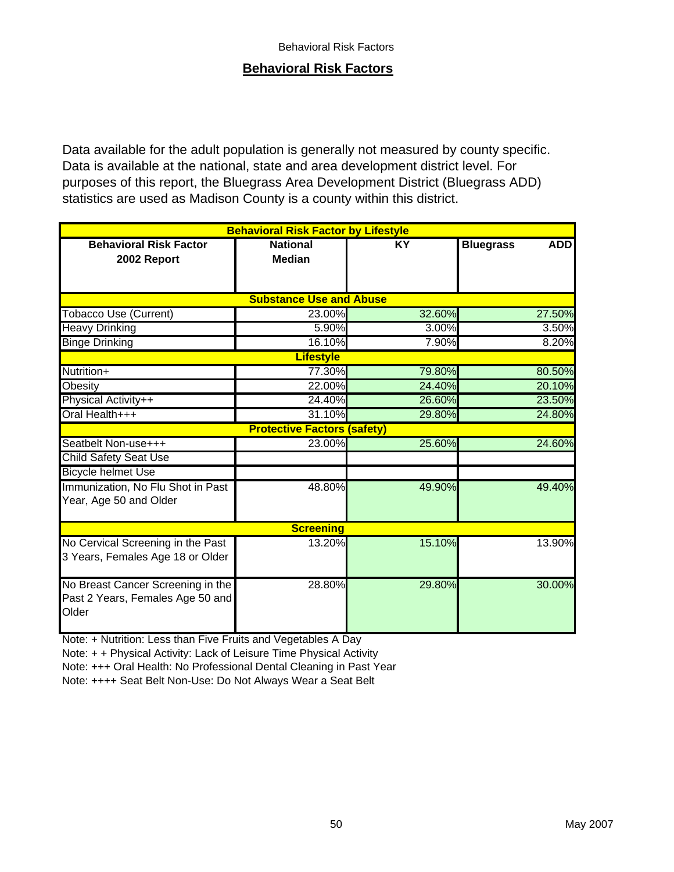#### **Behavioral Risk Factors**

Data available for the adult population is generally not measured by county specific. Data is available at the national, state and area development district level. For purposes of this report, the Bluegrass Area Development District (Bluegrass ADD) statistics are used as Madison County is a county within this district.

| <b>Behavioral Risk Factor by Lifestyle</b>                                     |                                    |           |                                |
|--------------------------------------------------------------------------------|------------------------------------|-----------|--------------------------------|
| <b>Behavioral Risk Factor</b><br>2002 Report                                   | <b>National</b><br><b>Median</b>   | <b>KY</b> | <b>ADD</b><br><b>Bluegrass</b> |
|                                                                                | <b>Substance Use and Abuse</b>     |           |                                |
| <b>Tobacco Use (Current)</b>                                                   | 23.00%                             | 32.60%    | 27.50%                         |
| <b>Heavy Drinking</b>                                                          | 5.90%                              | 3.00%     | 3.50%                          |
| <b>Binge Drinking</b>                                                          | 16.10%                             | 7.90%     | 8.20%                          |
|                                                                                | <b>Lifestyle</b>                   |           |                                |
| Nutrition+                                                                     | 77.30%                             | 79.80%    | 80.50%                         |
| <b>Obesity</b>                                                                 | 22.00%                             | 24.40%    | 20.10%                         |
| Physical Activity++                                                            | 24.40%                             | 26.60%    | 23.50%                         |
| Oral Health+++                                                                 | 31.10%                             | 29.80%    | 24.80%                         |
|                                                                                | <b>Protective Factors (safety)</b> |           |                                |
| Seatbelt Non-use+++                                                            | 23.00%                             | 25.60%    | 24.60%                         |
| <b>Child Safety Seat Use</b>                                                   |                                    |           |                                |
| <b>Bicycle helmet Use</b>                                                      |                                    |           |                                |
| Immunization, No Flu Shot in Past<br>Year, Age 50 and Older                    | 48.80%                             | 49.90%    | 49.40%                         |
| <b>Screening</b>                                                               |                                    |           |                                |
| No Cervical Screening in the Past<br>3 Years, Females Age 18 or Older          | 13.20%                             | 15.10%    | 13.90%                         |
| No Breast Cancer Screening in the<br>Past 2 Years, Females Age 50 and<br>Older | 28.80%                             | 29.80%    | 30.00%                         |

Note: + Nutrition: Less than Five Fruits and Vegetables A Day

Note: + + Physical Activity: Lack of Leisure Time Physical Activity

Note: +++ Oral Health: No Professional Dental Cleaning in Past Year

Note: ++++ Seat Belt Non-Use: Do Not Always Wear a Seat Belt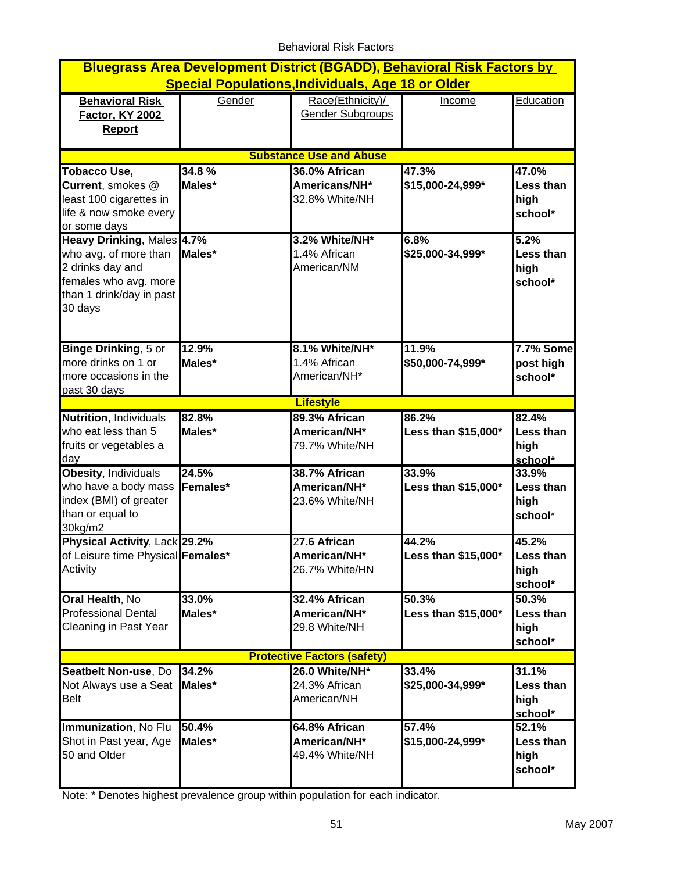|                                                                                                                                         | <b>Bluegrass Area Development District (BGADD), Behavioral Risk Factors by</b> |                                                            |                              |                                                           |
|-----------------------------------------------------------------------------------------------------------------------------------------|--------------------------------------------------------------------------------|------------------------------------------------------------|------------------------------|-----------------------------------------------------------|
|                                                                                                                                         | <b>Special Populations, Individuals, Age 18 or Older</b>                       |                                                            |                              |                                                           |
| <b>Behavioral Risk</b><br><b>Factor, KY 2002</b><br><b>Report</b>                                                                       | Gender                                                                         | Race(Ethnicity)/<br><b>Gender Subgroups</b>                | Income                       | <b>Education</b>                                          |
|                                                                                                                                         |                                                                                | <b>Substance Use and Abuse</b>                             |                              |                                                           |
| <b>Tobacco Use,</b><br>Current, smokes @<br>least 100 cigarettes in<br>life & now smoke every<br>or some days                           | 34.8%<br>Males*                                                                | 36.0% African<br>Americans/NH*<br>32.8% White/NH           | 47.3%<br>\$15,000-24,999*    | 47.0%<br>Less than<br>high<br>school*                     |
| Heavy Drinking, Males 4.7%<br>who avg. of more than<br>2 drinks day and<br>females who avg. more<br>than 1 drink/day in past<br>30 days | Males*                                                                         | 3.2% White/NH*<br>1.4% African<br>American/NM              | 6.8%<br>\$25,000-34,999*     | $\overline{5.2\%}$<br><b>Less than</b><br>high<br>school* |
| <b>Binge Drinking, 5 or</b><br>more drinks on 1 or<br>more occasions in the<br>past 30 days                                             | 12.9%<br>Males*                                                                | 8.1% White/NH*<br>1.4% African<br>American/NH*             | 11.9%<br>\$50,000-74,999*    | <b>7.7% Some</b><br>post high<br>school*                  |
|                                                                                                                                         |                                                                                | <b>Lifestyle</b>                                           |                              |                                                           |
| <b>Nutrition, Individuals</b><br>who eat less than 5<br>fruits or vegetables a<br>day                                                   | 82.8%<br>Males*                                                                | 89.3% African<br>American/NH*<br>79.7% White/NH            | 86.2%<br>Less than \$15,000* | 82.4%<br>Less than<br>high<br>school*                     |
| Obesity, Individuals<br>who have a body mass<br>index (BMI) of greater<br>than or equal to<br>30kg/m2                                   | 24.5%<br>Females*                                                              | 38.7% African<br>American/NH*<br>23.6% White/NH            | 33.9%<br>Less than \$15,000* | 33.9%<br>Less than<br>high<br>school*                     |
| Physical Activity, Lack 29.2%<br>of Leisure time Physical Females*<br>Activity                                                          |                                                                                | 27.6 African<br>American/NH <sup>*</sup><br>26.7% White/HN | 44.2%<br>Less than \$15,000* | 45.2%<br><b>Less than</b><br>high<br>school*              |
| Oral Health, No<br><b>Professional Dental</b><br>Cleaning in Past Year                                                                  | 33.0%<br>Males*                                                                | 32.4% African<br>American/NH*<br>29.8 White/NH             | 50.3%<br>Less than \$15,000* | 50.3%<br>Less than<br>high<br>school*                     |
| <b>Protective Factors (safety)</b>                                                                                                      |                                                                                |                                                            |                              |                                                           |
| Seatbelt Non-use, Do<br>Not Always use a Seat Males*<br><b>Belt</b>                                                                     | 34.2%                                                                          | 26.0 White/NH*<br>24.3% African<br>American/NH             | 33.4%<br>\$25,000-34,999*    | 31.1%<br>Less than<br>high<br>school*                     |
| Immunization, No Flu<br>Shot in Past year, Age<br>50 and Older                                                                          | 50.4%<br>Males*                                                                | 64.8% African<br>American/NH*<br>49.4% White/NH            | 57.4%<br>\$15,000-24,999*    | 52.1%<br>Less than<br>high<br>school*                     |

Note: \* Denotes highest prevalence group within population for each indicator.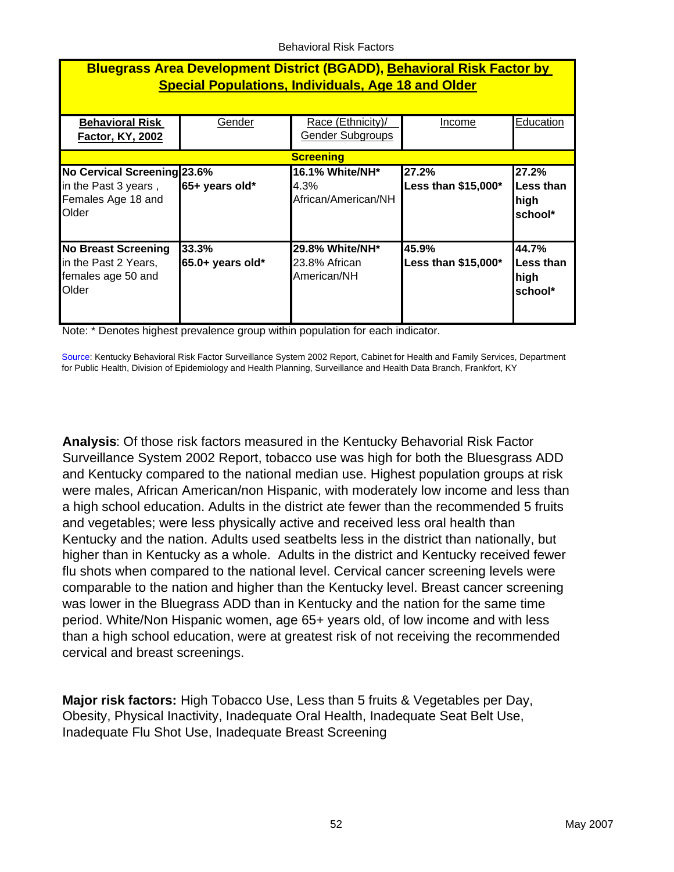## **Bluegrass Area Development District (BGADD), Behavioral Risk Factor by Special Populations, Individuals, Age 18 and Older**

| <b>Behavioral Risk</b>                                                                   | Gender                      | Race (Ethnicity)/                               | Income                       | Education                             |
|------------------------------------------------------------------------------------------|-----------------------------|-------------------------------------------------|------------------------------|---------------------------------------|
| Factor, KY, 2002                                                                         |                             | <b>Gender Subgroups</b>                         |                              |                                       |
|                                                                                          |                             | <b>Screening</b>                                |                              |                                       |
| No Cervical Screening 23.6%                                                              |                             | 16.1% White/NH*                                 | 27.2%                        | 27.2%                                 |
| in the Past 3 years,<br>Females Age 18 and<br><b>Older</b>                               | 65+ years old*              | 4.3%<br>African/American/NH                     | Less than \$15,000*          | Less than<br>high<br>school*          |
| <b>No Breast Screening</b><br>in the Past 2 Years,<br>females age 50 and<br><b>Older</b> | 33.3%<br>$65.0+$ years old* | 29.8% White/NH*<br>23.8% African<br>American/NH | 45.9%<br>Less than \$15,000* | 44.7%<br>Less than<br>high<br>school* |

Note: \* Denotes highest prevalence group within population for each indicator.

Source: Kentucky Behavioral Risk Factor Surveillance System 2002 Report, Cabinet for Health and Family Services, Department for Public Health, Division of Epidemiology and Health Planning, Surveillance and Health Data Branch, Frankfort, KY

**Analysis**: Of those risk factors measured in the Kentucky Behavorial Risk Factor Surveillance System 2002 Report, tobacco use was high for both the Bluesgrass ADD and Kentucky compared to the national median use. Highest population groups at risk were males, African American/non Hispanic, with moderately low income and less than a high school education. Adults in the district ate fewer than the recommended 5 fruits and vegetables; were less physically active and received less oral health than Kentucky and the nation. Adults used seatbelts less in the district than nationally, but higher than in Kentucky as a whole. Adults in the district and Kentucky received fewer flu shots when compared to the national level. Cervical cancer screening levels were comparable to the nation and higher than the Kentucky level. Breast cancer screening was lower in the Bluegrass ADD than in Kentucky and the nation for the same time period. White/Non Hispanic women, age 65+ years old, of low income and with less than a high school education, were at greatest risk of not receiving the recommended cervical and breast screenings.

**Major risk factors:** High Tobacco Use, Less than 5 fruits & Vegetables per Day, Obesity, Physical Inactivity, Inadequate Oral Health, Inadequate Seat Belt Use, Inadequate Flu Shot Use, Inadequate Breast Screening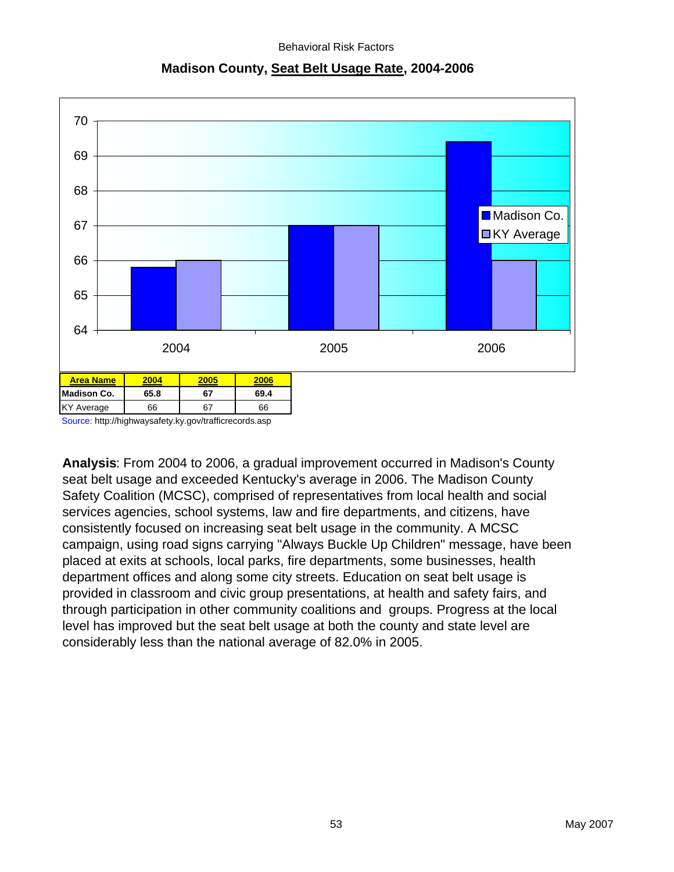#### Behavioral Risk Factors



## **Madison County, Seat Belt Usage Rate, 2004-2006**

Source: http://highwaysafety.ky.gov/trafficrecords.asp

**Analysis**: From 2004 to 2006, a gradual improvement occurred in Madison's County seat belt usage and exceeded Kentucky's average in 2006. The Madison County Safety Coalition (MCSC), comprised of representatives from local health and social services agencies, school systems, law and fire departments, and citizens, have consistently focused on increasing seat belt usage in the community. A MCSC campaign, using road signs carrying "Always Buckle Up Children" message, have been placed at exits at schools, local parks, fire departments, some businesses, health department offices and along some city streets. Education on seat belt usage is provided in classroom and civic group presentations, at health and safety fairs, and through participation in other community coalitions and groups. Progress at the local level has improved but the seat belt usage at both the county and state level are considerably less than the national average of 82.0% in 2005.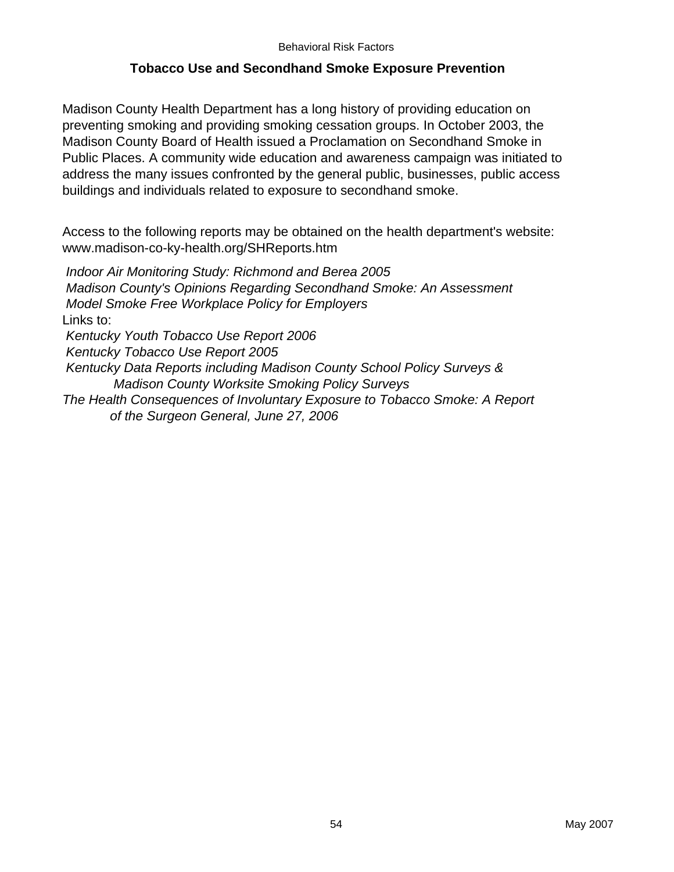## **Tobacco Use and Secondhand Smoke Exposure Prevention**

Madison County Health Department has a long history of providing education on preventing smoking and providing smoking cessation groups. In October 2003, the Madison County Board of Health issued a Proclamation on Secondhand Smoke in Public Places. A community wide education and awareness campaign was initiated to address the many issues confronted by the general public, businesses, public access buildings and individuals related to exposure to secondhand smoke.

Access to the following reports may be obtained on the health department's website: www.madison-co-ky-health.org/SHReports.htm

 *Madison County Worksite Smoking Policy Surveys The Health Consequences of Involuntary Exposure to Tobacco Smoke: A Report of the Surgeon General, June 27, 2006 Model Smoke Free Workplace Policy for Employers* Links to:  *Kentucky Youth Tobacco Use Report 2006 Kentucky Tobacco Use Report 2005 Kentucky Data Reports including Madison County School Policy Surveys & Indoor Air Monitoring Study: Richmond and Berea 2005 Madison County's Opinions Regarding Secondhand Smoke: An Assessment*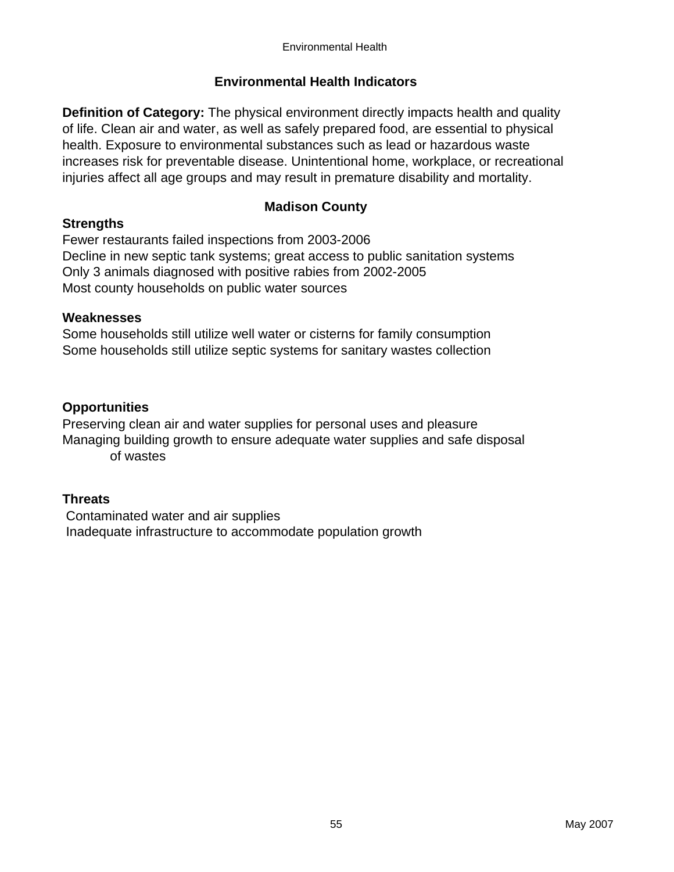## **Environmental Health Indicators**

**Definition of Category:** The physical environment directly impacts health and quality of life. Clean air and water, as well as safely prepared food, are essential to physical health. Exposure to environmental substances such as lead or hazardous waste increases risk for preventable disease. Unintentional home, workplace, or recreational injuries affect all age groups and may result in premature disability and mortality.

### **Madison County**

#### **Strengths**

Fewer restaurants failed inspections from 2003-2006 Decline in new septic tank systems; great access to public sanitation systems Only 3 animals diagnosed with positive rabies from 2002-2005 Most county households on public water sources

#### **Weaknesses**

Some households still utilize well water or cisterns for family consumption Some households still utilize septic systems for sanitary wastes collection

#### **Opportunities**

Managing building growth to ensure adequate water supplies and safe disposal of wastes Preserving clean air and water supplies for personal uses and pleasure

#### **Threats**

 Contaminated water and air supplies Inadequate infrastructure to accommodate population growth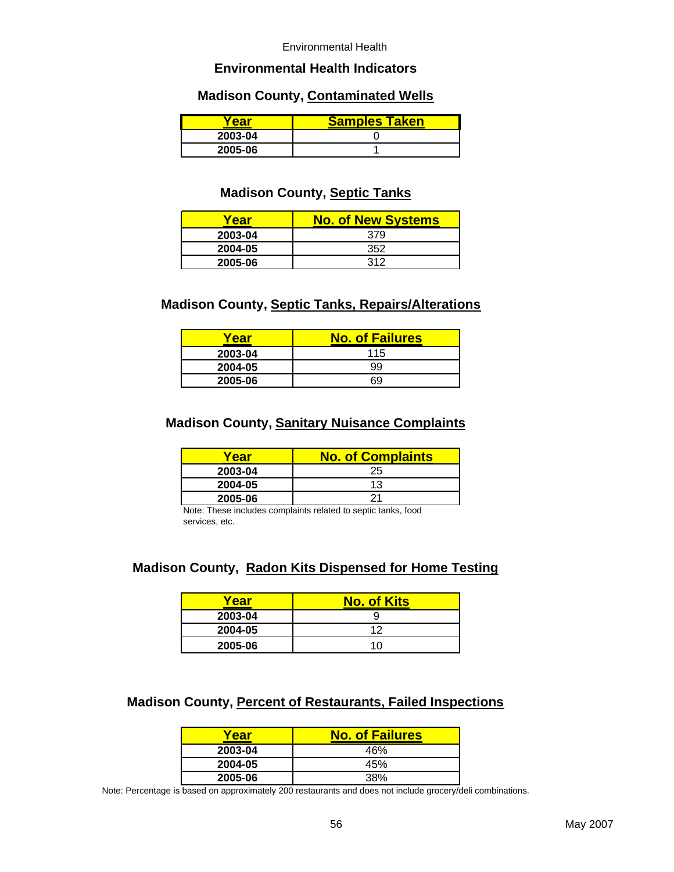#### Environmental Health

#### **Environmental Health Indicators**

#### **Madison County, Contaminated Wells**

| ear     | <b>Samples Taken</b> |
|---------|----------------------|
| 2003-04 |                      |
| 2005-06 |                      |

#### **Madison County, Septic Tanks**

| Year    | <b>No. of New Systems</b> |
|---------|---------------------------|
| 2003-04 | 379                       |
| 2004-05 | 352                       |
| 2005-06 | 312                       |

### **Madison County, Septic Tanks, Repairs/Alterations**

| Year    | <b>No. of Failures</b> |
|---------|------------------------|
| 2003-04 | 115                    |
| 2004-05 | 99                     |
| 2005-06 | 69                     |

#### **Madison County, Sanitary Nuisance Complaints**

| Year    | <b>No. of Complaints</b> |
|---------|--------------------------|
| 2003-04 | 25                       |
| 2004-05 | 13                       |
| 2005-06 |                          |

Note: These includes complaints related to septic tanks, food services, etc.

#### **Madison County, Radon Kits Dispensed for Home Testing**

| Year    | <b>No. of Kits</b> |
|---------|--------------------|
| 2003-04 |                    |
| 2004-05 | ィク                 |
| 2005-06 | 10                 |

#### **Madison County, Percent of Restaurants, Failed Inspections**

| Year    | <b>No. of Failures</b> |
|---------|------------------------|
| 2003-04 | 46%                    |
| 2004-05 | 45%                    |
| 2005-06 | 38%                    |

Note: Percentage is based on approximately 200 restaurants and does not include grocery/deli combinations.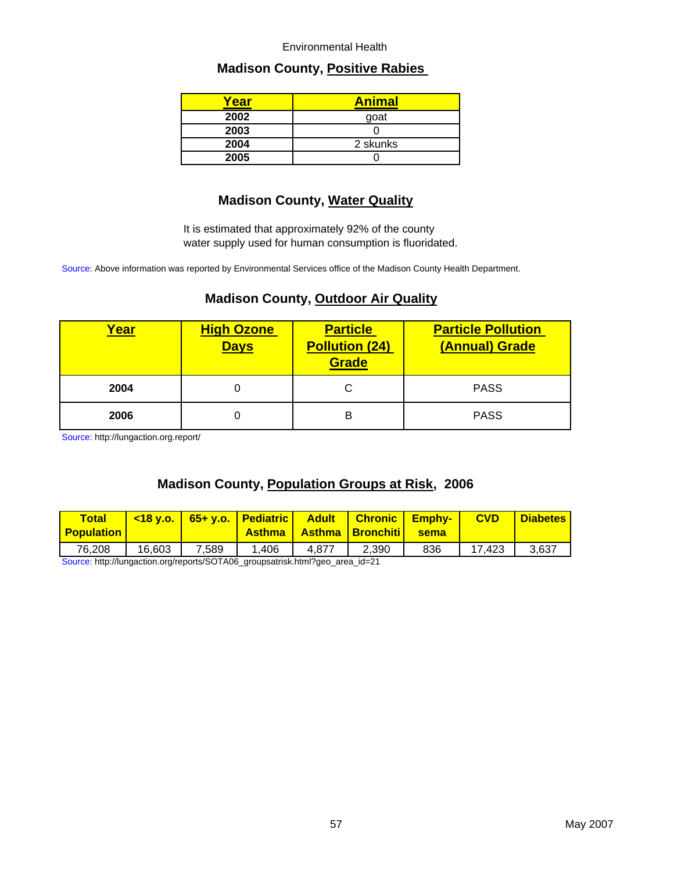#### Environmental Health

#### **Madison County, Positive Rabies**

| Year | <b>Animal</b> |
|------|---------------|
| 2002 | goat          |
| 2003 |               |
| 2004 | 2 skunks      |
| 2005 |               |

#### **Madison County, Water Quality**

It is estimated that approximately 92% of the county water supply used for human consumption is fluoridated.

Source: Above information was reported by Environmental Services office of the Madison County Health Department.

# **Madison County, Outdoor Air Quality**

| <u>Year</u> | <b>High Ozone</b><br><b>Days</b> | <b>Particle</b><br><b>Pollution (24)</b><br>Grade | <b>Particle Pollution</b><br>(Annual) Grade |
|-------------|----------------------------------|---------------------------------------------------|---------------------------------------------|
| 2004        |                                  | С                                                 | <b>PASS</b>                                 |
| 2006        |                                  | в                                                 | <b>PASS</b>                                 |

Source: http://lungaction.org.report/

# **Madison County, Population Groups at Risk, 2006**

| Total<br><b>Population</b> | 18 v.o. |       | 65+ y.o.   Pediatric  <br><b>Asthma</b> | <b>Adult</b> | <b>Chronic</b><br><b>Asthma Bronchiti</b> | Emphy-<br>sema | <b>CVD</b> | <b>Diabetes</b> |
|----------------------------|---------|-------|-----------------------------------------|--------------|-------------------------------------------|----------------|------------|-----------------|
| 76,208                     | 16,603  | 7.589 | .406                                    | 4.877        | 2.390                                     | 836            | 17,423     | 3.637           |

Source: http://lungaction.org/reports/SOTA06\_groupsatrisk.html?geo\_area\_id=21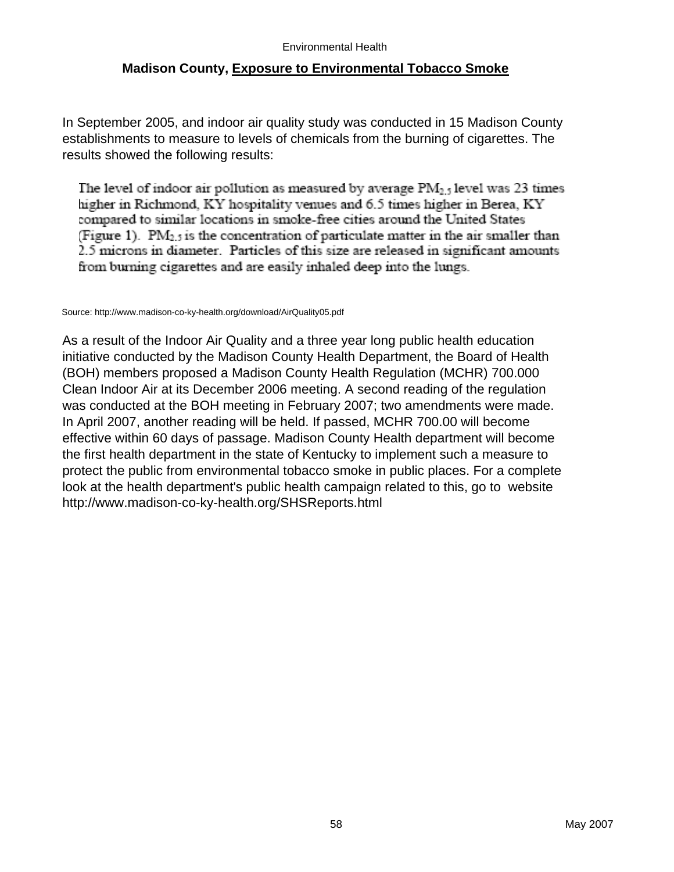#### Environmental Health

#### **Madison County, Exposure to Environmental Tobacco Smoke**

In September 2005, and indoor air quality study was conducted in 15 Madison County establishments to measure to levels of chemicals from the burning of cigarettes. The results showed the following results:

The level of indoor air pollution as measured by average  $PM<sub>2,3</sub>$  level was 23 times higher in Richmond, KY hospitality venues and 6.5 times higher in Berea, KY compared to similar locations in smoke-free cities around the United States (Figure 1).  $PM_{2,5}$  is the concentration of particulate matter in the air smaller than 2.5 microns in diameter. Particles of this size are released in significant amounts from burning cigarettes and are easily inhaled deep into the lungs.

Source: http://www.madison-co-ky-health.org/download/AirQuality05.pdf

As a result of the Indoor Air Quality and a three year long public health education initiative conducted by the Madison County Health Department, the Board of Health (BOH) members proposed a Madison County Health Regulation (MCHR) 700.000 Clean Indoor Air at its December 2006 meeting. A second reading of the regulation was conducted at the BOH meeting in February 2007; two amendments were made. In April 2007, another reading will be held. If passed, MCHR 700.00 will become effective within 60 days of passage. Madison County Health department will become the first health department in the state of Kentucky to implement such a measure to protect the public from environmental tobacco smoke in public places. For a complete look at the health department's public health campaign related to this, go to website http://www.madison-co-ky-health.org/SHSReports.html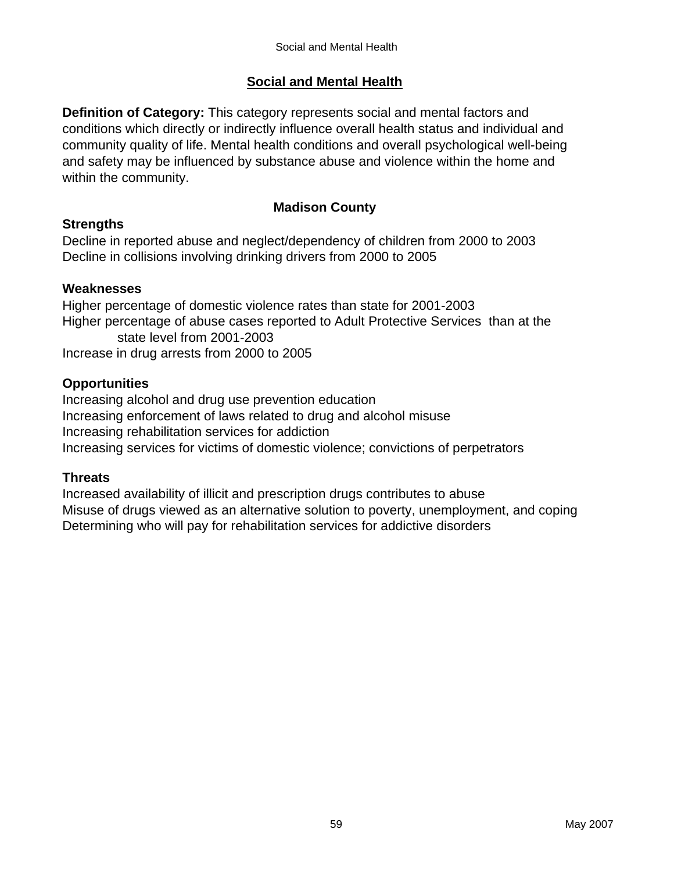## **Social and Mental Health**

**Definition of Category:** This category represents social and mental factors and conditions which directly or indirectly influence overall health status and individual and community quality of life. Mental health conditions and overall psychological well-being and safety may be influenced by substance abuse and violence within the home and within the community.

## **Madison County**

## **Strengths**

Decline in reported abuse and neglect/dependency of children from 2000 to 2003 Decline in collisions involving drinking drivers from 2000 to 2005

#### **Weaknesses**

Higher percentage of abuse cases reported to Adult Protective Services than at the state level from 2001-2003 Increase in drug arrests from 2000 to 2005 Higher percentage of domestic violence rates than state for 2001-2003

#### **Opportunities**

Increasing enforcement of laws related to drug and alcohol misuse Increasing rehabilitation services for addiction Increasing alcohol and drug use prevention education Increasing services for victims of domestic violence; convictions of perpetrators

#### **Threats**

Determining who will pay for rehabilitation services for addictive disorders Increased availability of illicit and prescription drugs contributes to abuse Misuse of drugs viewed as an alternative solution to poverty, unemployment, and coping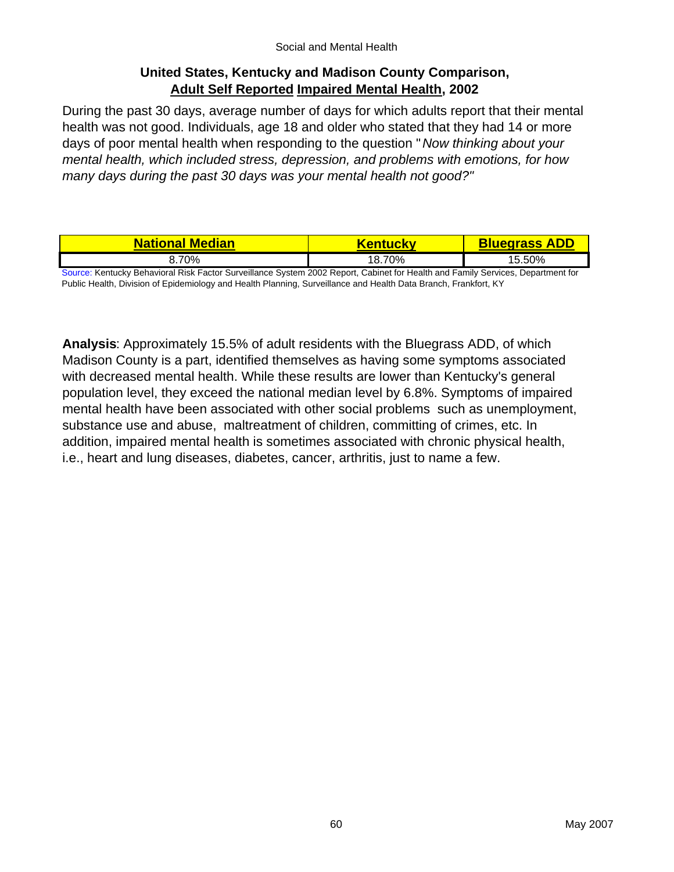# **United States, Kentucky and Madison County Comparison, Adult Self Reported Impaired Mental Health, 2002**

During the past 30 days, average number of days for which adults report that their mental health was not good. Individuals, age 18 and older who stated that they had 14 or more days of poor mental health when responding to the question "*Now thinking about your mental health, which included stress, depression, and problems with emotions, for how many days during the past 30 days was your mental health not good?"*

| <b>Median</b><br><b>National M.</b> | <u>.entucky</u> | <b>ADF</b><br><b>TASS.</b> |
|-------------------------------------|-----------------|----------------------------|
| .70%                                | 70%<br>18       | 15.50%                     |

Source: Kentucky Behavioral Risk Factor Surveillance System 2002 Report, Cabinet for Health and Family Services, Department for Public Health, Division of Epidemiology and Health Planning, Surveillance and Health Data Branch, Frankfort, KY

**Analysis**: Approximately 15.5% of adult residents with the Bluegrass ADD, of which Madison County is a part, identified themselves as having some symptoms associated with decreased mental health. While these results are lower than Kentucky's general population level, they exceed the national median level by 6.8%. Symptoms of impaired mental health have been associated with other social problems such as unemployment, substance use and abuse, maltreatment of children, committing of crimes, etc. In addition, impaired mental health is sometimes associated with chronic physical health, i.e., heart and lung diseases, diabetes, cancer, arthritis, just to name a few.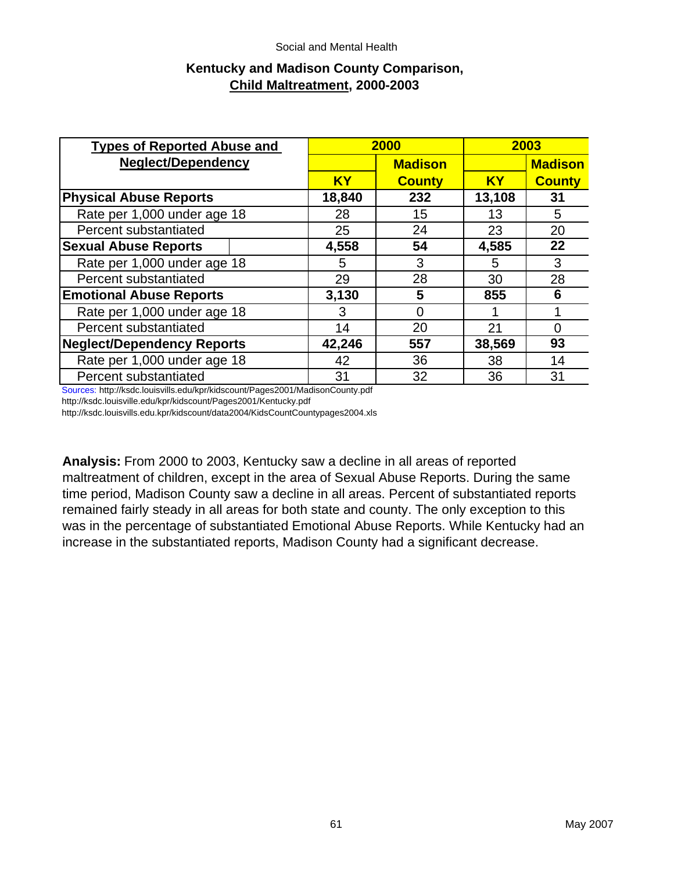# **Kentucky and Madison County Comparison, Child Maltreatment, 2000-2003**

| <b>Types of Reported Abuse and</b> |           | 2000           |           | 2003           |
|------------------------------------|-----------|----------------|-----------|----------------|
| <b>Neglect/Dependency</b>          |           | <b>Madison</b> |           | <b>Madison</b> |
|                                    | <b>KY</b> | <b>County</b>  | <b>KY</b> | <b>County</b>  |
| <b>Physical Abuse Reports</b>      | 18,840    | 232            | 13,108    | 31             |
| Rate per 1,000 under age 18        | 28        | 15             | 13        | 5              |
| Percent substantiated              | 25        | 24             | 23        | 20             |
| <b>Sexual Abuse Reports</b>        | 4,558     | 54             | 4,585     | 22             |
| Rate per 1,000 under age 18        | 5         | 3              | 5         | 3              |
| Percent substantiated              | 29        | 28             | 30        | 28             |
| <b>Emotional Abuse Reports</b>     | 3,130     | 5              | 855       | 6              |
| Rate per 1,000 under age 18        | 3         | 0              |           |                |
| Percent substantiated              | 14        | 20             | 21        | $\overline{0}$ |
| <b>Neglect/Dependency Reports</b>  | 42,246    | 557            | 38,569    | 93             |
| Rate per 1,000 under age 18        | 42        | 36             | 38        | 14             |
| Percent substantiated              | 31        | 32             | 36        | 31             |

Sources: http://ksdc.louisvills.edu/kpr/kidscount/Pages2001/MadisonCounty.pdf

http://ksdc.louisville.edu/kpr/kidscount/Pages2001/Kentucky.pdf

http://ksdc.louisvills.edu.kpr/kidscount/data2004/KidsCountCountypages2004.xls

**Analysis:** From 2000 to 2003, Kentucky saw a decline in all areas of reported maltreatment of children, except in the area of Sexual Abuse Reports. During the same time period, Madison County saw a decline in all areas. Percent of substantiated reports remained fairly steady in all areas for both state and county. The only exception to this was in the percentage of substantiated Emotional Abuse Reports. While Kentucky had an increase in the substantiated reports, Madison County had a significant decrease.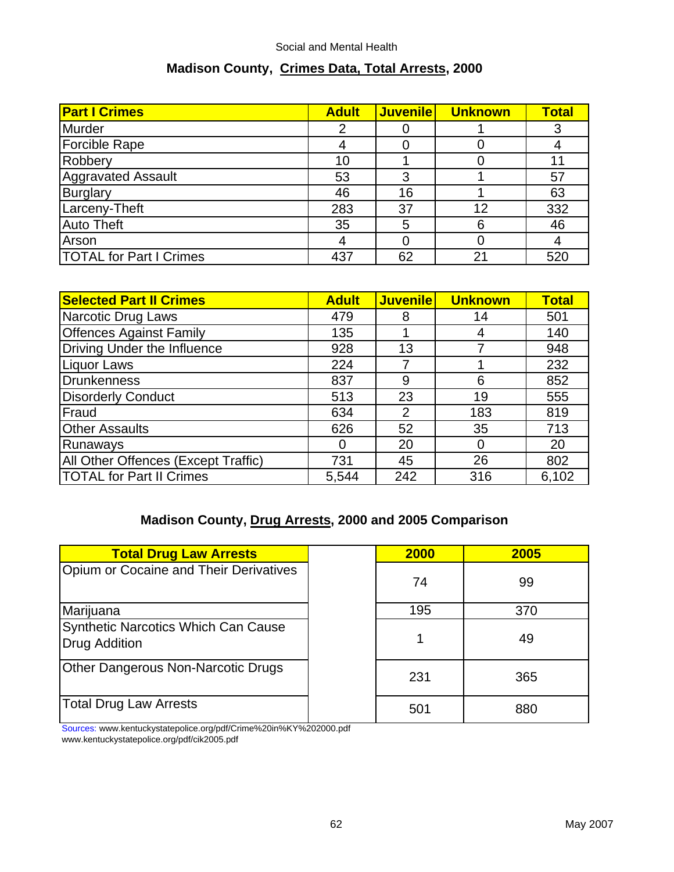#### Social and Mental Health

# **Madison County, Crimes Data, Total Arrests, 2000**

| <b>Part I Crimes</b>           | <b>Adult</b> | <b>Juvenile</b> | <b>Unknown</b> | <b>Total</b> |
|--------------------------------|--------------|-----------------|----------------|--------------|
| Murder                         | 2            |                 |                |              |
| Forcible Rape                  |              |                 |                |              |
| Robbery                        | 10           |                 |                | 11           |
| <b>Aggravated Assault</b>      | 53           |                 |                | 57           |
| <b>Burglary</b>                | 46           | 16              |                | 63           |
| Larceny-Theft                  | 283          | 37              | 12             | 332          |
| <b>Auto Theft</b>              | 35           | 5               | 6              | 46           |
| Arson                          |              |                 |                |              |
| <b>TOTAL for Part I Crimes</b> | 437          | 62              | 21             | 520          |

| <b>Selected Part II Crimes</b>      | <b>Adult</b> | <b>Juvenile</b> | <b>Unknown</b> | <b>Total</b> |
|-------------------------------------|--------------|-----------------|----------------|--------------|
| Narcotic Drug Laws                  | 479          | 8               | 14             | 501          |
| <b>Offences Against Family</b>      | 135          |                 | 4              | 140          |
| Driving Under the Influence         | 928          | 13              |                | 948          |
| Liquor Laws                         | 224          |                 |                | 232          |
| Drunkenness                         | 837          | 9               | 6              | 852          |
| <b>Disorderly Conduct</b>           | 513          | 23              | 19             | 555          |
| Fraud                               | 634          | $\overline{2}$  | 183            | 819          |
| <b>Other Assaults</b>               | 626          | 52              | 35             | 713          |
| Runaways                            | 0            | 20              | 0              | 20           |
| All Other Offences (Except Traffic) | 731          | 45              | 26             | 802          |
| <b>TOTAL for Part II Crimes</b>     | 5,544        | 242             | 316            | 6,102        |

# **Madison County, Drug Arrests, 2000 and 2005 Comparison**

| <b>Total Drug Law Arrests</b>                                      | 2000 | 2005 |
|--------------------------------------------------------------------|------|------|
| Opium or Cocaine and Their Derivatives                             | 74   | 99   |
| Marijuana                                                          | 195  | 370  |
| <b>Synthetic Narcotics Which Can Cause</b><br><b>Drug Addition</b> |      | 49   |
| <b>Other Dangerous Non-Narcotic Drugs</b>                          | 231  | 365  |
| <b>Total Drug Law Arrests</b>                                      | 501  | 880  |

Sources: www.kentuckystatepolice.org/pdf/Crime%20in%KY%202000.pdf

www.kentuckystatepolice.org/pdf/cik2005.pdf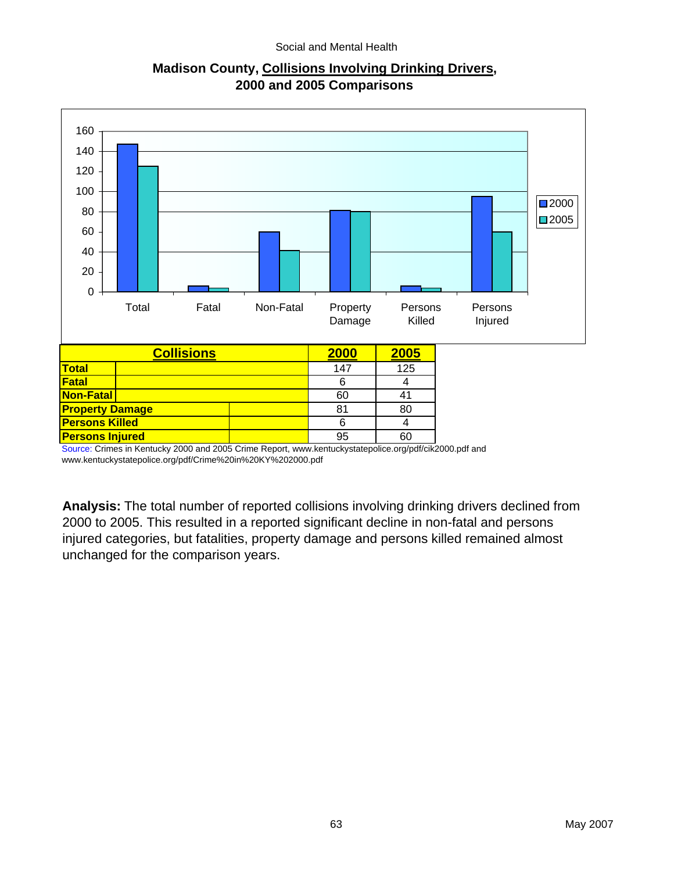

**Madison County, Collisions Involving Drinking Drivers, 2000 and 2005 Comparisons**

**Analysis:** The total number of reported collisions involving drinking drivers declined from 2000 to 2005. This resulted in a reported significant decline in non-fatal and persons injured categories, but fatalities, property damage and persons killed remained almost unchanged for the comparison years.

Source: Crimes in Kentucky 2000 and 2005 Crime Report, www.kentuckystatepolice.org/pdf/cik2000.pdf and www.kentuckystatepolice.org/pdf/Crime%20in%20KY%202000.pdf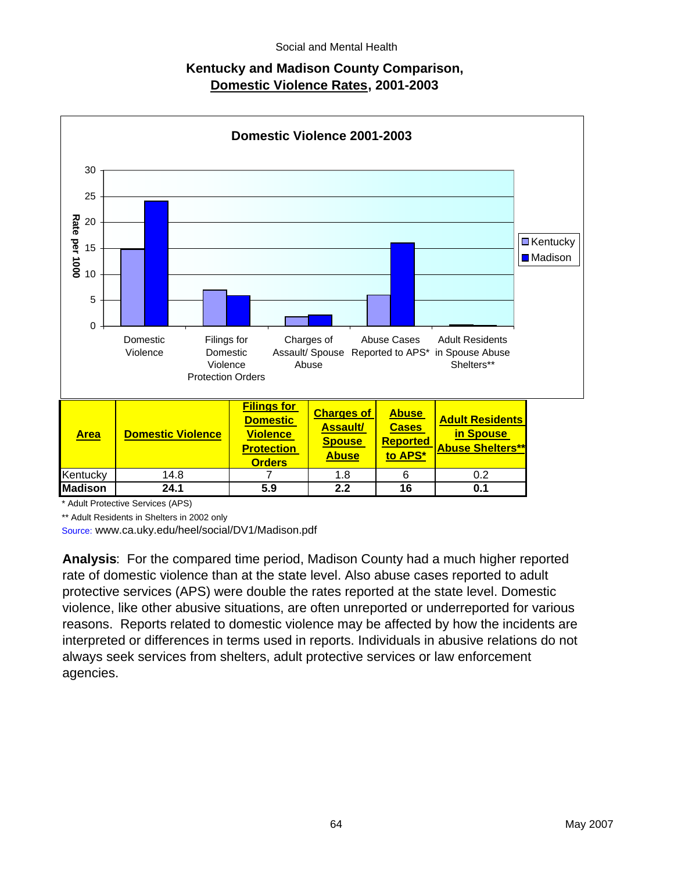# **Kentucky and Madison County Comparison, Domestic Violence Rates, 2001-2003**



\*\* Adult Residents in Shelters in 2002 only

Source: www.ca.uky.edu/heel/social/DV1/Madison.pdf

**Analysis**: For the compared time period, Madison County had a much higher reported rate of domestic violence than at the state level. Also abuse cases reported to adult protective services (APS) were double the rates reported at the state level. Domestic violence, like other abusive situations, are often unreported or underreported for various reasons. Reports related to domestic violence may be affected by how the incidents are interpreted or differences in terms used in reports. Individuals in abusive relations do not always seek services from shelters, adult protective services or law enforcement agencies.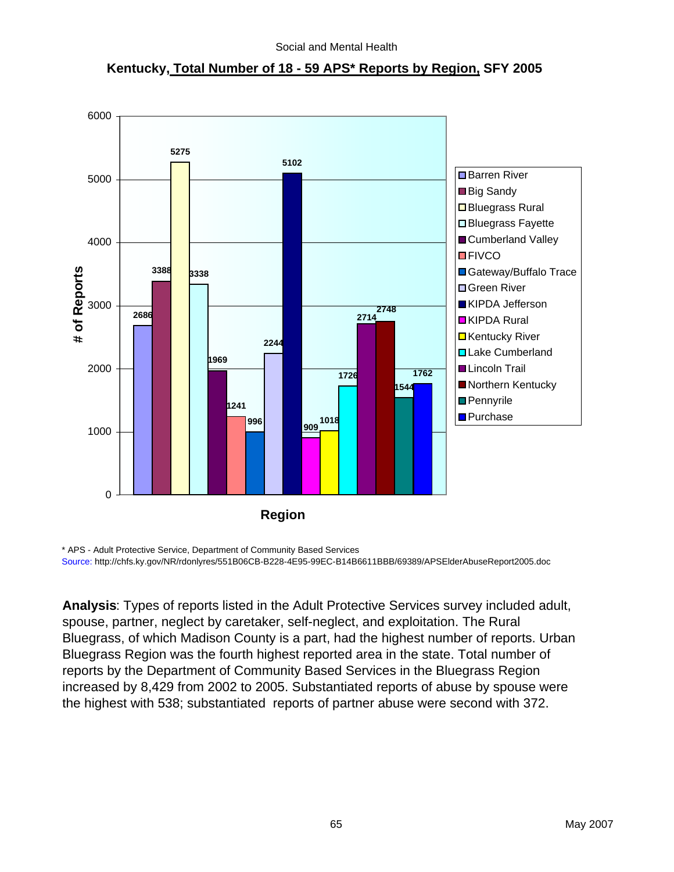



Source: http://chfs.ky.gov/NR/rdonlyres/551B06CB-B228-4E95-99EC-B14B6611BBB/69389/APSElderAbuseReport2005.doc \* APS - Adult Protective Service, Department of Community Based Services

**Analysis**: Types of reports listed in the Adult Protective Services survey included adult, spouse, partner, neglect by caretaker, self-neglect, and exploitation. The Rural Bluegrass, of which Madison County is a part, had the highest number of reports. Urban Bluegrass Region was the fourth highest reported area in the state. Total number of reports by the Department of Community Based Services in the Bluegrass Region increased by 8,429 from 2002 to 2005. Substantiated reports of abuse by spouse were the highest with 538; substantiated reports of partner abuse were second with 372.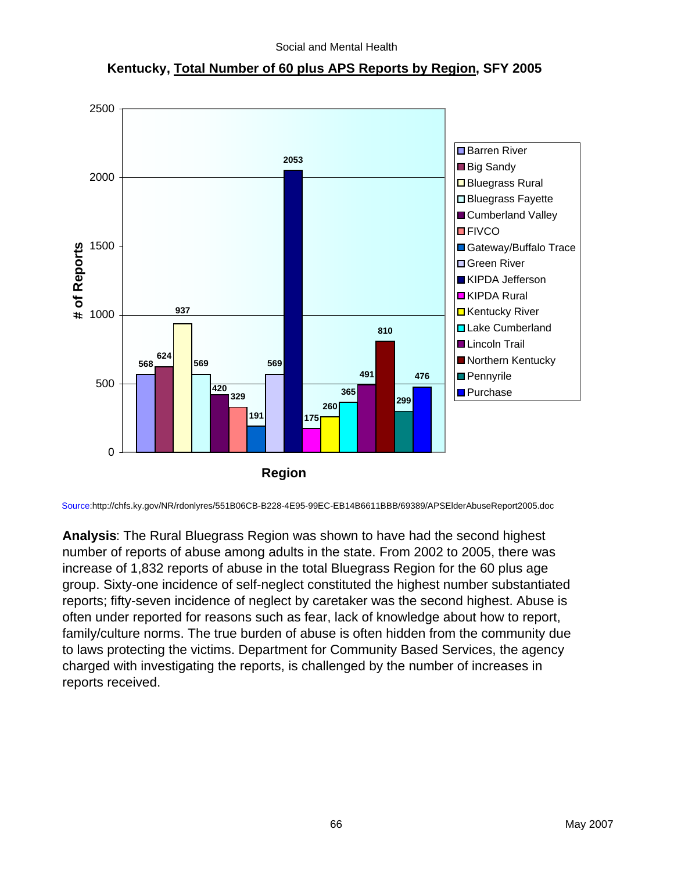

## **Kentucky, Total Number of 60 plus APS Reports by Region, SFY 2005**

Source:http://chfs.ky.gov/NR/rdonlyres/551B06CB-B228-4E95-99EC-EB14B6611BBB/69389/APSElderAbuseReport2005.doc

**Analysis**: The Rural Bluegrass Region was shown to have had the second highest number of reports of abuse among adults in the state. From 2002 to 2005, there was increase of 1,832 reports of abuse in the total Bluegrass Region for the 60 plus age group. Sixty-one incidence of self-neglect constituted the highest number substantiated reports; fifty-seven incidence of neglect by caretaker was the second highest. Abuse is often under reported for reasons such as fear, lack of knowledge about how to report, family/culture norms. The true burden of abuse is often hidden from the community due to laws protecting the victims. Department for Community Based Services, the agency charged with investigating the reports, is challenged by the number of increases in reports received.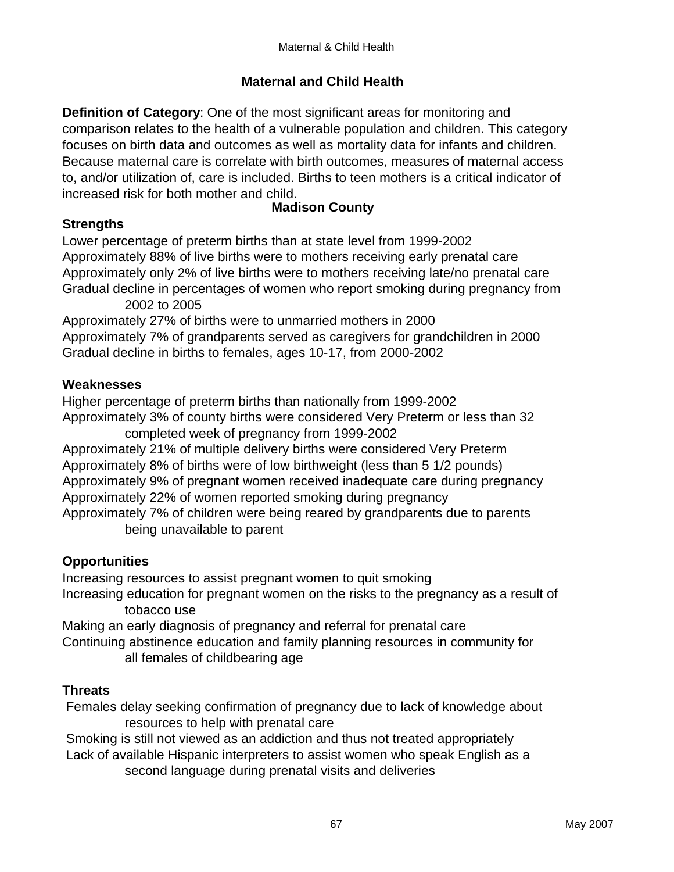# **Maternal and Child Health**

**Definition of Category**: One of the most significant areas for monitoring and comparison relates to the health of a vulnerable population and children. This category focuses on birth data and outcomes as well as mortality data for infants and children. Because maternal care is correlate with birth outcomes, measures of maternal access to, and/or utilization of, care is included. Births to teen mothers is a critical indicator of increased risk for both mother and child.

# **Madison County**

#### **Strengths**

 2002 to 2005 Lower percentage of preterm births than at state level from 1999-2002 Approximately 88% of live births were to mothers receiving early prenatal care Approximately only 2% of live births were to mothers receiving late/no prenatal care Gradual decline in percentages of women who report smoking during pregnancy from

Approximately 27% of births were to unmarried mothers in 2000 Approximately 7% of grandparents served as caregivers for grandchildren in 2000 Gradual decline in births to females, ages 10-17, from 2000-2002

#### **Weaknesses**

Higher percentage of preterm births than nationally from 1999-2002 Approximately 3% of county births were considered Very Preterm or less than 32 completed week of pregnancy from 1999-2002

Approximately 7% of children were being reared by grandparents due to parents Approximately 21% of multiple delivery births were considered Very Preterm Approximately 9% of pregnant women received inadequate care during pregnancy Approximately 8% of births were of low birthweight (less than 5 1/2 pounds) Approximately 22% of women reported smoking during pregnancy

being unavailable to parent

## **Opportunities**

Increasing resources to assist pregnant women to quit smoking Increasing education for pregnant women on the risks to the pregnancy as a result of

tobacco use

Continuing abstinence education and family planning resources in community for all females of childbearing age Making an early diagnosis of pregnancy and referral for prenatal care

## **Threats**

 Females delay seeking confirmation of pregnancy due to lack of knowledge about resources to help with prenatal care

 Smoking is still not viewed as an addiction and thus not treated appropriately Lack of available Hispanic interpreters to assist women who speak English as a second language during prenatal visits and deliveries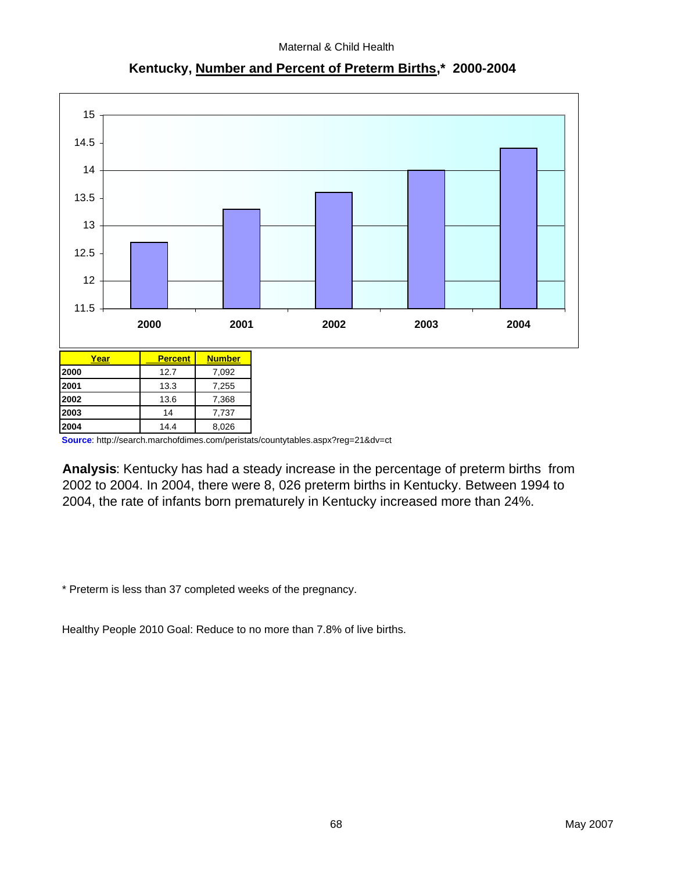

# **Kentucky, Number and Percent of Preterm Births,\* 2000-2004**

**Source**: http://search.marchofdimes.com/peristats/countytables.aspx?reg=21&dv=ct

**Analysis**: Kentucky has had a steady increase in the percentage of preterm births from 2002 to 2004. In 2004, there were 8, 026 preterm births in Kentucky. Between 1994 to 2004, the rate of infants born prematurely in Kentucky increased more than 24%.

\* Preterm is less than 37 completed weeks of the pregnancy.

Healthy People 2010 Goal: Reduce to no more than 7.8% of live births.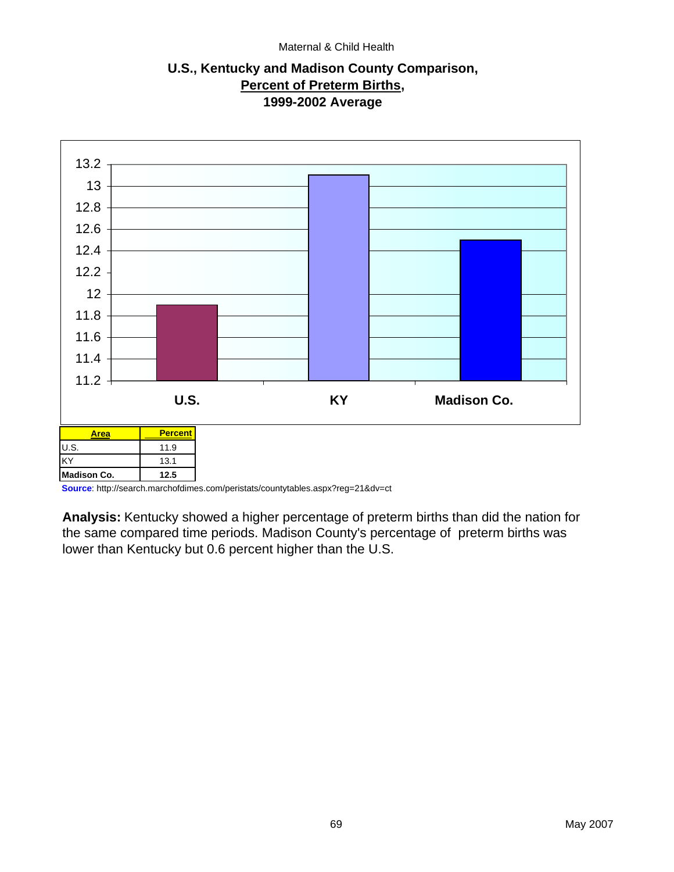# **U.S., Kentucky and Madison County Comparison, Percent of Preterm Births, 1999-2002 Average**



**Source**: http://search.marchofdimes.com/peristats/countytables.aspx?reg=21&dv=ct

**Analysis:** Kentucky showed a higher percentage of preterm births than did the nation for the same compared time periods. Madison County's percentage of preterm births was lower than Kentucky but 0.6 percent higher than the U.S.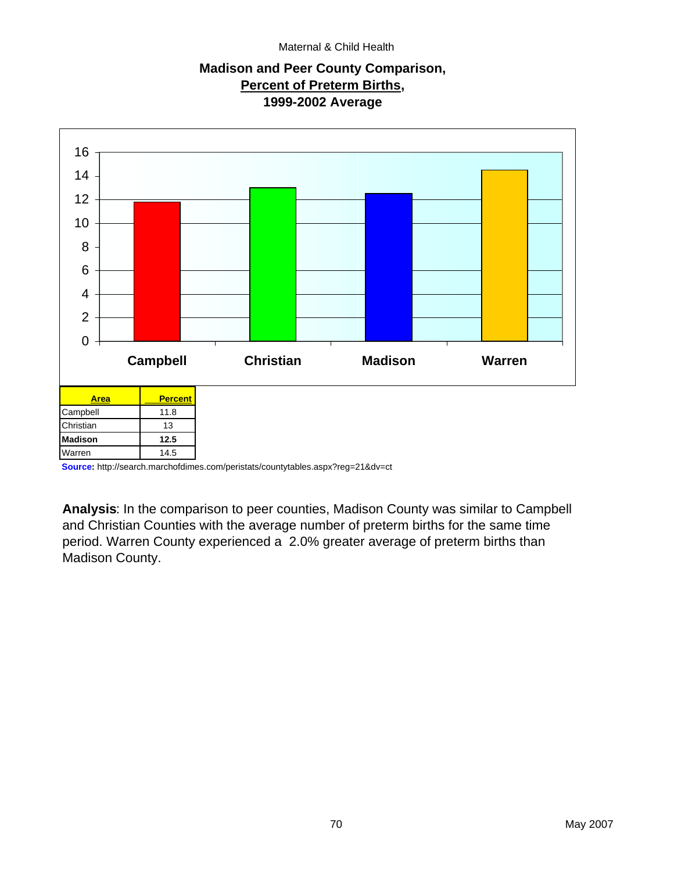#### Maternal & Child Health

# **Madison and Peer County Comparison, Percent of Preterm Births, 1999-2002 Average**



**Source:** http://search.marchofdimes.com/peristats/countytables.aspx?reg=21&dv=ct

**Analysis**: In the comparison to peer counties, Madison County was similar to Campbell and Christian Counties with the average number of preterm births for the same time period. Warren County experienced a 2.0% greater average of preterm births than Madison County.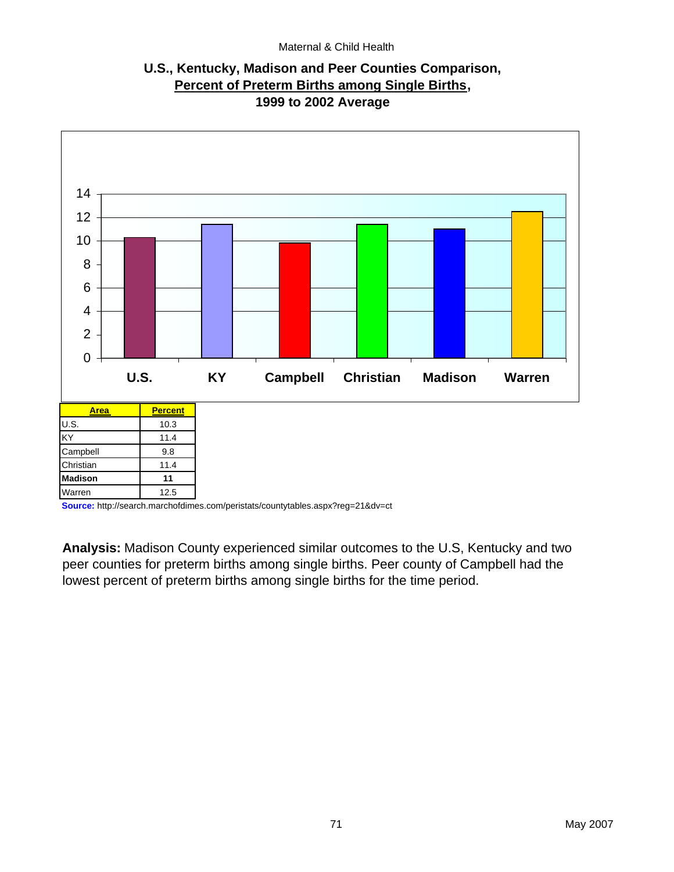# **U.S., Kentucky, Madison and Peer Counties Comparison, Percent of Preterm Births among Single Births, 1999 to 2002 Average**



**Source:** http://search.marchofdimes.com/peristats/countytables.aspx?reg=21&dv=ct

**Analysis:** Madison County experienced similar outcomes to the U.S, Kentucky and two peer counties for preterm births among single births. Peer county of Campbell had the lowest percent of preterm births among single births for the time period.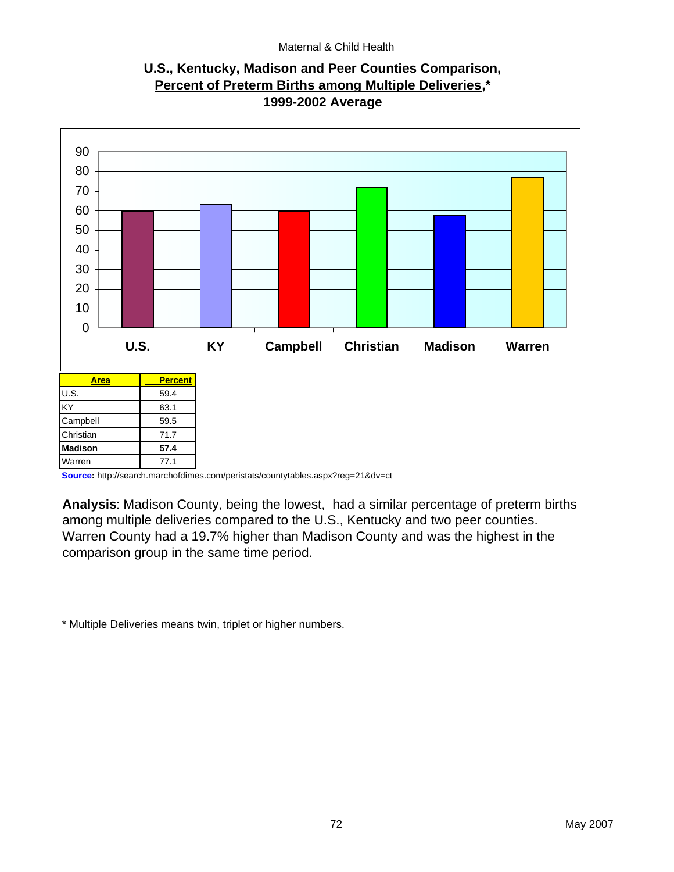



**Source:** http://search.marchofdimes.com/peristats/countytables.aspx?reg=21&dv=ct

**Analysis**: Madison County, being the lowest, had a similar percentage of preterm births among multiple deliveries compared to the U.S., Kentucky and two peer counties. Warren County had a 19.7% higher than Madison County and was the highest in the comparison group in the same time period.

\* Multiple Deliveries means twin, triplet or higher numbers.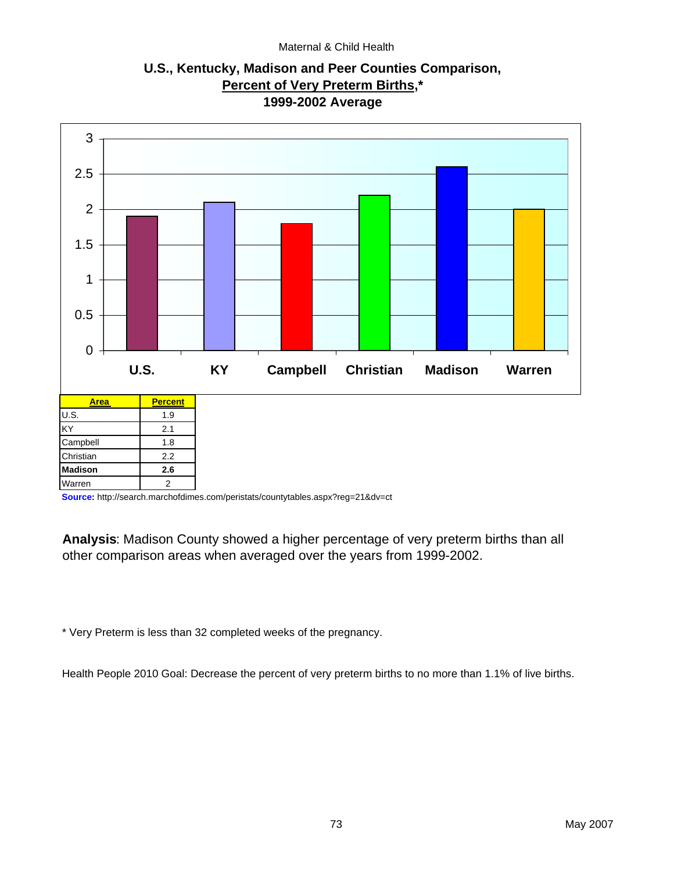#### Maternal & Child Health

# **U.S., Kentucky, Madison and Peer Counties Comparison, Percent of Very Preterm Births,\* 1999-2002 Average**



**Source:** http://search.marchofdimes.com/peristats/countytables.aspx?reg=21&dv=ct

**Analysis**: Madison County showed a higher percentage of very preterm births than all other comparison areas when averaged over the years from 1999-2002.

\* Very Preterm is less than 32 completed weeks of the pregnancy.

Health People 2010 Goal: Decrease the percent of very preterm births to no more than 1.1% of live births.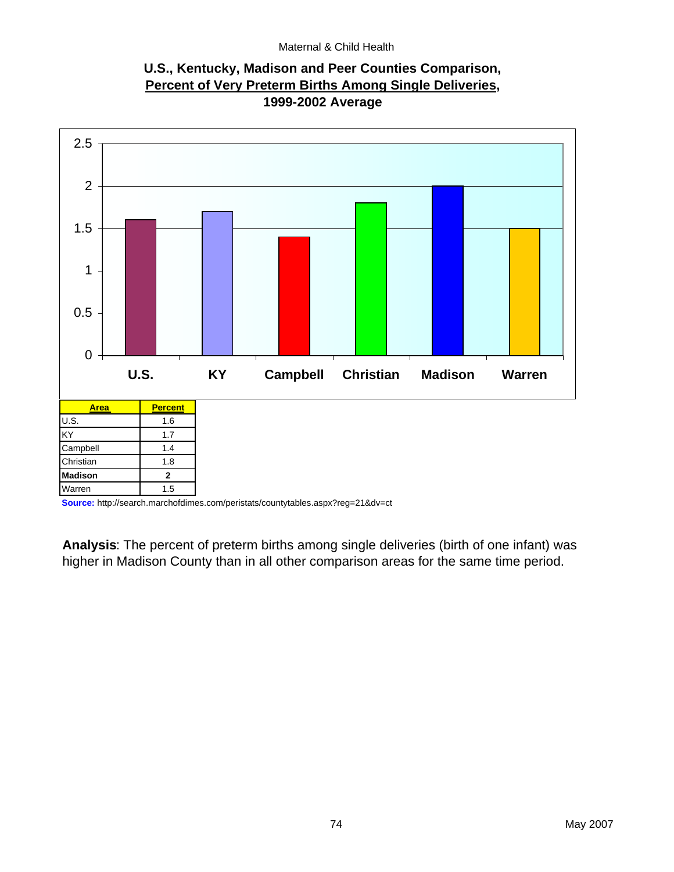



**Source:** http://search.marchofdimes.com/peristats/countytables.aspx?reg=21&dv=ct

**Analysis**: The percent of preterm births among single deliveries (birth of one infant) was higher in Madison County than in all other comparison areas for the same time period.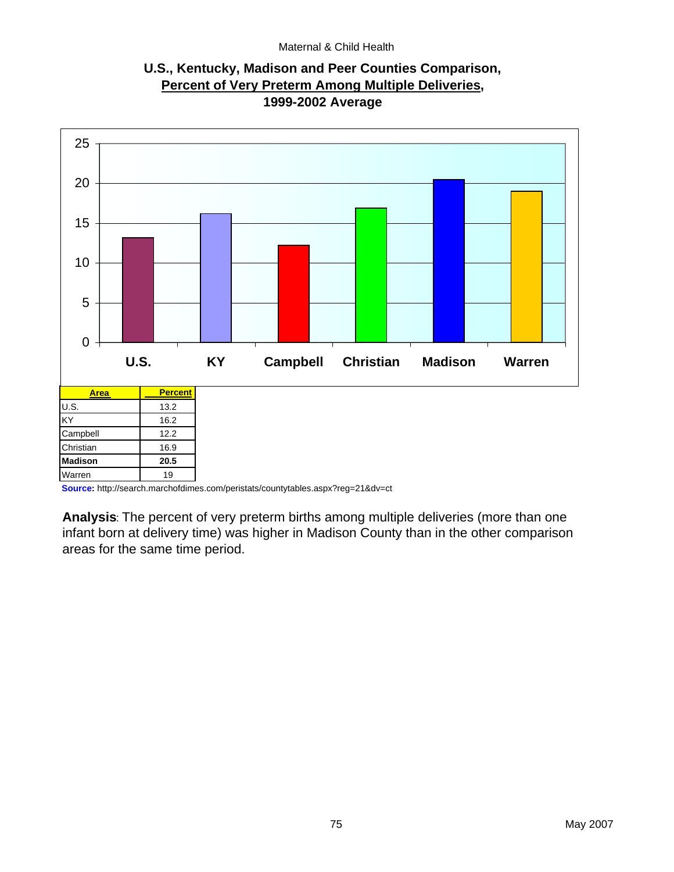

**U.S., Kentucky, Madison and Peer Counties Comparison, Percent of Very Preterm Among Multiple Deliveries, 1999-2002 Average**

**Source:** http://search.marchofdimes.com/peristats/countytables.aspx?reg=21&dv=ct

**Analysis**: The percent of very preterm births among multiple deliveries (more than one infant born at delivery time) was higher in Madison County than in the other comparison areas for the same time period.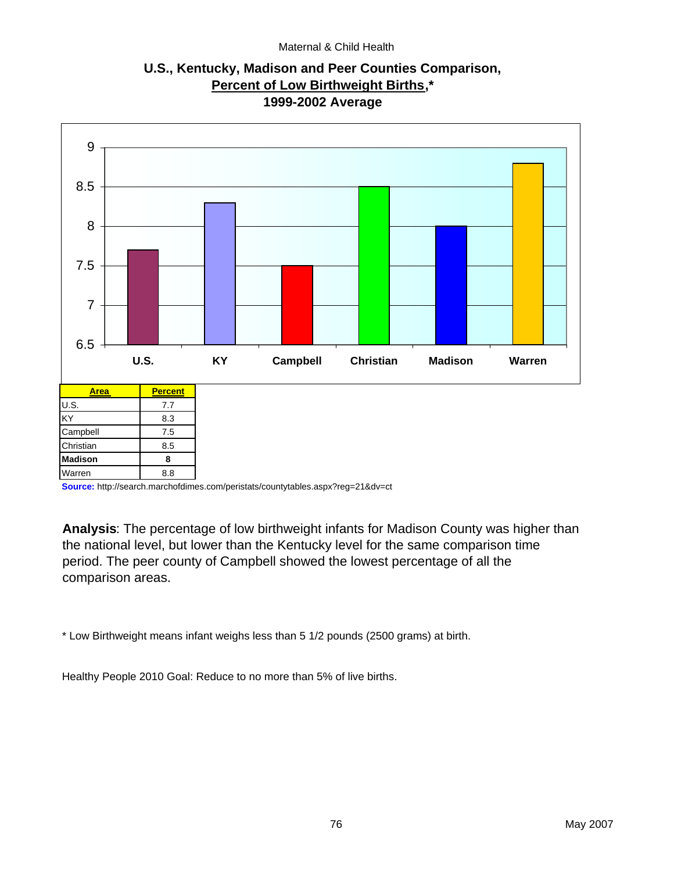



**Source:** http://search.marchofdimes.com/peristats/countytables.aspx?reg=21&dv=ct

**Analysis**: The percentage of low birthweight infants for Madison County was higher than the national level, but lower than the Kentucky level for the same comparison time period. The peer county of Campbell showed the lowest percentage of all the comparison areas.

\* Low Birthweight means infant weighs less than 5 1/2 pounds (2500 grams) at birth.

Healthy People 2010 Goal: Reduce to no more than 5% of live births.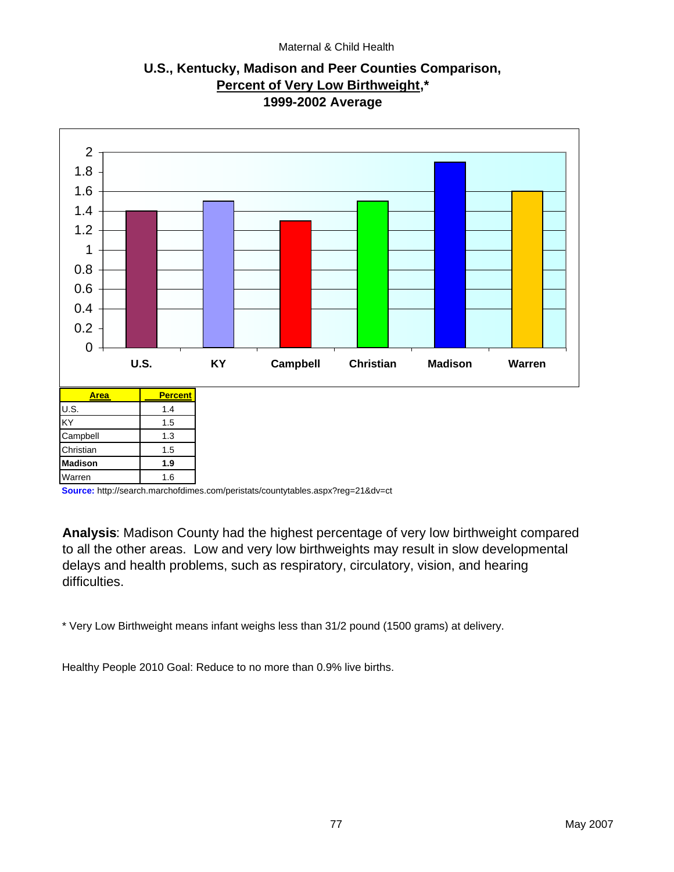#### Maternal & Child Health

# **U.S., Kentucky, Madison and Peer Counties Comparison, Percent of Very Low Birthweight,\* 1999-2002 Average**



**Source:** http://search.marchofdimes.com/peristats/countytables.aspx?reg=21&dv=ct

**Analysis**: Madison County had the highest percentage of very low birthweight compared to all the other areas. Low and very low birthweights may result in slow developmental delays and health problems, such as respiratory, circulatory, vision, and hearing difficulties.

\* Very Low Birthweight means infant weighs less than 31/2 pound (1500 grams) at delivery.

Healthy People 2010 Goal: Reduce to no more than 0.9% live births.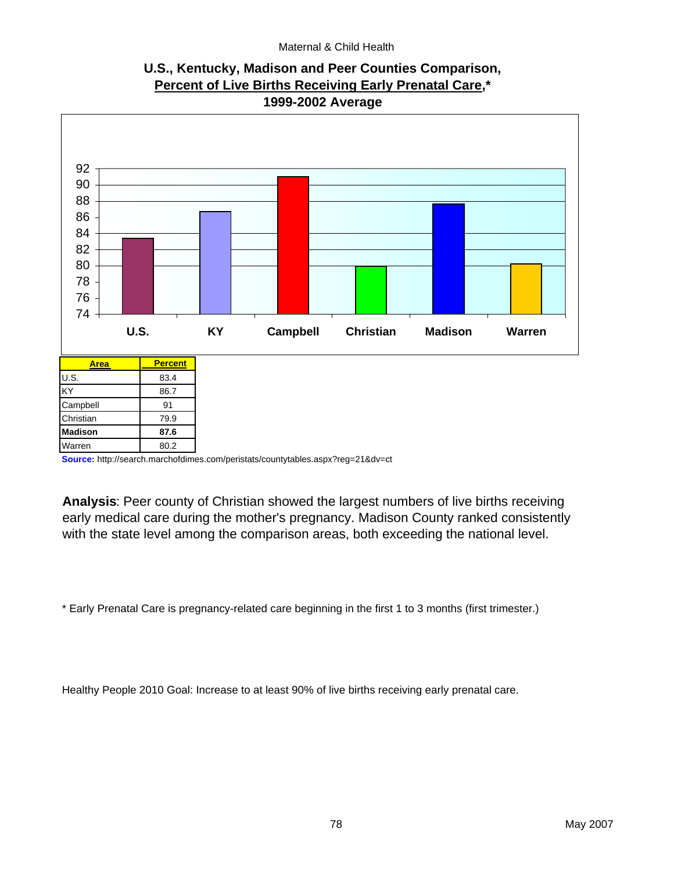

**U.S., Kentucky, Madison and Peer Counties Comparison, Percent of Live Births Receiving Early Prenatal Care,\* 1999-2002 Average**

**Analysis**: Peer county of Christian showed the largest numbers of live births receiving early medical care during the mother's pregnancy. Madison County ranked consistently with the state level among the comparison areas, both exceeding the national level.

\* Early Prenatal Care is pregnancy-related care beginning in the first 1 to 3 months (first trimester.)

Healthy People 2010 Goal: Increase to at least 90% of live births receiving early prenatal care.

**Source:** http://search.marchofdimes.com/peristats/countytables.aspx?reg=21&dv=ct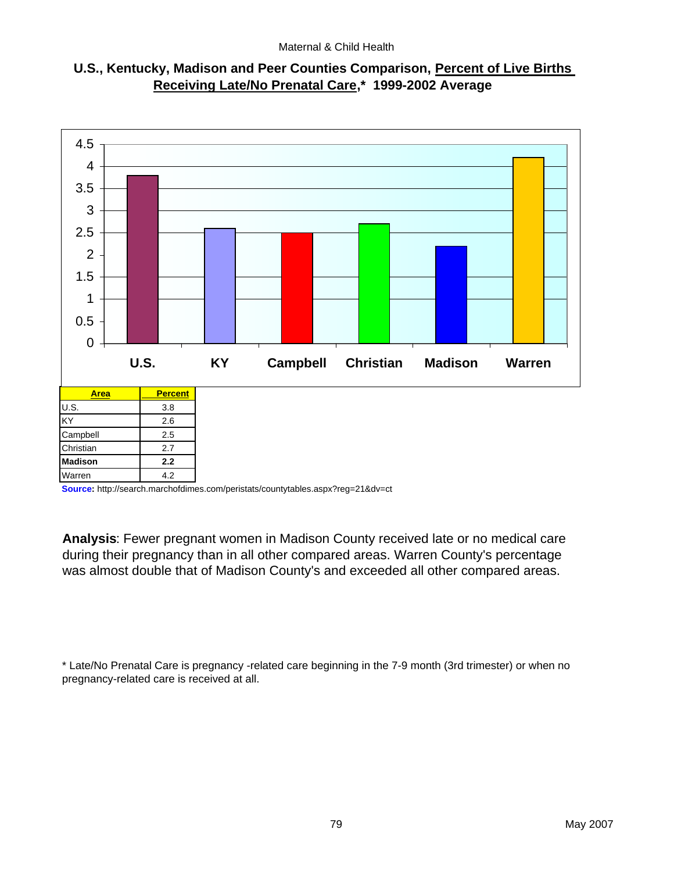



**Source:** http://search.marchofdimes.com/peristats/countytables.aspx?reg=21&dv=ct

**Analysis**: Fewer pregnant women in Madison County received late or no medical care during their pregnancy than in all other compared areas. Warren County's percentage was almost double that of Madison County's and exceeded all other compared areas.

\* Late/No Prenatal Care is pregnancy -related care beginning in the 7-9 month (3rd trimester) or when no pregnancy-related care is received at all.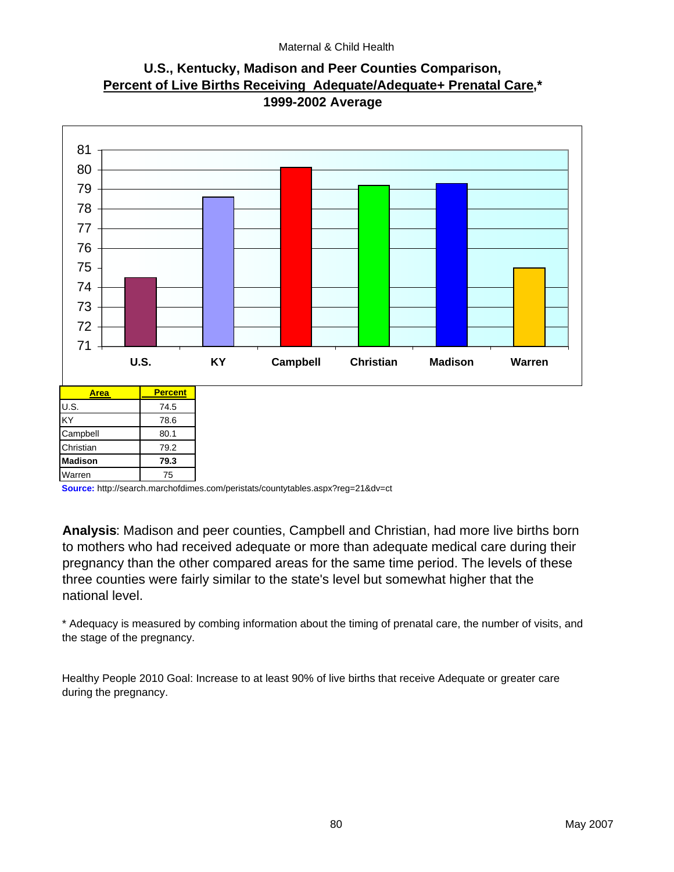



**Source:** http://search.marchofdimes.com/peristats/countytables.aspx?reg=21&dv=ct

**Analysis**: Madison and peer counties, Campbell and Christian, had more live births born to mothers who had received adequate or more than adequate medical care during their pregnancy than the other compared areas for the same time period. The levels of these three counties were fairly similar to the state's level but somewhat higher that the national level.

\* Adequacy is measured by combing information about the timing of prenatal care, the number of visits, and the stage of the pregnancy.

Healthy People 2010 Goal: Increase to at least 90% of live births that receive Adequate or greater care during the pregnancy.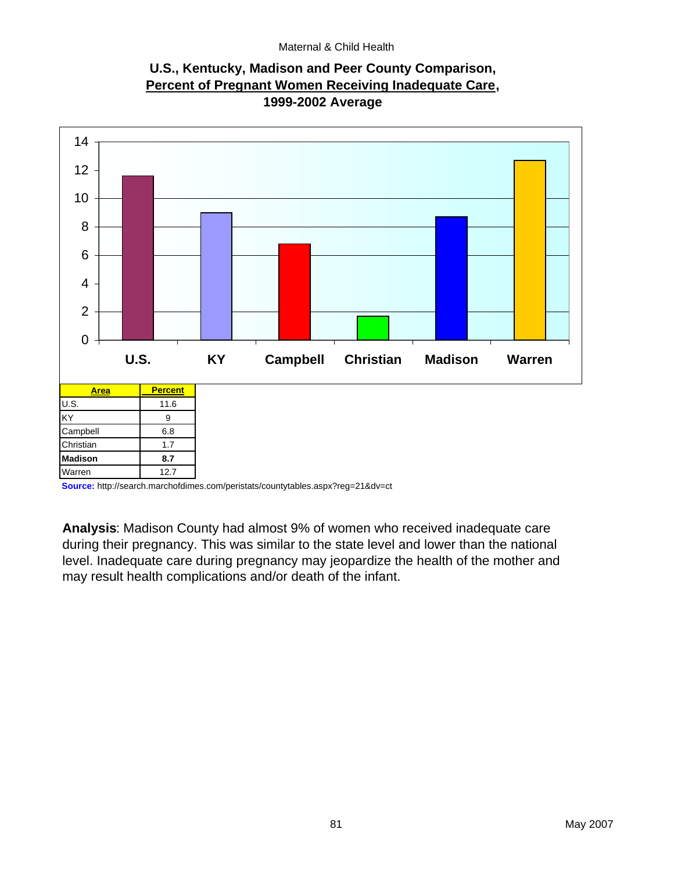



**Source:** http://search.marchofdimes.com/peristats/countytables.aspx?reg=21&dv=ct

**Analysis**: Madison County had almost 9% of women who received inadequate care during their pregnancy. This was similar to the state level and lower than the national level. Inadequate care during pregnancy may jeopardize the health of the mother and may result health complications and/or death of the infant.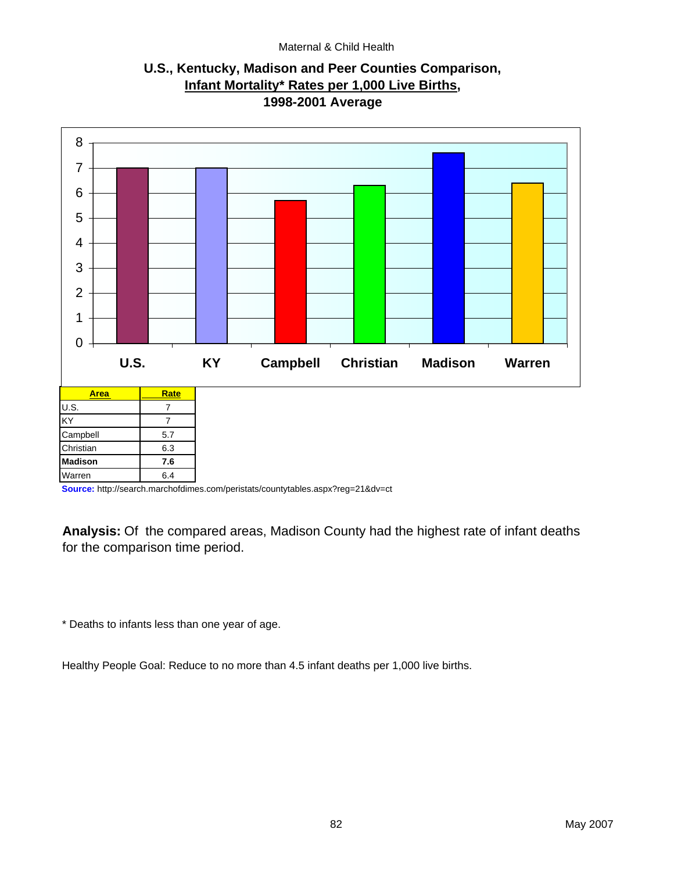



**Source:** http://search.marchofdimes.com/peristats/countytables.aspx?reg=21&dv=ct

**Analysis:** Of the compared areas, Madison County had the highest rate of infant deaths for the comparison time period.

\* Deaths to infants less than one year of age.

Healthy People Goal: Reduce to no more than 4.5 infant deaths per 1,000 live births.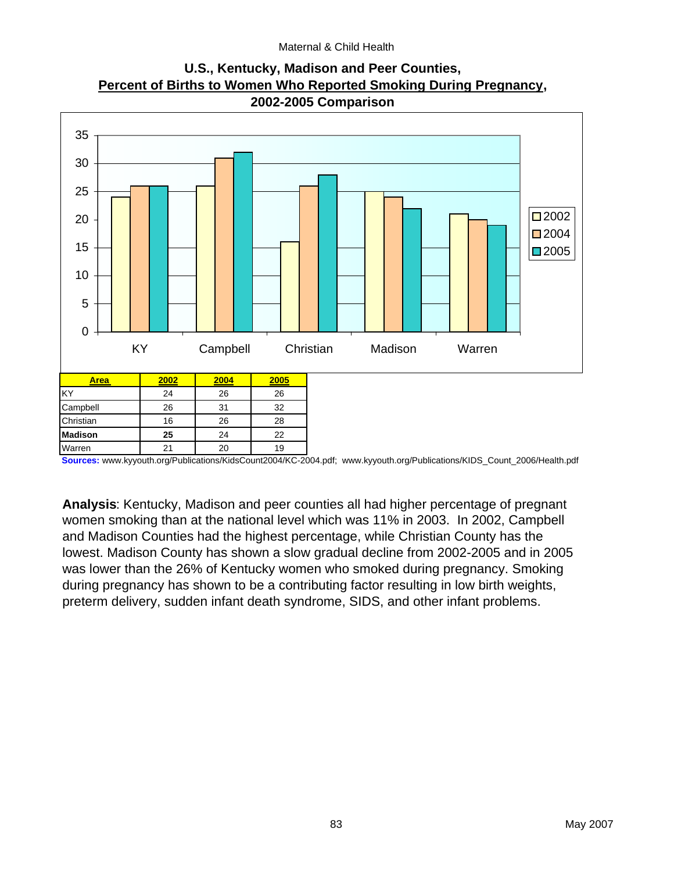



**Sources:** www.kyyouth.org/Publications/KidsCount2004/KC-2004.pdf; www.kyyouth.org/Publications/KIDS\_Count\_2006/Health.pdf

**Analysis**: Kentucky, Madison and peer counties all had higher percentage of pregnant women smoking than at the national level which was 11% in 2003. In 2002, Campbell and Madison Counties had the highest percentage, while Christian County has the lowest. Madison County has shown a slow gradual decline from 2002-2005 and in 2005 was lower than the 26% of Kentucky women who smoked during pregnancy. Smoking during pregnancy has shown to be a contributing factor resulting in low birth weights, preterm delivery, sudden infant death syndrome, SIDS, and other infant problems.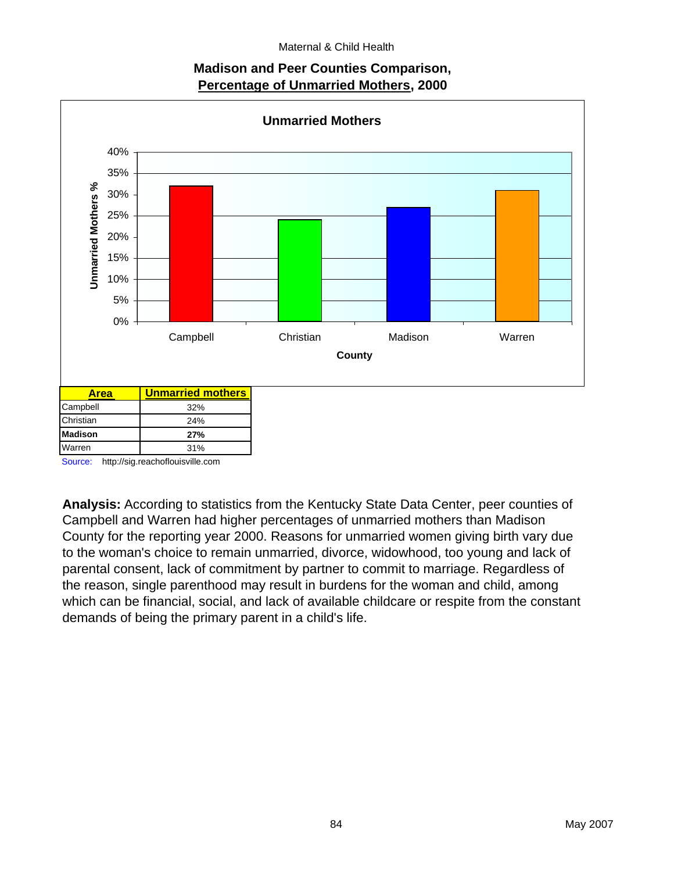

# **Madison and Peer Counties Comparison, Percentage of Unmarried Mothers, 2000**

Source: http://sig.reachoflouisville.com

**Analysis:** According to statistics from the Kentucky State Data Center, peer counties of Campbell and Warren had higher percentages of unmarried mothers than Madison County for the reporting year 2000. Reasons for unmarried women giving birth vary due to the woman's choice to remain unmarried, divorce, widowhood, too young and lack of parental consent, lack of commitment by partner to commit to marriage. Regardless of the reason, single parenthood may result in burdens for the woman and child, among which can be financial, social, and lack of available childcare or respite from the constant demands of being the primary parent in a child's life.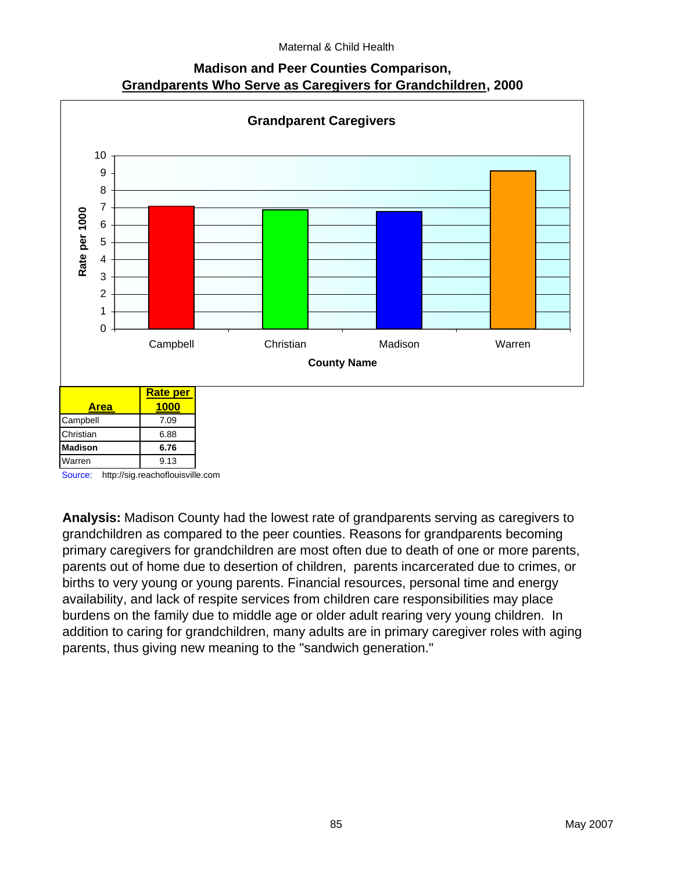



Source: http://sig.reachoflouisville.com

**Analysis:** Madison County had the lowest rate of grandparents serving as caregivers to grandchildren as compared to the peer counties. Reasons for grandparents becoming primary caregivers for grandchildren are most often due to death of one or more parents, parents out of home due to desertion of children, parents incarcerated due to crimes, or births to very young or young parents. Financial resources, personal time and energy availability, and lack of respite services from children care responsibilities may place burdens on the family due to middle age or older adult rearing very young children. In addition to caring for grandchildren, many adults are in primary caregiver roles with aging parents, thus giving new meaning to the "sandwich generation."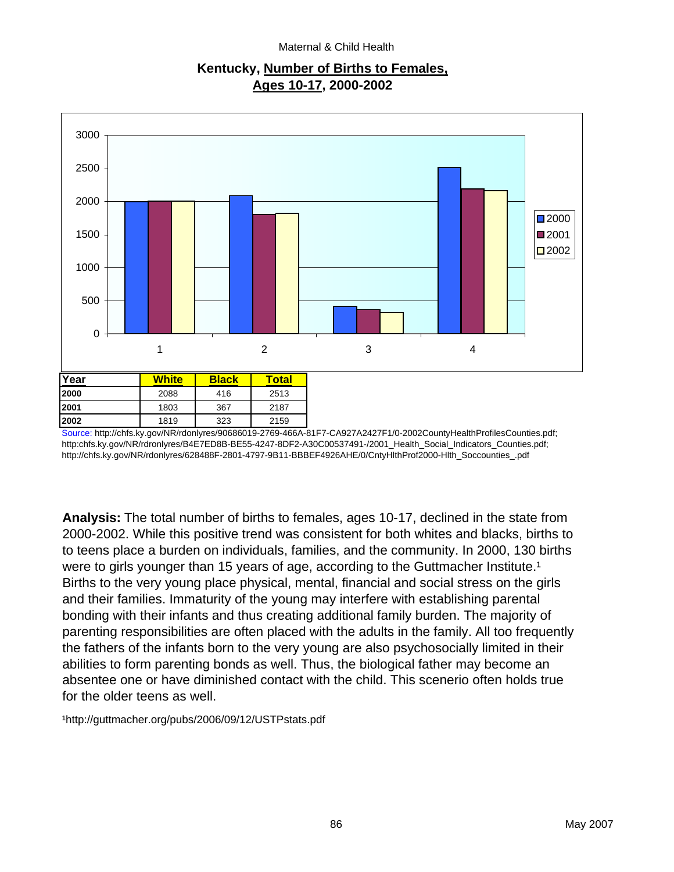



Source: http://chfs.ky.gov/NR/rdonlyres/90686019-2769-466A-81F7-CA927A2427F1/0-2002CountyHealthProfilesCounties.pdf; http:chfs.ky.gov/NR/rdronlyres/B4E7ED8B-BE55-4247-8DF2-A30C00537491-/2001\_Health\_Social\_Indicators\_Counties.pdf; http://chfs.ky.gov/NR/rdonlyres/628488F-2801-4797-9B11-BBBEF4926AHE/0/CntyHlthProf2000-Hlth\_Soccounties\_.pdf

**Analysis:** The total number of births to females, ages 10-17, declined in the state from 2000-2002. While this positive trend was consistent for both whites and blacks, births to to teens place a burden on individuals, families, and the community. In 2000, 130 births were to girls younger than 15 years of age, according to the Guttmacher Institute.<sup>1</sup> Births to the very young place physical, mental, financial and social stress on the girls and their families. Immaturity of the young may interfere with establishing parental bonding with their infants and thus creating additional family burden. The majority of parenting responsibilities are often placed with the adults in the family. All too frequently the fathers of the infants born to the very young are also psychosocially limited in their abilities to form parenting bonds as well. Thus, the biological father may become an absentee one or have diminished contact with the child. This scenerio often holds true for the older teens as well.

1http://guttmacher.org/pubs/2006/09/12/USTPstats.pdf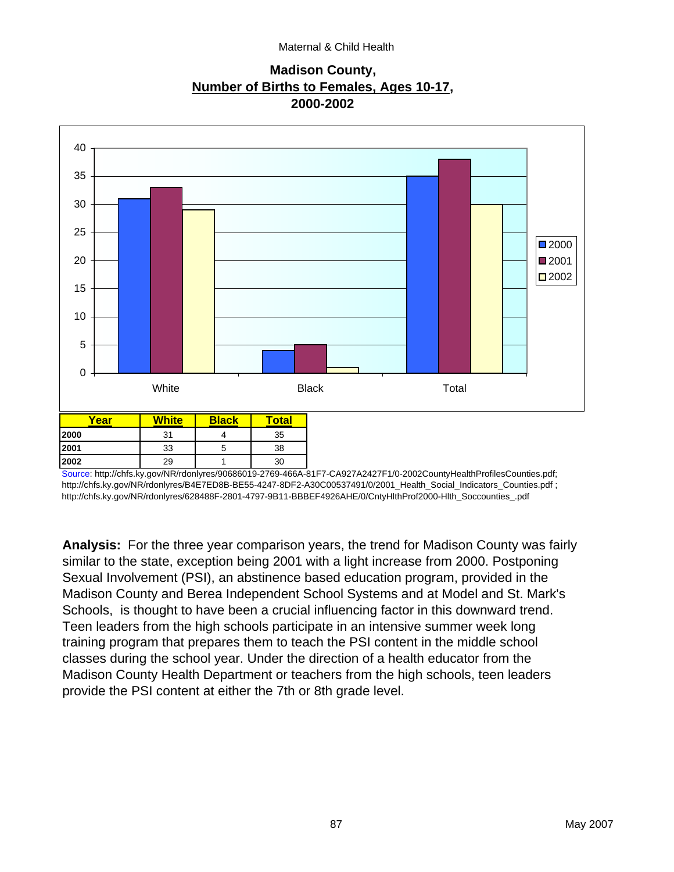#### Maternal & Child Health

## **Madison County, Number of Births to Females, Ages 10-17, 2000-2002**



Source: http://chfs.ky.gov/NR/rdonlyres/90686019-2769-466A-81F7-CA927A2427F1/0-2002CountyHealthProfilesCounties.pdf; http://chfs.ky.gov/NR/rdonlyres/B4E7ED8B-BE55-4247-8DF2-A30C00537491/0/2001\_Health\_Social\_Indicators\_Counties.pdf ; http://chfs.ky.gov/NR/rdonlyres/628488F-2801-4797-9B11-BBBEF4926AHE/0/CntyHlthProf2000-Hlth\_Soccounties\_.pdf

**Analysis:** For the three year comparison years, the trend for Madison County was fairly similar to the state, exception being 2001 with a light increase from 2000. Postponing Sexual Involvement (PSI), an abstinence based education program, provided in the Madison County and Berea Independent School Systems and at Model and St. Mark's Schools, is thought to have been a crucial influencing factor in this downward trend. Teen leaders from the high schools participate in an intensive summer week long training program that prepares them to teach the PSI content in the middle school classes during the school year. Under the direction of a health educator from the Madison County Health Department or teachers from the high schools, teen leaders provide the PSI content at either the 7th or 8th grade level.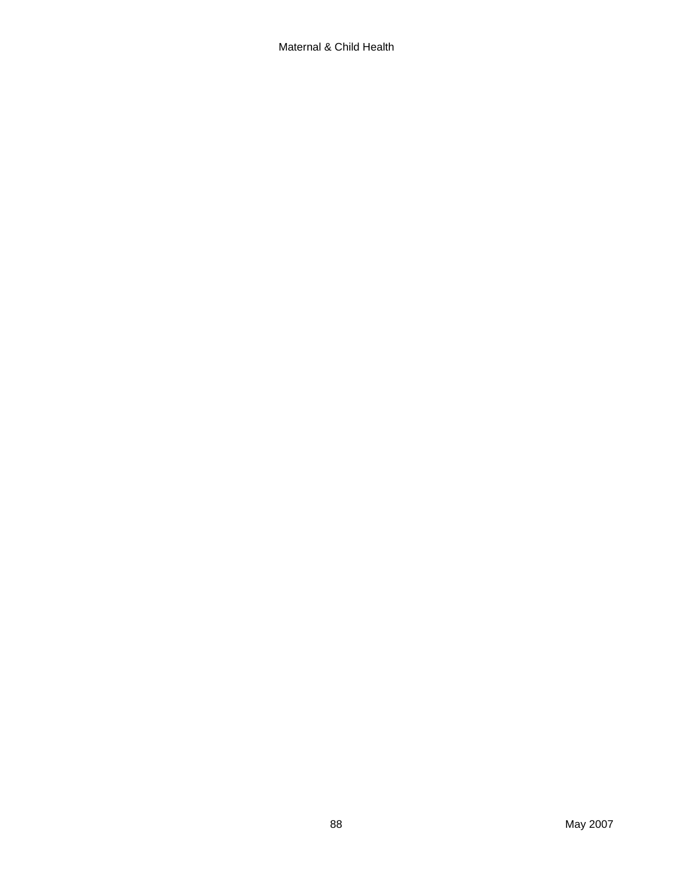Maternal & Child Health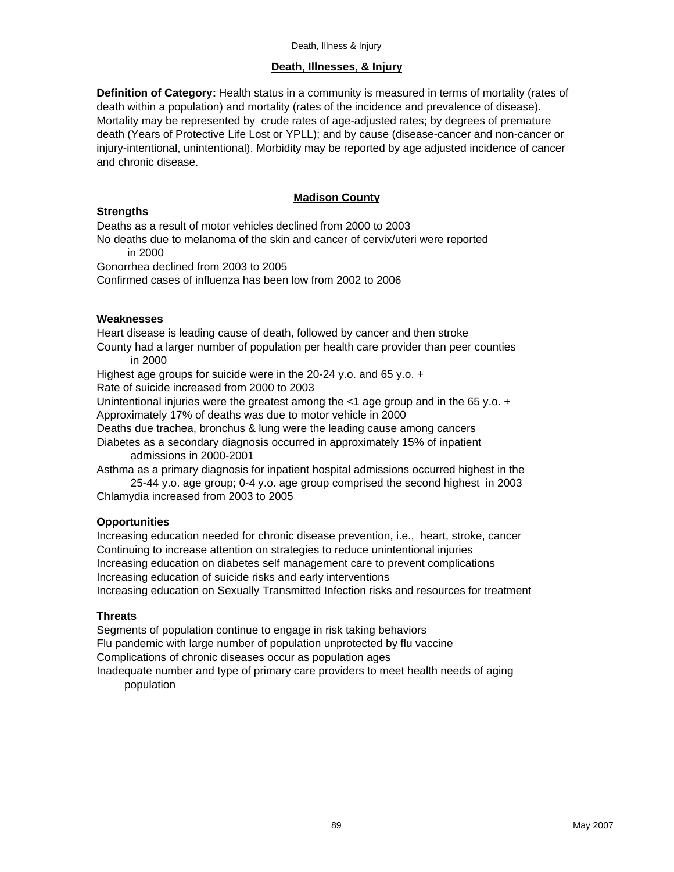### **Death, Illnesses, & Injury**

**Definition of Category:** Health status in a community is measured in terms of mortality (rates of death within a population) and mortality (rates of the incidence and prevalence of disease). Mortality may be represented by crude rates of age-adjusted rates; by degrees of premature death (Years of Protective Life Lost or YPLL); and by cause (disease-cancer and non-cancer or injury-intentional, unintentional). Morbidity may be reported by age adjusted incidence of cancer and chronic disease.

## **Madison County**

### **Strengths**

Deaths as a result of motor vehicles declined from 2000 to 2003

 in 2000 No deaths due to melanoma of the skin and cancer of cervix/uteri were reported

Gonorrhea declined from 2003 to 2005

Confirmed cases of influenza has been low from 2002 to 2006

#### **Weaknesses**

Heart disease is leading cause of death, followed by cancer and then stroke

County had a larger number of population per health care provider than peer counties in 2000

Highest age groups for suicide were in the 20-24 y.o. and 65 y.o. +

Rate of suicide increased from 2000 to 2003

Approximately 17% of deaths was due to motor vehicle in 2000 Unintentional injuries were the greatest among the <1 age group and in the 65 y.o. +

Deaths due trachea, bronchus & lung were the leading cause among cancers

Diabetes as a secondary diagnosis occurred in approximately 15% of inpatient admissions in 2000-2001

 25-44 y.o. age group; 0-4 y.o. age group comprised the second highest in 2003 Asthma as a primary diagnosis for inpatient hospital admissions occurred highest in the

Chlamydia increased from 2003 to 2005

### **Opportunities**

Increasing education on Sexually Transmitted Infection risks and resources for treatment Increasing education needed for chronic disease prevention, i.e., heart, stroke, cancer Increasing education on diabetes self management care to prevent complications Increasing education of suicide risks and early interventions Continuing to increase attention on strategies to reduce unintentional injuries

### **Threats**

 population Complications of chronic diseases occur as population ages Inadequate number and type of primary care providers to meet health needs of aging Flu pandemic with large number of population unprotected by flu vaccine Segments of population continue to engage in risk taking behaviors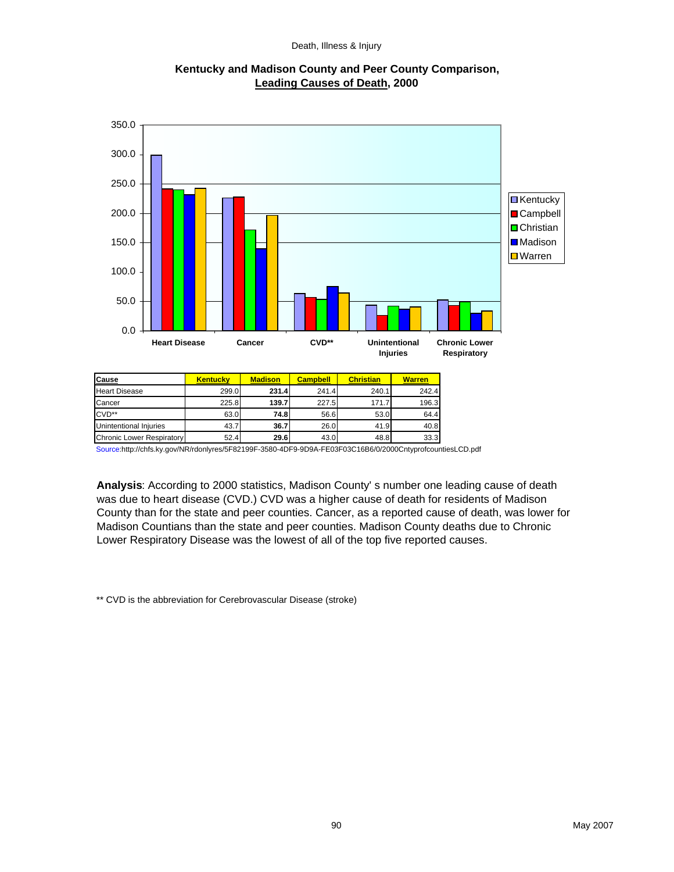

**Kentucky and Madison County and Peer County Comparison, Leading Causes of Death, 2000**

| <b>Cause</b>                     | <b>Kentucky</b> | <b>Madison</b> | <b>Campbell</b> | <b>Christian</b> | <b>Warren</b> |  |
|----------------------------------|-----------------|----------------|-----------------|------------------|---------------|--|
| <b>Heart Disease</b>             | 299.0           | 231.4          | 241.4           | 240.1            | 242.4         |  |
| Cancer                           | 225.8           | 139.7          | 227.5           | 171.7            | 196.3         |  |
| $CVD**$                          | 63.0            | 74.8           | 56.6            | 53.0             | 64.4          |  |
| Unintentional Iniuries           | 43.7            | 36.7           | 26.0            | 41.9             | 40.8          |  |
| <b>Chronic Lower Respiratory</b> | 52.4            | 29.6           | 43.0            | 48.8             | 33.3          |  |

Source:http://chfs.ky.gov/NR/rdonlyres/5F82199F-3580-4DF9-9D9A-FE03F03C16B6/0/2000CntyprofcountiesLCD.pdf

**Analysis**: According to 2000 statistics, Madison County' s number one leading cause of death was due to heart disease (CVD.) CVD was a higher cause of death for residents of Madison County than for the state and peer counties. Cancer, as a reported cause of death, was lower for Madison Countians than the state and peer counties. Madison County deaths due to Chronic Lower Respiratory Disease was the lowest of all of the top five reported causes.

\*\* CVD is the abbreviation for Cerebrovascular Disease (stroke)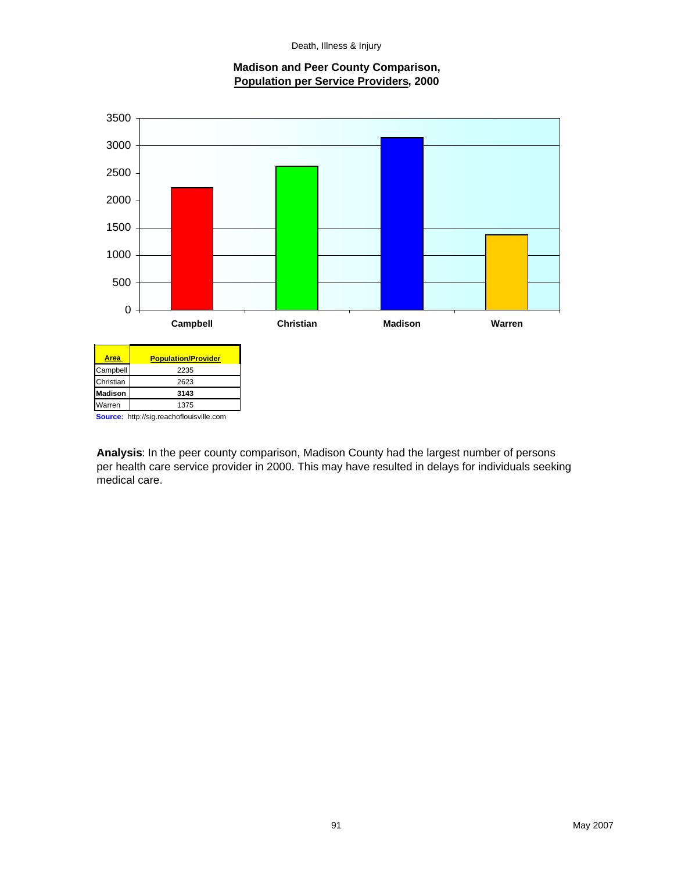



**Source:** http://sig.reachoflouisville.com

**Analysis**: In the peer county comparison, Madison County had the largest number of persons per health care service provider in 2000. This may have resulted in delays for individuals seeking medical care.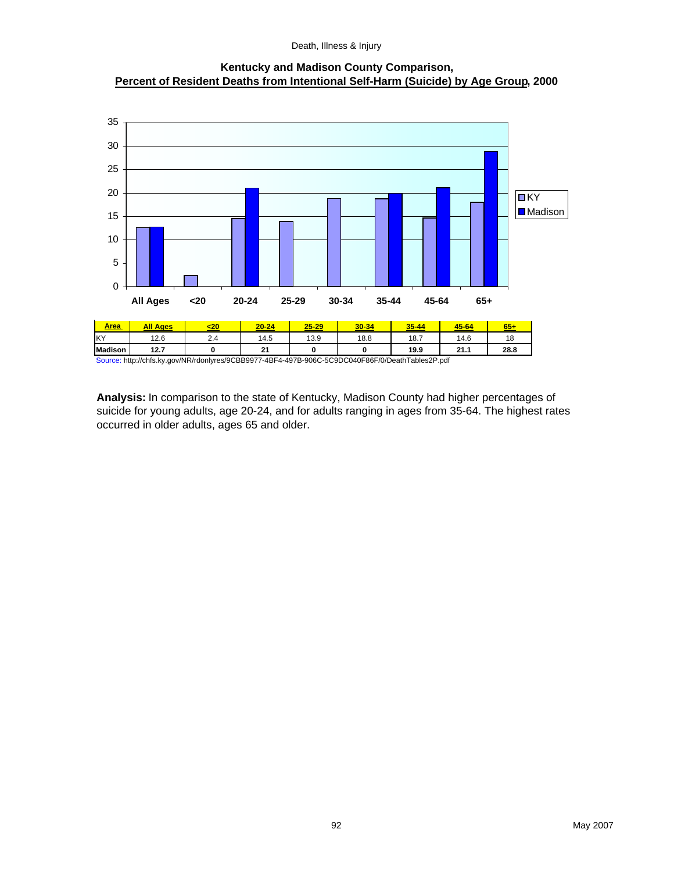



Source: http://chfs.ky.gov/NR/rdonlyres/9CBB9977-4BF4-497B-906C-5C9DC040F86F/0/DeathTables2P.pdf

**Analysis:** In comparison to the state of Kentucky, Madison County had higher percentages of suicide for young adults, age 20-24, and for adults ranging in ages from 35-64. The highest rates occurred in older adults, ages 65 and older.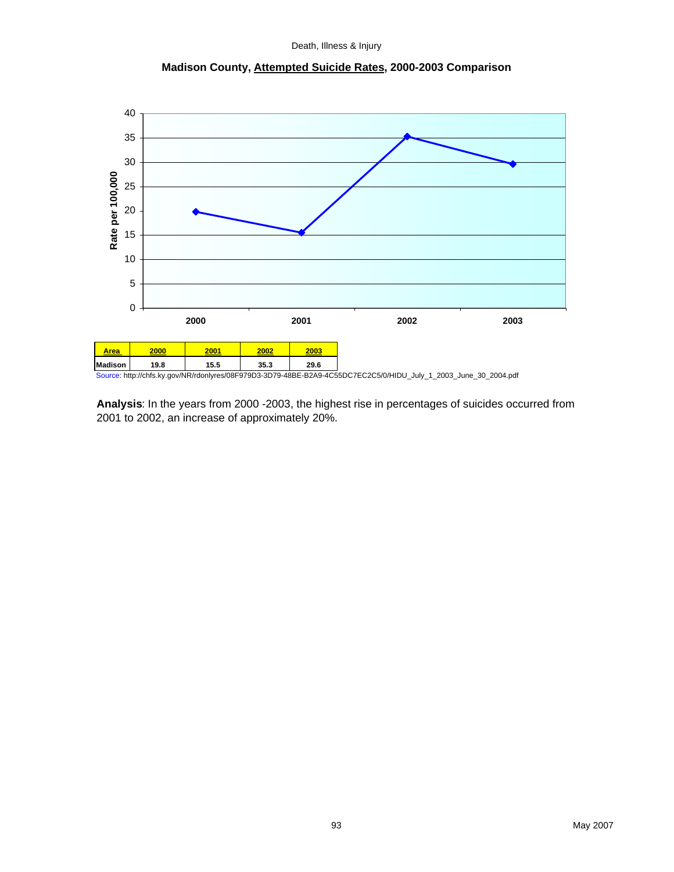



**Analysis**: In the years from 2000 -2003, the highest rise in percentages of suicides occurred from 2001 to 2002, an increase of approximately 20%.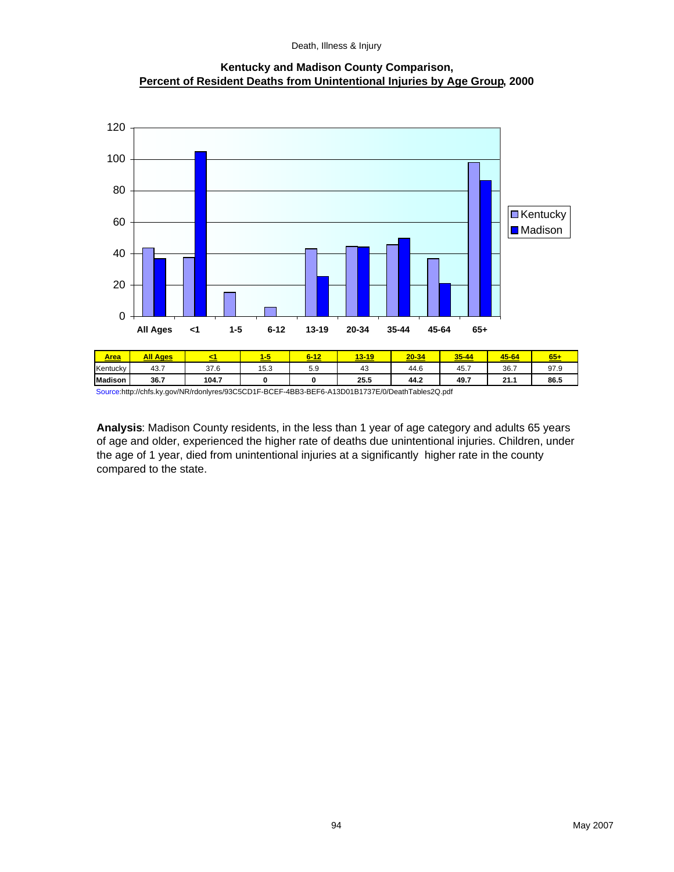



Source:http://chfs.ky.gov/NR/rdonlyres/93C5CD1F-BCEF-4BB3-BEF6-A13D01B1737E/0/DeathTables2Q.pdf

**Analysis**: Madison County residents, in the less than 1 year of age category and adults 65 years of age and older, experienced the higher rate of deaths due unintentional injuries. Children, under the age of 1 year, died from unintentional injuries at a significantly higher rate in the county compared to the state.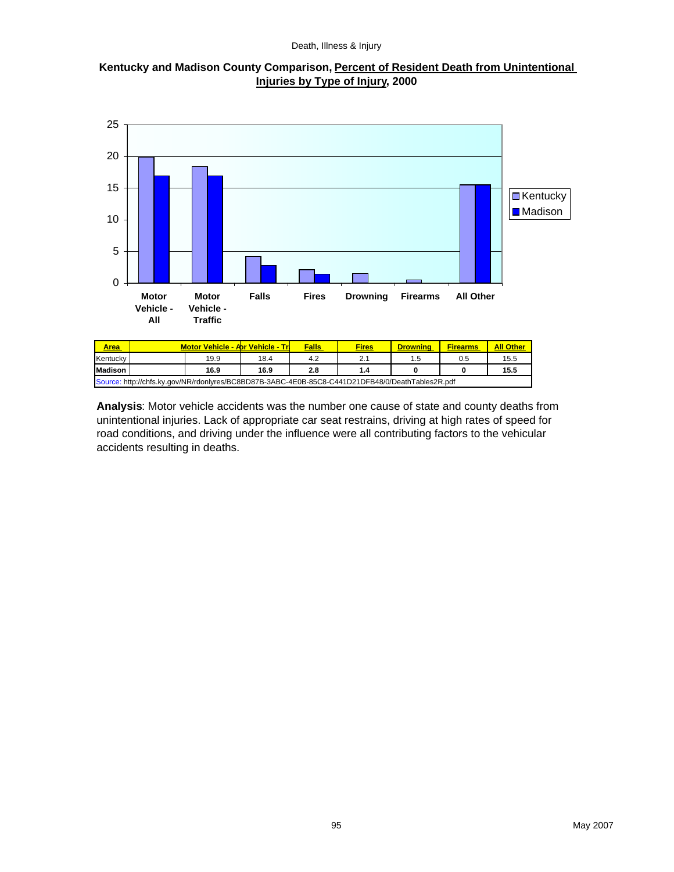## **Kentucky and Madison County Comparison, Percent of Resident Death from Unintentional Injuries by Type of Injury, 2000**



**Analysis**: Motor vehicle accidents was the number one cause of state and county deaths from unintentional injuries. Lack of appropriate car seat restrains, driving at high rates of speed for road conditions, and driving under the influence were all contributing factors to the vehicular accidents resulting in deaths.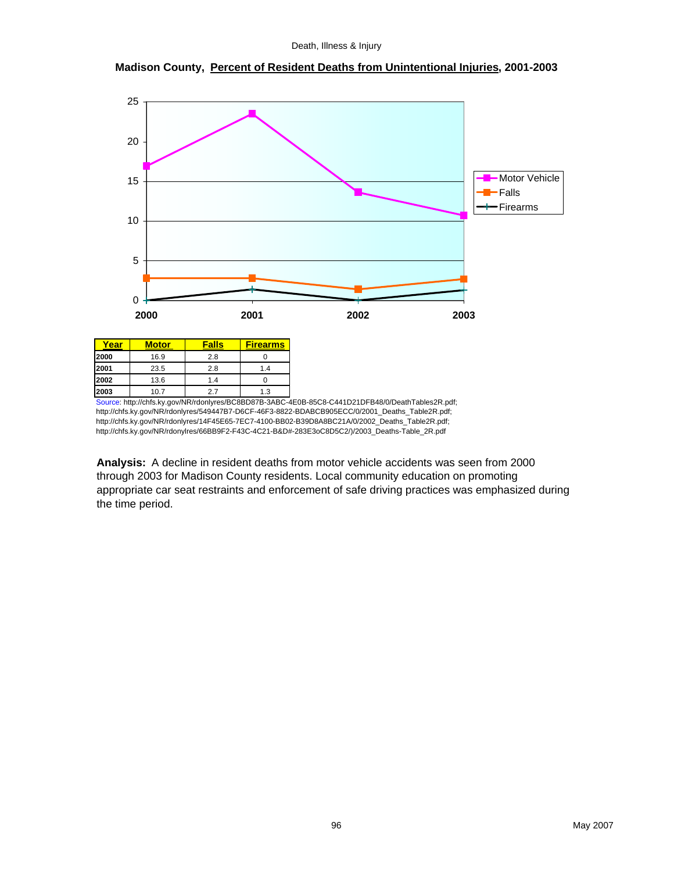### **Madison County, Percent of Resident Deaths from Unintentional Injuries, 2001-2003**



Source: http://chfs.ky.gov/NR/rdonlyres/BC8BD87B-3ABC-4E0B-85C8-C441D21DFB48/0/DeathTables2R.pdf; http://chfs.ky.gov/NR/rdonlyres/549447B7-D6CF-46F3-8822-BDABCB905ECC/0/2001\_Deaths\_Table2R.pdf; http://chfs.ky.gov/NR/rdonlyres/14F45E65-7EC7-4100-BB02-B39D8A8BC21A/0/2002\_Deaths\_Table2R.pdf; http://chfs.ky.gov/NR/rdonylres/66BB9F2-F43C-4C21-B&D#-283E3oC8D5C2/)/2003\_Deaths-Table\_2R.pdf

**Analysis:** A decline in resident deaths from motor vehicle accidents was seen from 2000 through 2003 for Madison County residents. Local community education on promoting appropriate car seat restraints and enforcement of safe driving practices was emphasized during the time period.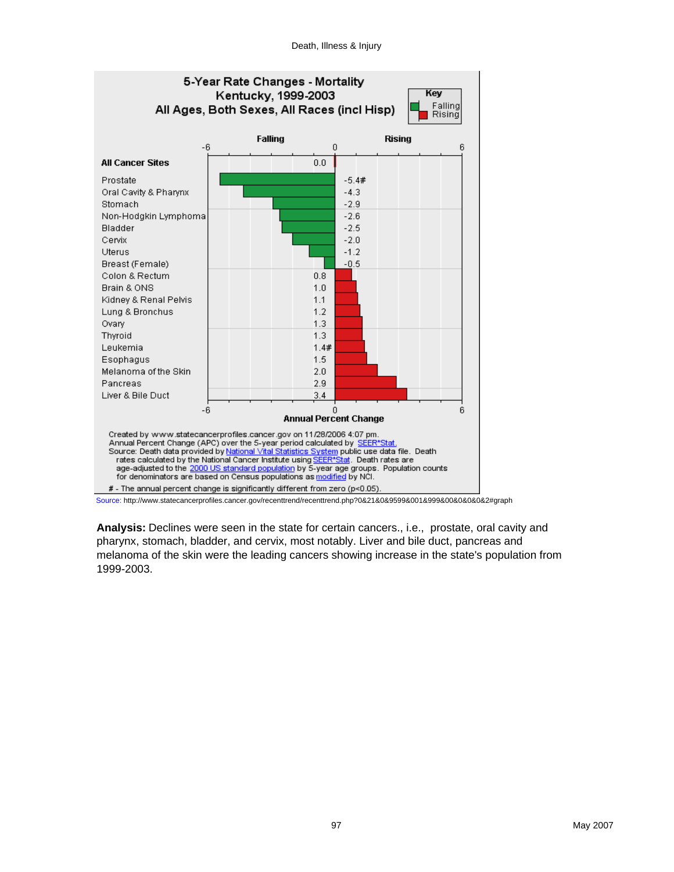

**Analysis:** Declines were seen in the state for certain cancers., i.e., prostate, oral cavity and pharynx, stomach, bladder, and cervix, most notably. Liver and bile duct, pancreas and melanoma of the skin were the leading cancers showing increase in the state's population from 1999-2003.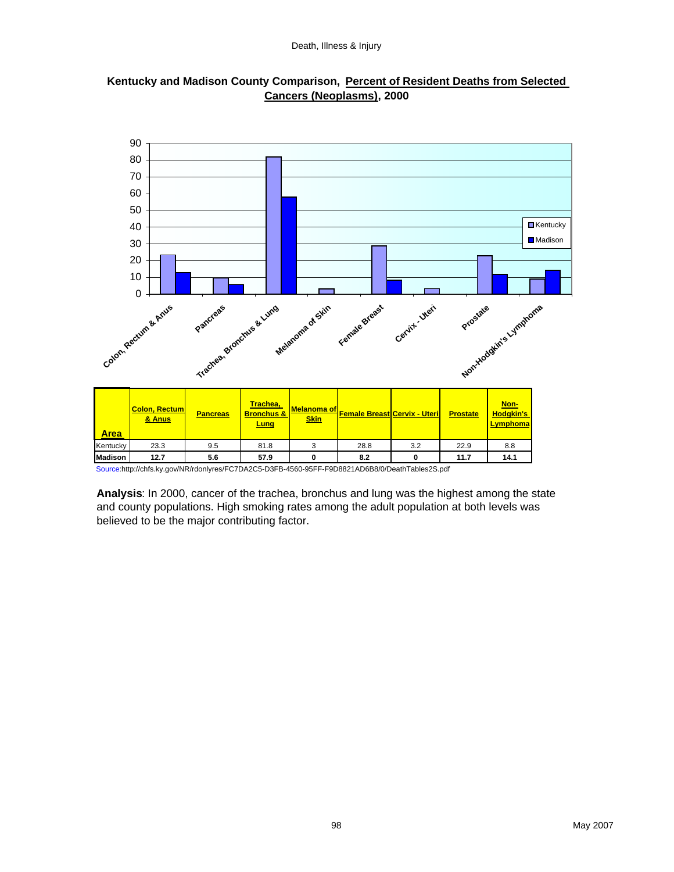### **Kentucky and Madison County Comparison, Percent of Resident Deaths from Selected Cancers (Neoplasms), 2000**



Source:http://chfs.ky.gov/NR/rdonlyres/FC7DA2C5-D3FB-4560-95FF-F9D8821AD6B8/0/DeathTables2S.pdf

**Analysis**: In 2000, cancer of the trachea, bronchus and lung was the highest among the state and county populations. High smoking rates among the adult population at both levels was believed to be the major contributing factor.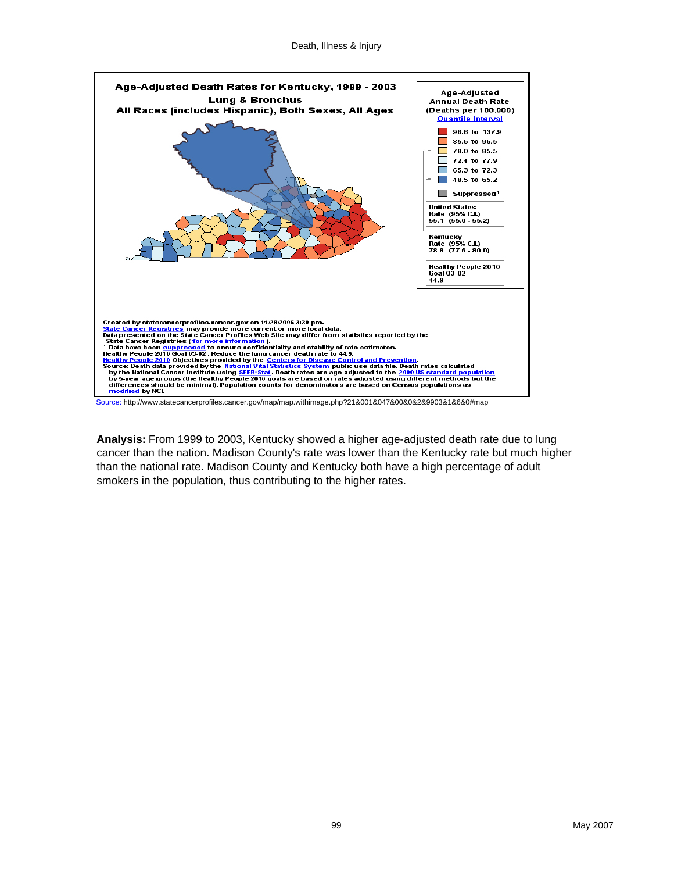

Source: http://www.statecancerprofiles.cancer.gov/map/map.withimage.php?21&001&047&00&0&2&9903&1&6&0#map

**Analysis:** From 1999 to 2003, Kentucky showed a higher age-adjusted death rate due to lung cancer than the nation. Madison County's rate was lower than the Kentucky rate but much higher than the national rate. Madison County and Kentucky both have a high percentage of adult smokers in the population, thus contributing to the higher rates.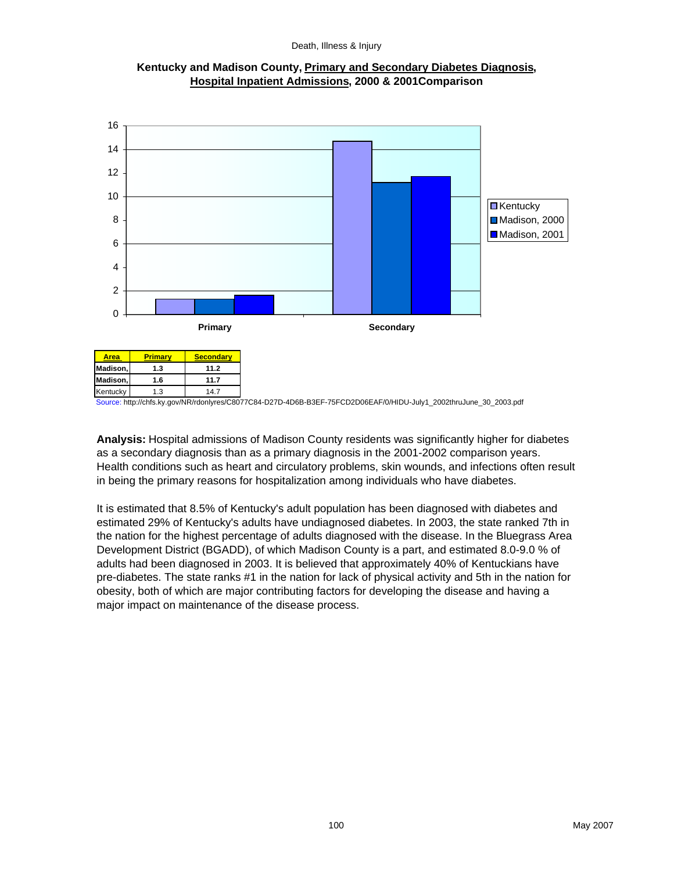

**Kentucky and Madison County, Primary and Secondary Diabetes Diagnosis, Hospital Inpatient Admissions, 2000 & 2001Comparison**

Source: http://chfs.ky.gov/NR/rdonlyres/C8077C84-D27D-4D6B-B3EF-75FCD2D06EAF/0/HIDU-July1\_2002thruJune\_30\_2003.pdf

**Analysis:** Hospital admissions of Madison County residents was significantly higher for diabetes as a secondary diagnosis than as a primary diagnosis in the 2001-2002 comparison years. Health conditions such as heart and circulatory problems, skin wounds, and infections often result in being the primary reasons for hospitalization among individuals who have diabetes.

It is estimated that 8.5% of Kentucky's adult population has been diagnosed with diabetes and estimated 29% of Kentucky's adults have undiagnosed diabetes. In 2003, the state ranked 7th in the nation for the highest percentage of adults diagnosed with the disease. In the Bluegrass Area Development District (BGADD), of which Madison County is a part, and estimated 8.0-9.0 % of adults had been diagnosed in 2003. It is believed that approximately 40% of Kentuckians have pre-diabetes. The state ranks #1 in the nation for lack of physical activity and 5th in the nation for obesity, both of which are major contributing factors for developing the disease and having a major impact on maintenance of the disease process.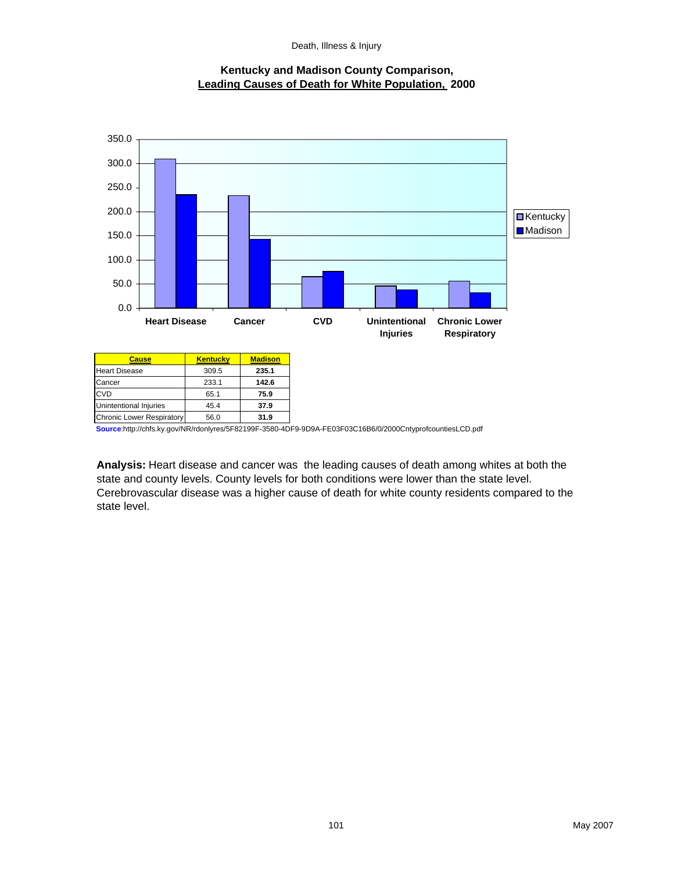

## **Kentucky and Madison County Comparison, Leading Causes of Death for White Population, 2000**

**Source**:http://chfs.ky.gov/NR/rdonlyres/5F82199F-3580-4DF9-9D9A-FE03F03C16B6/0/2000CntyprofcountiesLCD.pdf

**Analysis:** Heart disease and cancer was the leading causes of death among whites at both the state and county levels. County levels for both conditions were lower than the state level. Cerebrovascular disease was a higher cause of death for white county residents compared to the state level.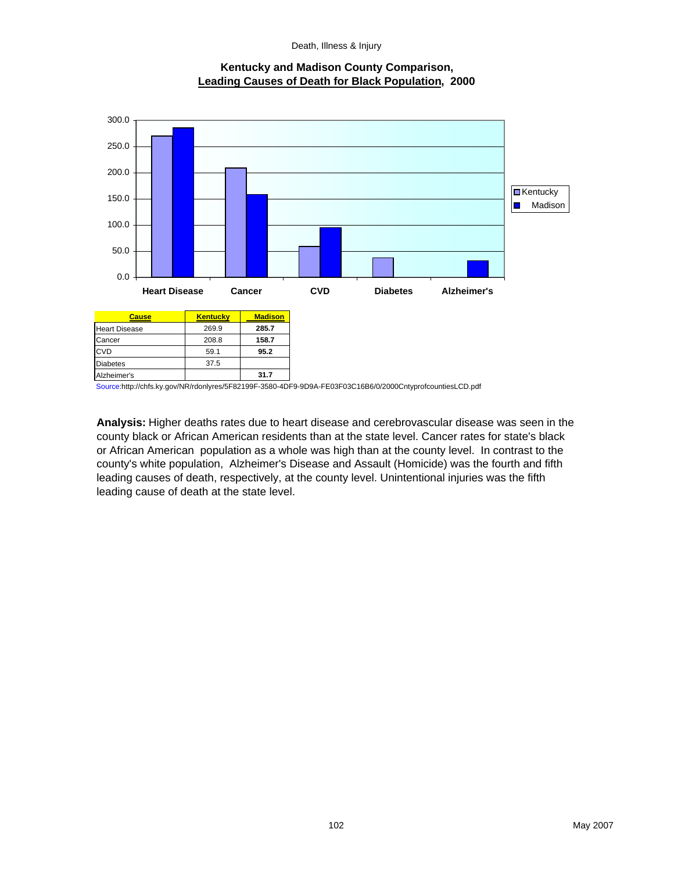

## **Kentucky and Madison County Comparison, Leading Causes of Death for Black Population, 2000**

**Analysis:** Higher deaths rates due to heart disease and cerebrovascular disease was seen in the county black or African American residents than at the state level. Cancer rates for state's black or African American population as a whole was high than at the county level. In contrast to the county's white population, Alzheimer's Disease and Assault (Homicide) was the fourth and fifth leading causes of death, respectively, at the county level. Unintentional injuries was the fifth leading cause of death at the state level.

Source:http://chfs.ky.gov/NR/rdonlyres/5F82199F-3580-4DF9-9D9A-FE03F03C16B6/0/2000CntyprofcountiesLCD.pdf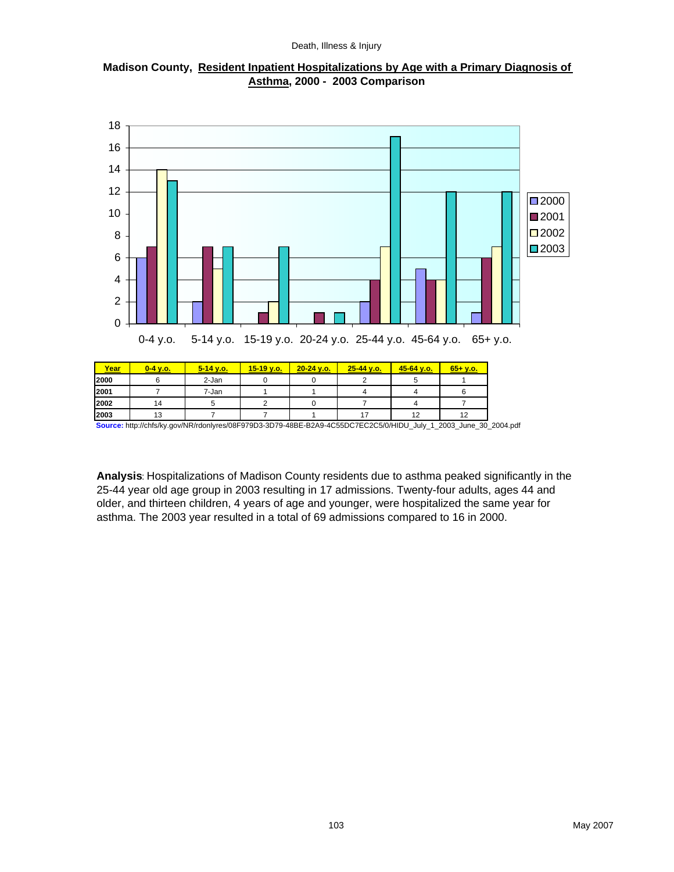



| Year | $0-4$ y.o. | $5-14$ v.o. | $15-19$ y.o. | $20 - 24$ y.o. | $25 - 44$ y.o. | 45-64 y.o. | $65 + y.0.$ |
|------|------------|-------------|--------------|----------------|----------------|------------|-------------|
| 2000 |            | 2-Jan       |              |                |                |            |             |
| 2001 |            | 7-Jan       |              |                |                |            |             |
| 2002 | 14         |             |              |                |                |            |             |
| 2003 | 13         |             |              |                |                |            | 12          |

**Source:** http://chfs/ky.gov/NR/rdonlyres/08F979D3-3D79-48BE-B2A9-4C55DC7EC2C5/0/HIDU\_July\_1\_2003\_June\_30\_2004.pdf

**Analysis**: Hospitalizations of Madison County residents due to asthma peaked significantly in the 25-44 year old age group in 2003 resulting in 17 admissions. Twenty-four adults, ages 44 and older, and thirteen children, 4 years of age and younger, were hospitalized the same year for asthma. The 2003 year resulted in a total of 69 admissions compared to 16 in 2000.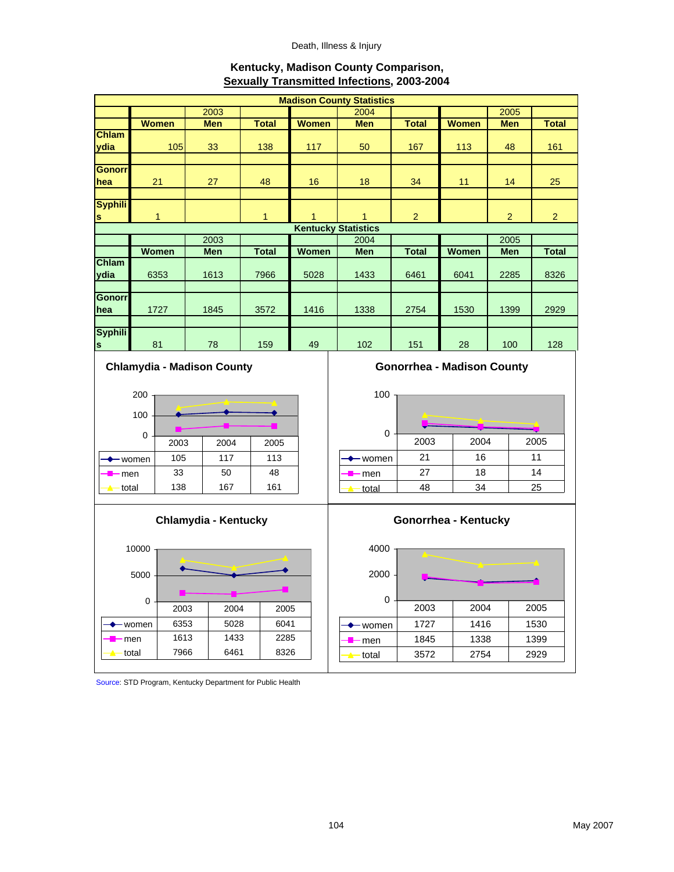#### Death, Illness & Injury

## **Kentucky, Madison County Comparison, Sexually Transmitted Infections, 2003-2004**

| <b>Madison County Statistics</b>                                                     |                      |              |      |             |      |              |              |          |                    |                |              |      |                            |                |  |
|--------------------------------------------------------------------------------------|----------------------|--------------|------|-------------|------|--------------|--------------|----------|--------------------|----------------|--------------|------|----------------------------|----------------|--|
|                                                                                      |                      | 2003         |      |             |      |              |              | 2004     |                    |                |              | 2005 |                            |                |  |
|                                                                                      |                      | <b>Women</b> |      | <b>Men</b>  |      | <b>Total</b> | <b>Women</b> |          | <b>Men</b>         | <b>Total</b>   | <b>Women</b> |      | <b>Men</b><br><b>Total</b> |                |  |
| <b>Chlam</b><br>ydia                                                                 |                      | 105          |      | 33          |      | 138          | 117          |          | 50                 | 167            | 113          |      | 48                         | 161            |  |
| Gonorr<br>hea                                                                        |                      | 21<br>27     |      |             | 48   | 16           |              | 18       | 34                 | 11             | 14           |      | 25                         |                |  |
| <b>Syphili</b><br>S                                                                  |                      | $\mathbf{1}$ |      |             |      | $\mathbf{1}$ | 1            |          | $\mathbf{1}$       | $\overline{c}$ |              |      | $\overline{2}$             | $\overline{c}$ |  |
| <b>Kentucky Statistics</b><br>2005                                                   |                      |              |      |             |      |              |              |          |                    |                |              |      |                            |                |  |
|                                                                                      |                      |              |      | 2003<br>Men |      | <b>Total</b> | <b>Women</b> |          | 2004<br><b>Men</b> | <b>Total</b>   | <b>Women</b> |      | Men                        | <b>Total</b>   |  |
| Chlam<br>ydia                                                                        | <b>Women</b><br>6353 |              |      | 1613        |      | 7966         | 5028         |          | 1433               | 6461           | 6041         |      | 2285                       | 8326           |  |
| <b>Gonorr</b><br>hea                                                                 |                      | 1727         |      | 1845        |      | 3572         | 1416         |          | 1338               | 2754           | 1530         | 1399 |                            | 2929           |  |
| <b>Syphili</b><br>ls                                                                 |                      | 81           |      | 78          |      | 159          | 49           |          | 102                | 151            | 28           |      | 100                        | 128            |  |
| <b>Chlamydia - Madison County</b><br><b>Gonorrhea - Madison County</b><br>100<br>200 |                      |              |      |             |      |              |              |          |                    |                |              |      |                            |                |  |
|                                                                                      | 100                  |              |      |             |      |              |              |          |                    |                |              |      |                            |                |  |
| 0<br>2003                                                                            |                      |              | 2004 | 2005        |      |              |              | $\Omega$ | 2003               | 2004           |              |      | 2005                       |                |  |
|                                                                                      | women                | 105          |      | 117         | 113  |              |              |          | women              | 21             | 16           |      | 11                         |                |  |
| men                                                                                  |                      | 33           |      | 50          | 48   |              |              |          | men                | 27             | 18           |      | 14                         |                |  |
|                                                                                      | 138<br>167<br>total  |              | 161  |             |      | total        | 48           | 34       |                    | 25             |              |      |                            |                |  |
| Gonorrhea - Kentucky<br>Chlamydia - Kentucky                                         |                      |              |      |             |      |              |              |          |                    |                |              |      |                            |                |  |
| 10000                                                                                |                      |              |      |             |      |              | 4000         |          |                    |                |              |      |                            |                |  |
|                                                                                      | 5000                 |              |      |             |      |              |              | 2000     |                    |                |              |      |                            |                |  |
| 0                                                                                    |                      | 2003         |      | 2004        | 2005 |              |              |          | 0                  | 2003           | 2004<br>2005 |      |                            |                |  |
|                                                                                      | -women               | 6353         |      | 5028        |      | 6041         |              |          | women              | 1727           |              | 1416 | 1530                       |                |  |
|                                                                                      | men                  | 1613         |      | 1433        |      | 2285         |              |          | men                | 1845           |              | 1338 | 1399                       |                |  |
|                                                                                      | total                | 7966         |      | 6461        |      | 8326         |              |          | total              | 3572           |              | 2754 |                            | 2929           |  |

Source: STD Program, Kentucky Department for Public Health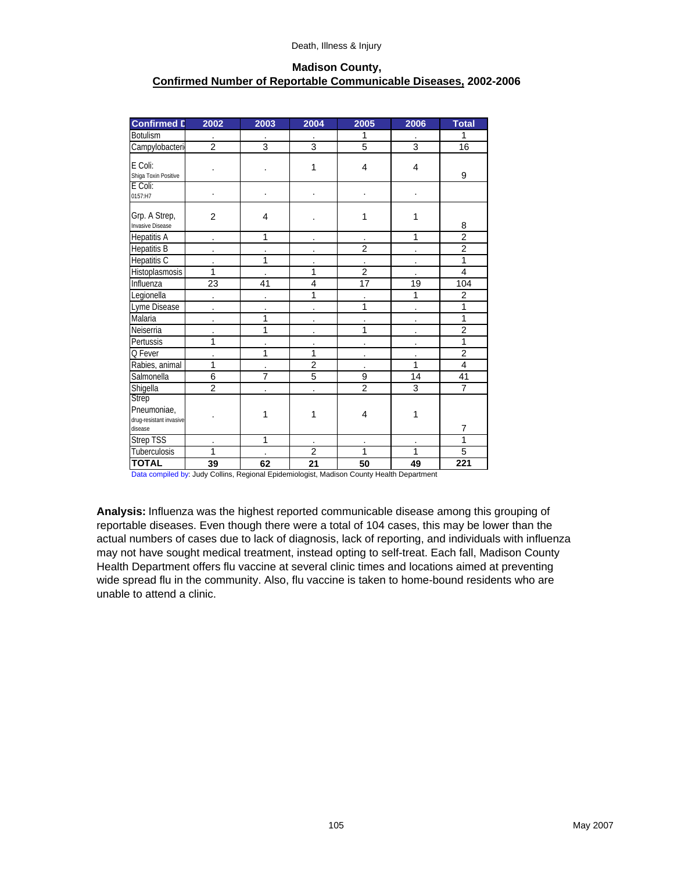#### Death, Illness & Injury

#### **Madison County, Confirmed Number of Reportable Communicable Diseases, 2002-2006**

| <b>Confirmed D</b>                                                | 2002                 | 2003                    | 2004                    | 2005           | 2006                    | <b>Total</b>   |
|-------------------------------------------------------------------|----------------------|-------------------------|-------------------------|----------------|-------------------------|----------------|
| <b>Botulism</b>                                                   |                      |                         |                         | 1              |                         | 1              |
| Campylobacteri                                                    | $\overline{2}$       | $\overline{3}$          | $\overline{3}$          | 5              | $\overline{3}$          | 16             |
| E Coli:<br>Shiga Toxin Positive                                   |                      |                         | 1                       | $\overline{4}$ | $\overline{\mathbf{4}}$ | 9              |
| E Coli:<br>0157:H7                                                |                      | $\ddot{\phantom{a}}$    | ä,                      |                |                         |                |
| Grp. A Strep,<br><b>Invasive Disease</b>                          | $\overline{c}$       | 4                       |                         | 1              | 1                       | 8              |
| <b>Hepatitis A</b>                                                |                      | 1                       |                         |                | 1                       | $\overline{2}$ |
| <b>Hepatitis B</b>                                                |                      |                         |                         | $\overline{2}$ |                         | $\overline{2}$ |
| <b>Hepatitis C</b>                                                |                      | 1                       |                         |                | ٠                       | 1              |
| Histoplasmosis                                                    | 1                    |                         | 1                       | $\overline{2}$ | $\bullet$               | 4              |
| Influenza                                                         | 23                   | 41                      | 4                       | 17             | 19                      | 104            |
| Legionella                                                        | $\ddot{\phantom{0}}$ | $\ddot{\phantom{0}}$    | 1                       | ï              | 1                       | $\overline{2}$ |
| Lyme Disease                                                      | $\ddot{\phantom{0}}$ |                         |                         | 1              |                         | 1              |
| Malaria                                                           |                      | 1                       |                         |                | ٠                       | 1              |
| Neiserria                                                         |                      | 1                       |                         | 1              |                         | $\overline{2}$ |
| Pertussis                                                         | 1                    | ï                       | ٠                       |                | ï                       | 1              |
| Q Fever                                                           |                      | $\overline{\mathbf{1}}$ | $\overline{\mathbf{1}}$ |                |                         | $\overline{2}$ |
| Rabies, animal                                                    | 1                    | $\cdot$                 | 2                       |                | $\overline{1}$          | $\overline{4}$ |
| Salmonella                                                        | $\overline{6}$       | $\overline{7}$          | 5                       | $\overline{9}$ | $\overline{14}$         | 41             |
| Shigella                                                          | $\overline{2}$       | $\cdot$                 | ä,                      | $\overline{2}$ | 3                       | $\overline{7}$ |
| <b>Strep</b><br>Pneumoniae,<br>drug-resistant invasive<br>disease |                      | 1                       | 1                       | 4              | $\mathbf{1}$            | $\overline{7}$ |
| <b>Strep TSS</b>                                                  |                      | 1                       |                         |                |                         | 1              |
| Tuberculosis                                                      | 1                    |                         | $\overline{2}$          | 1              | 1                       | $\overline{5}$ |
| <b>TOTAL</b>                                                      | 39                   | 62                      | 21                      | 50             | 49                      | 221            |

Data compiled by: Judy Collins, Regional Epidemiologist, Madison County Health Department

**Analysis:** Influenza was the highest reported communicable disease among this grouping of reportable diseases. Even though there were a total of 104 cases, this may be lower than the actual numbers of cases due to lack of diagnosis, lack of reporting, and individuals with influenza may not have sought medical treatment, instead opting to self-treat. Each fall, Madison County Health Department offers flu vaccine at several clinic times and locations aimed at preventing wide spread flu in the community. Also, flu vaccine is taken to home-bound residents who are unable to attend a clinic.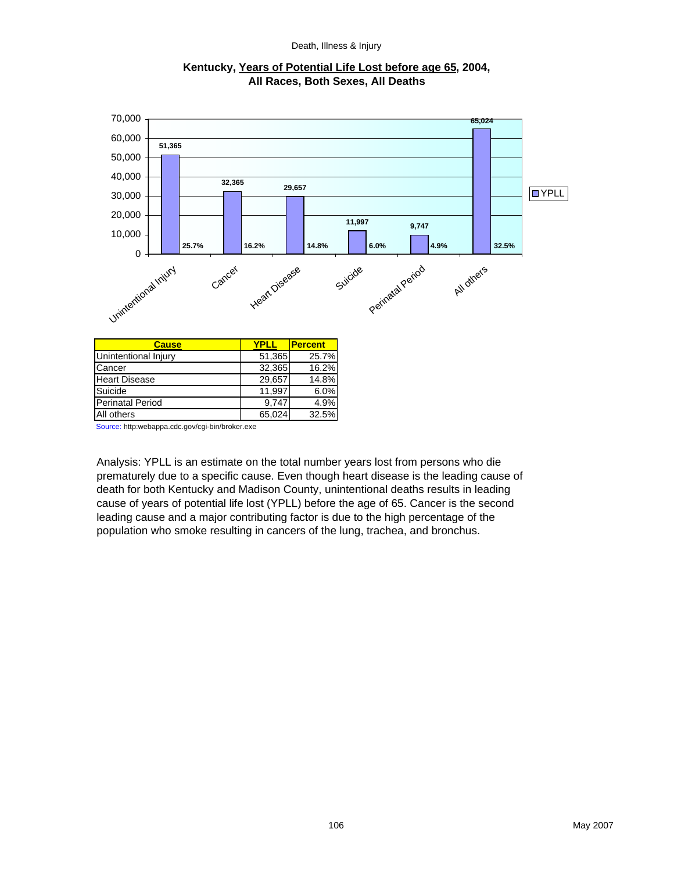

#### **Kentucky, Years of Potential Life Lost before age 65, 2004, All Races, Both Sexes, All Deaths**

| <b>Cause</b>            | <b>YPLL</b> | <b>Percent</b> |
|-------------------------|-------------|----------------|
| Unintentional Injury    | 51,365      | 25.7%          |
| Cancer                  | 32,365      | 16.2%          |
| <b>Heart Disease</b>    | 29,657      | 14.8%          |
| Suicide                 | 11.997      | 6.0%           |
| <b>Perinatal Period</b> | 9.747       | 4.9%           |
| All others              | 65,024      | 32.5%          |

Source: http:webappa.cdc.gov/cgi-bin/broker.exe

Analysis: YPLL is an estimate on the total number years lost from persons who die prematurely due to a specific cause. Even though heart disease is the leading cause of death for both Kentucky and Madison County, unintentional deaths results in leading cause of years of potential life lost (YPLL) before the age of 65. Cancer is the second leading cause and a major contributing factor is due to the high percentage of the population who smoke resulting in cancers of the lung, trachea, and bronchus.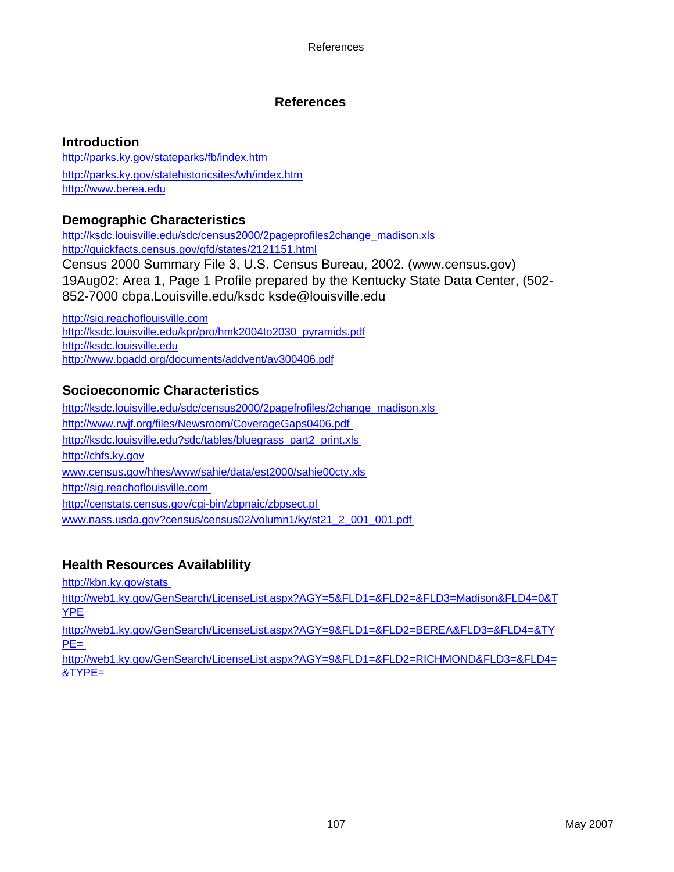# **References**

### **Introduction**

http://parks.ky.gov/stateparks/fb/index.htm http://parks.ky.gov/statehistoricsites/wh/index.htm http://www.berea.edu

# **Demographic Characteristics**

Census 2000 Summary File 3, U.S. Census Bureau, 2002. (www.census.gov) 19Aug02: Area 1, Page 1 Profile prepared by the Kentucky State Data Center, (502- 852-7000 cbpa.Louisville.edu/ksdc ksde@louisville.edu http://ksdc.louisville.edu/sdc/census2000/2pageprofiles2change\_madison.xls http://quickfacts.census.gov/qfd/states/2121151.html

http://ksdc.louisville.edu http://www.bgadd.org/documents/addvent/av300406.pdf http://sig.reachoflouisville.com http://ksdc.louisville.edu/kpr/pro/hmk2004to2030\_pyramids.pdf

# **Socioeconomic Characteristics**

http://sig.reachoflouisville.com http://censtats.census.gov/cgi-bin/zbpnaic/zbpsect.pl www.nass.usda.gov?census/census02/volumn1/ky/st21\_2\_001\_001.pdf http://www.rwjf.org/files/Newsroom/CoverageGaps0406.pdf http://ksdc.louisville.edu?sdc/tables/bluegrass\_part2\_print.xls http://chfs.ky.gov www.census.gov/hhes/www/sahie/data/est2000/sahie00cty.xls http://ksdc.louisville.edu/sdc/census2000/2pagefrofiles/2change\_madison.xls

# **Health Resources Availablility**

http://kbn.ky.gov/stats

http://web1.ky.gov/GenSearch/LicenseList.aspx?AGY=5&FLD1=&FLD2=&FLD3=Madison&FLD4=0&T YPE

http://web1.ky.gov/GenSearch/LicenseList.aspx?AGY=9&FLD1=&FLD2=BEREA&FLD3=&FLD4=&TY  $PE=$ 

http://web1.ky.gov/GenSearch/LicenseList.aspx?AGY=9&FLD1=&FLD2=RICHMOND&FLD3=&FLD4= &TYPE=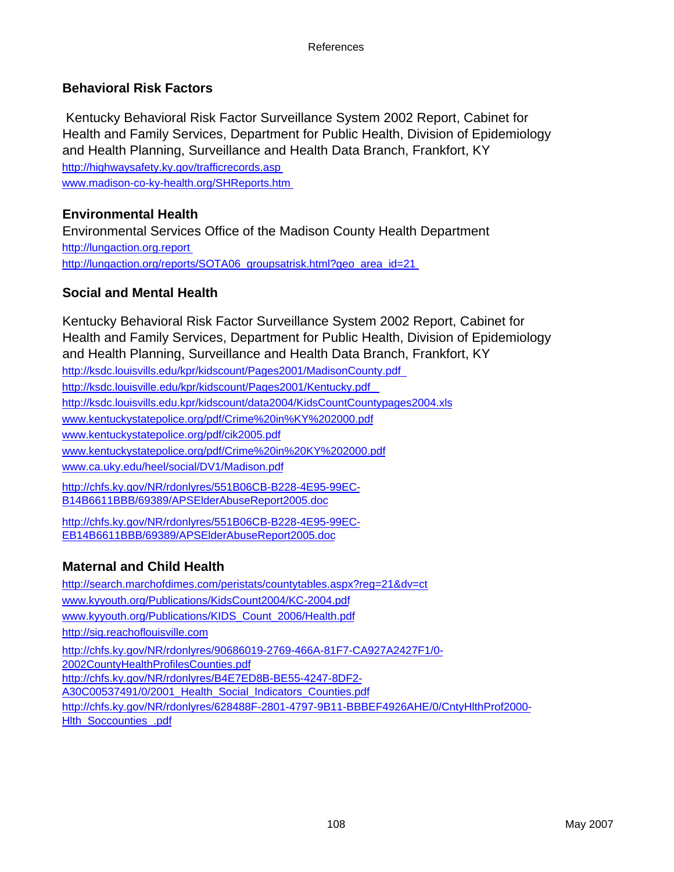# **Behavioral Risk Factors**

 Kentucky Behavioral Risk Factor Surveillance System 2002 Report, Cabinet for Health and Family Services, Department for Public Health, Division of Epidemiology and Health Planning, Surveillance and Health Data Branch, Frankfort, KY http://highwaysafety.ky.gov/trafficrecords.asp

www.madison-co-ky-health.org/SHReports.htm

# **Environmental Health**

http://lungaction.org/reports/SOTA06\_groupsatrisk.html?geo\_area\_id=21 Environmental Services Office of the Madison County Health Department http://lungaction.org.report

# **Social and Mental Health**

www.kentuckystatepolice.org/pdf/Crime%20in%20KY%202000.pdf www.ca.uky.edu/heel/social/DV1/Madison.pdf http://chfs.ky.gov/NR/rdonlyres/551B06CB-B228-4E95-99EChttp://ksdc.louisville.edu/kpr/kidscount/Pages2001/Kentucky.pdf http://ksdc.louisvills.edu.kpr/kidscount/data2004/KidsCountCountypages2004.xls www.kentuckystatepolice.org/pdf/Crime%20in%KY%202000.pdf www.kentuckystatepolice.org/pdf/cik2005.pdf Kentucky Behavioral Risk Factor Surveillance System 2002 Report, Cabinet for Health and Family Services, Department for Public Health, Division of Epidemiology and Health Planning, Surveillance and Health Data Branch, Frankfort, KY http://ksdc.louisvills.edu/kpr/kidscount/Pages2001/MadisonCounty.pdf

B14B6611BBB/69389/APSElderAbuseReport2005.doc

http://chfs.ky.gov/NR/rdonlyres/551B06CB-B228-4E95-99EC-EB14B6611BBB/69389/APSElderAbuseReport2005.doc

#### **Maternal and Child Health**

http://chfs.ky.gov/NR/rdonlyres/628488F-2801-4797-9B11-BBBEF4926AHE/0/CntyHlthProf2000- Hlth\_Soccounties\_.pdf www.kyyouth.org/Publications/KIDS\_Count\_2006/Health.pdf http://sig.reachoflouisville.com http://chfs.ky.gov/NR/rdonlyres/90686019-2769-466A-81F7-CA927A2427F1/0- 2002CountyHealthProfilesCounties.pdf http://chfs.ky.gov/NR/rdonlyres/B4E7ED8B-BE55-4247-8DF2- A30C00537491/0/2001 Health Social Indicators Counties.pdf http://search.marchofdimes.com/peristats/countytables.aspx?reg=21&dv=ct www.kyyouth.org/Publications/KidsCount2004/KC-2004.pdf